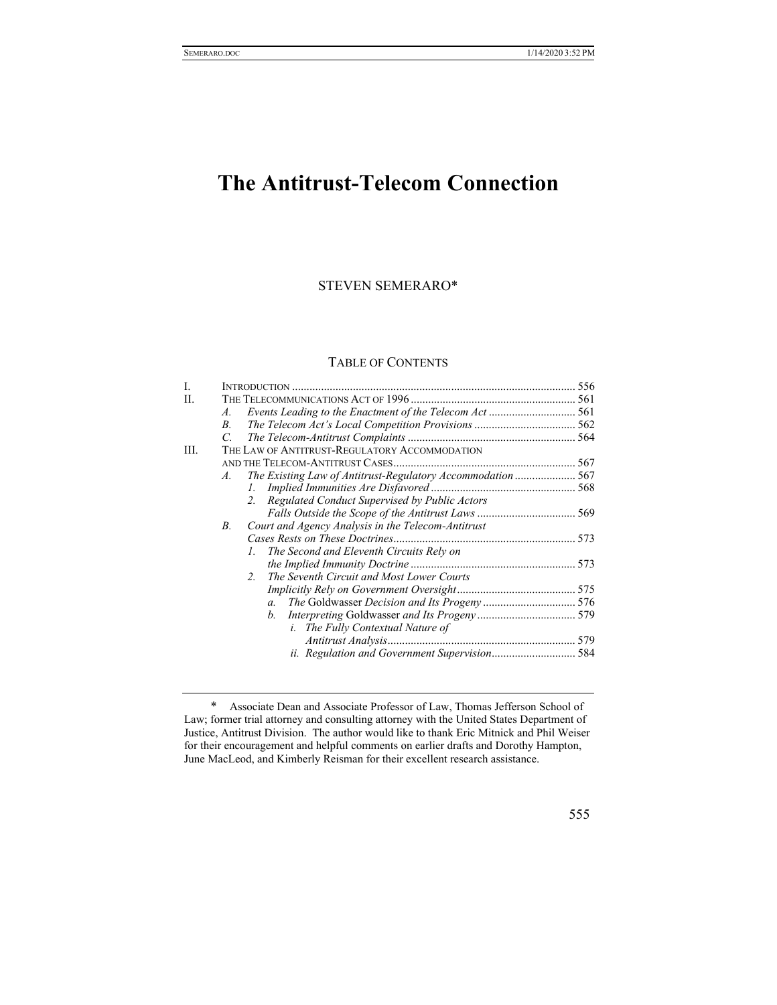# **The Antitrust-Telecom Connection**

# STEVEN SEMERARO\*

# TABLE OF CONTENTS

| Ī. |               |                                                             |  |
|----|---------------|-------------------------------------------------------------|--|
| H. |               |                                                             |  |
|    | A.            |                                                             |  |
|    | $B_{\cdot}$   |                                                             |  |
|    | $\mathcal{C}$ |                                                             |  |
| Ш. |               | THE LAW OF ANTITRUST-REGULATORY ACCOMMODATION               |  |
|    |               |                                                             |  |
|    | A.            | The Existing Law of Antitrust-Regulatory Accommodation  567 |  |
|    |               | 1.                                                          |  |
|    |               | Regulated Conduct Supervised by Public Actors<br>2.         |  |
|    |               |                                                             |  |
|    | В.            | Court and Agency Analysis in the Telecom-Antitrust          |  |
|    |               |                                                             |  |
|    |               | The Second and Eleventh Circuits Rely on<br>L.              |  |
|    |               |                                                             |  |
|    |               | The Seventh Circuit and Most Lower Courts<br>2.             |  |
|    |               |                                                             |  |
|    |               | $a_{\cdot}$                                                 |  |
|    |               | $h_{\cdot}$                                                 |  |
|    |               | <i>i.</i> The Fully Contextual Nature of                    |  |
|    |               |                                                             |  |
|    |               | ii. Regulation and Government Supervision 584               |  |
|    |               |                                                             |  |

 <sup>\*</sup> Associate Dean and Associate Professor of Law, Thomas Jefferson School of Law; former trial attorney and consulting attorney with the United States Department of Justice, Antitrust Division. The author would like to thank Eric Mitnick and Phil Weiser for their encouragement and helpful comments on earlier drafts and Dorothy Hampton, June MacLeod, and Kimberly Reisman for their excellent research assistance.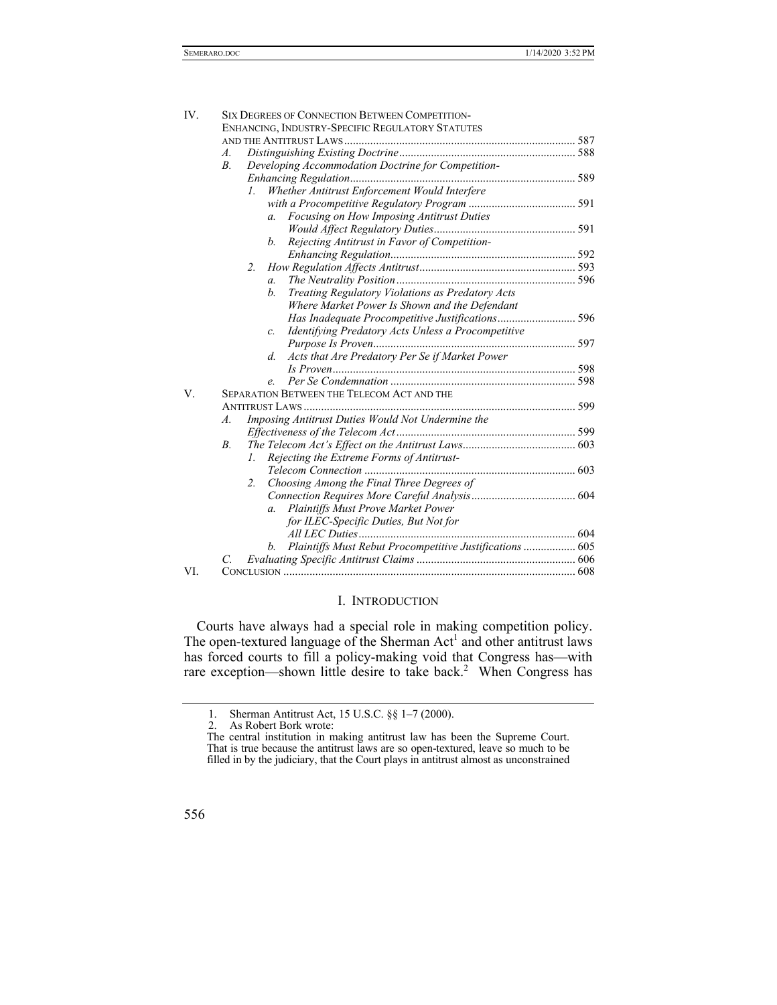| IV. | <b>SIX DEGREES OF CONNECTION BETWEEN COMPETITION-</b>                   |  |  |
|-----|-------------------------------------------------------------------------|--|--|
|     | ENHANCING, INDUSTRY-SPECIFIC REGULATORY STATUTES                        |  |  |
|     |                                                                         |  |  |
|     | A.                                                                      |  |  |
|     | Developing Accommodation Doctrine for Competition-<br>$B$ .             |  |  |
|     |                                                                         |  |  |
|     | Whether Antitrust Enforcement Would Interfere<br>$\mathcal{I}$ .        |  |  |
|     |                                                                         |  |  |
|     | Focusing on How Imposing Antitrust Duties<br>a.                         |  |  |
|     |                                                                         |  |  |
|     | Rejecting Antitrust in Favor of Competition-<br>b.                      |  |  |
|     |                                                                         |  |  |
|     | 2.                                                                      |  |  |
|     | $\overline{a}$ .                                                        |  |  |
|     | Treating Regulatory Violations as Predatory Acts<br>b.                  |  |  |
|     | Where Market Power Is Shown and the Defendant                           |  |  |
|     |                                                                         |  |  |
|     | Identifying Predatory Acts Unless a Procompetitive<br>$\mathcal{C}$ .   |  |  |
|     |                                                                         |  |  |
|     | Acts that Are Predatory Per Se if Market Power<br>d.                    |  |  |
|     |                                                                         |  |  |
|     | e.                                                                      |  |  |
| V.  | <b>SEPARATION BETWEEN THE TELECOM ACT AND THE</b>                       |  |  |
|     |                                                                         |  |  |
|     | Imposing Antitrust Duties Would Not Undermine the<br>$\boldsymbol{A}$ . |  |  |
|     |                                                                         |  |  |
|     | $B_{\cdot}$                                                             |  |  |
|     | Rejecting the Extreme Forms of Antitrust-<br>1.                         |  |  |
|     |                                                                         |  |  |
|     | Choosing Among the Final Three Degrees of<br>$2_{\cdot}$                |  |  |
|     |                                                                         |  |  |
|     | Plaintiffs Must Prove Market Power<br>$a_{\cdot}$                       |  |  |
|     | for ILEC-Specific Duties, But Not for                                   |  |  |
|     |                                                                         |  |  |
|     | Plaintiffs Must Rebut Procompetitive Justifications  605<br>b.          |  |  |
|     | C.                                                                      |  |  |
| VI. |                                                                         |  |  |

# I. INTRODUCTION

Courts have always had a special role in making competition policy. The open-textured language of the Sherman  $Act<sup>1</sup>$  and other antitrust laws has forced courts to fill a policy-making void that Congress has—with rare exception—shown little desire to take back.<sup>2</sup> When Congress has

The central institution in making antitrust law has been the Supreme Court. That is true because the antitrust laws are so open-textured, leave so much to be filled in by the judiciary, that the Court plays in antitrust almost as unconstrained



 <sup>1.</sup> Sherman Antitrust Act, 15 U.S.C. §§ 1–7 (2000).

 <sup>2.</sup> As Robert Bork wrote: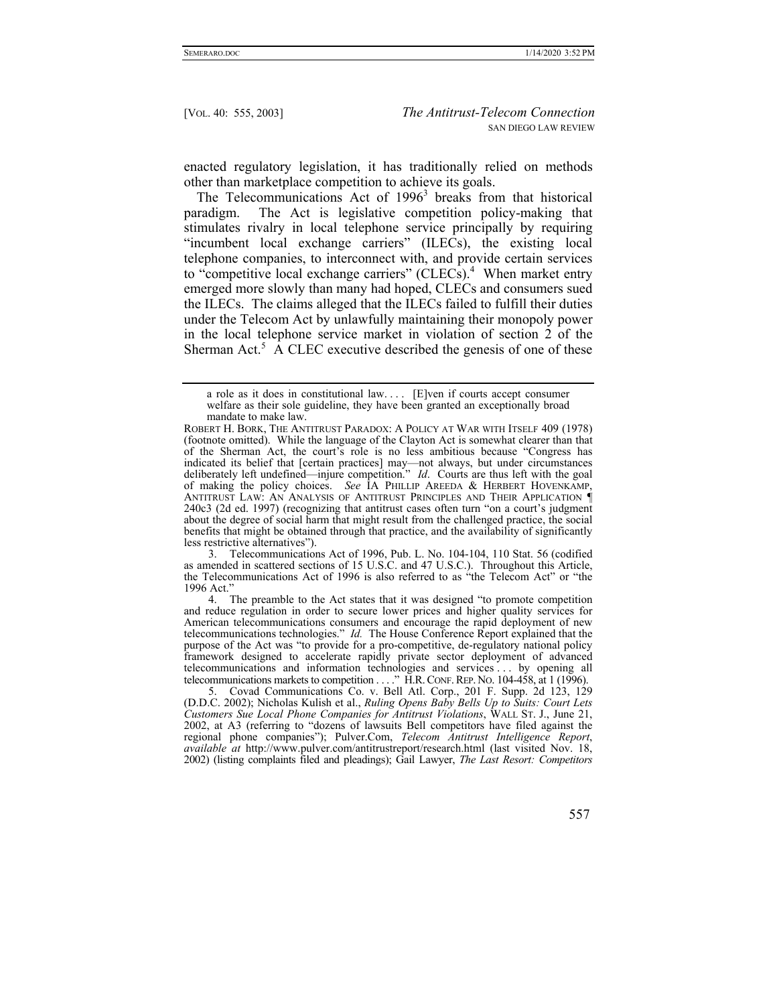enacted regulatory legislation, it has traditionally relied on methods other than marketplace competition to achieve its goals.

The Telecommunications Act of  $1996<sup>3</sup>$  breaks from that historical paradigm. The Act is legislative competition policy-making that stimulates rivalry in local telephone service principally by requiring "incumbent local exchange carriers" (ILECs), the existing local telephone companies, to interconnect with, and provide certain services to "competitive local exchange carriers"  $(CLECs)$ .<sup>4</sup> When market entry emerged more slowly than many had hoped, CLECs and consumers sued the ILECs. The claims alleged that the ILECs failed to fulfill their duties under the Telecom Act by unlawfully maintaining their monopoly power in the local telephone service market in violation of section 2 of the Sherman Act.<sup>5</sup> A CLEC executive described the genesis of one of these

 3. Telecommunications Act of 1996, Pub. L. No. 104-104, 110 Stat. 56 (codified as amended in scattered sections of 15 U.S.C. and 47 U.S.C.). Throughout this Article, the Telecommunications Act of 1996 is also referred to as "the Telecom Act" or "the 1996 Act."

 4. The preamble to the Act states that it was designed "to promote competition and reduce regulation in order to secure lower prices and higher quality services for American telecommunications consumers and encourage the rapid deployment of new telecommunications technologies." *Id.* The House Conference Report explained that the purpose of the Act was "to provide for a pro-competitive, de-regulatory national policy framework designed to accelerate rapidly private sector deployment of advanced telecommunications and information technologies and services . . . by opening all telecommunications markets to competition . . . ." H.R.CONF.REP. NO. 104-458, at 1 (1996).

 5. Covad Communications Co. v. Bell Atl. Corp., 201 F. Supp. 2d 123, 129 (D.D.C. 2002); Nicholas Kulish et al., *Ruling Opens Baby Bells Up to Suits: Court Lets Customers Sue Local Phone Companies for Antitrust Violations*, WALL ST. J., June 21, 2002, at A3 (referring to "dozens of lawsuits Bell competitors have filed against the regional phone companies"); Pulver.Com, *Telecom Antitrust Intelligence Report*, *available at* http://www.pulver.com/antitrustreport/research.html (last visited Nov. 18, 2002) (listing complaints filed and pleadings); Gail Lawyer, *The Last Resort: Competitors* 

a role as it does in constitutional law. . . . [E]ven if courts accept consumer welfare as their sole guideline, they have been granted an exceptionally broad mandate to make law.

ROBERT H. BORK, THE ANTITRUST PARADOX: A POLICY AT WAR WITH ITSELF 409 (1978) (footnote omitted). While the language of the Clayton Act is somewhat clearer than that of the Sherman Act, the court's role is no less ambitious because "Congress has indicated its belief that [certain practices] may—not always, but under circumstances deliberately left undefined—injure competition." *Id*. Courts are thus left with the goal of making the policy choices. *See* IA PHILLIP AREEDA & HERBERT HOVENKAMP, ANTITRUST LAW: AN ANALYSIS OF ANTITRUST PRINCIPLES AND THEIR APPLICATION  $\P$ 240c3 (2d ed. 1997) (recognizing that antitrust cases often turn "on a court's judgment about the degree of social harm that might result from the challenged practice, the social benefits that might be obtained through that practice, and the availability of significantly less restrictive alternatives").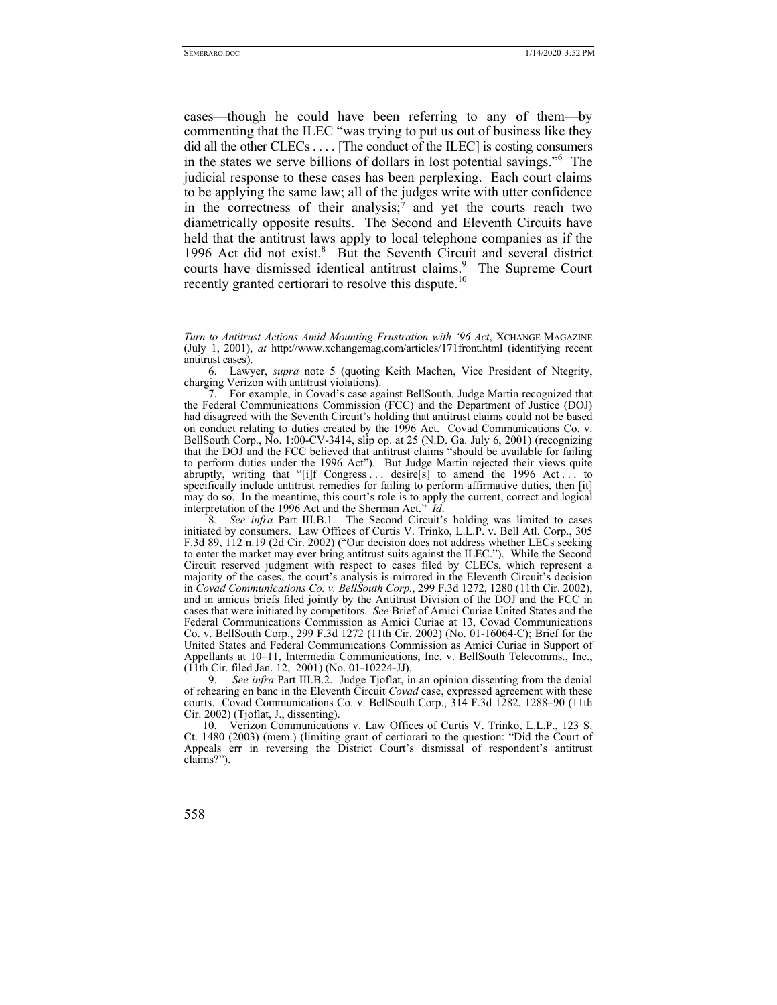cases—though he could have been referring to any of them—by commenting that the ILEC "was trying to put us out of business like they did all the other CLECs . . . . [The conduct of the ILEC] is costing consumers in the states we serve billions of dollars in lost potential savings."6 The judicial response to these cases has been perplexing. Each court claims to be applying the same law; all of the judges write with utter confidence in the correctness of their analysis;<sup>7</sup> and yet the courts reach two diametrically opposite results. The Second and Eleventh Circuits have held that the antitrust laws apply to local telephone companies as if the 1996 Act did not exist.<sup>8</sup> But the Seventh Circuit and several district courts have dismissed identical antitrust claims.<sup>9</sup> The Supreme Court recently granted certiorari to resolve this dispute.<sup>10</sup>

*Turn to Antitrust Actions Amid Mounting Frustration with '96 Act*, XCHANGE MAGAZINE (July 1, 2001), *at* http://www.xchangemag.com/articles/171front.html (identifying recent antitrust cases).

 <sup>6.</sup> Lawyer, *supra* note 5 (quoting Keith Machen, Vice President of Ntegrity, charging Verizon with antitrust violations).

<sup>7.</sup> For example, in Covad's case against BellSouth, Judge Martin recognized that the Federal Communications Commission (FCC) and the Department of Justice (DOJ) had disagreed with the Seventh Circuit's holding that antitrust claims could not be based on conduct relating to duties created by the 1996 Act. Covad Communications Co. v. BellSouth Corp., No. 1:00-CV-3414, slip op. at 25 (N.D. Ga. July 6, 2001) (recognizing that the DOJ and the FCC believed that antitrust claims "should be available for failing to perform duties under the 1996 Act"). But Judge Martin rejected their views quite abruptly, writing that "[i]f Congress... desire[s] to amend the 1996 Act... to specifically include antitrust remedies for failing to perform affirmative duties, then [it] may do so. In the meantime, this court's role is to apply the current, correct and logical interpretation of the 1996 Act and the Sherman Act." *Id*.

<sup>8</sup>*. See infra* Part III.B.1. The Second Circuit's holding was limited to cases initiated by consumers. Law Offices of Curtis V. Trinko, L.L.P. v. Bell Atl. Corp., 305 F.3d 89, 112 n.19 (2d Cir. 2002) ("Our decision does not address whether LECs seeking to enter the market may ever bring antitrust suits against the ILEC."). While the Second Circuit reserved judgment with respect to cases filed by CLECs, which represent a majority of the cases, the court's analysis is mirrored in the Eleventh Circuit's decision in *Covad Communications Co. v. BellSouth Corp.*, 299 F.3d 1272, 1280 (11th Cir. 2002), and in amicus briefs filed jointly by the Antitrust Division of the DOJ and the FCC in cases that were initiated by competitors. *See* Brief of Amici Curiae United States and the Federal Communications Commission as Amici Curiae at 13, Covad Communications Co. v. BellSouth Corp., 299 F.3d 1272 (11th Cir. 2002) (No. 01-16064-C); Brief for the United States and Federal Communications Commission as Amici Curiae in Support of Appellants at 10–11, Intermedia Communications, Inc. v. BellSouth Telecomms., Inc., (11th Cir. filed Jan. 12, 2001) (No. 01-10224-JJ).

 <sup>9.</sup> *See infra* Part III.B.2. Judge Tjoflat, in an opinion dissenting from the denial of rehearing en banc in the Eleventh Circuit *Covad* case, expressed agreement with these courts. Covad Communications Co. v. BellSouth Corp., 314 F.3d 1282, 1288–90 (11th Cir. 2002) (Tjoflat, J., dissenting).

 <sup>10.</sup> Verizon Communications v. Law Offices of Curtis V. Trinko, L.L.P., 123 S. Ct. 1480 (2003) (mem.) (limiting grant of certiorari to the question: "Did the Court of Appeals err in reversing the District Court's dismissal of respondent's antitrust claims?").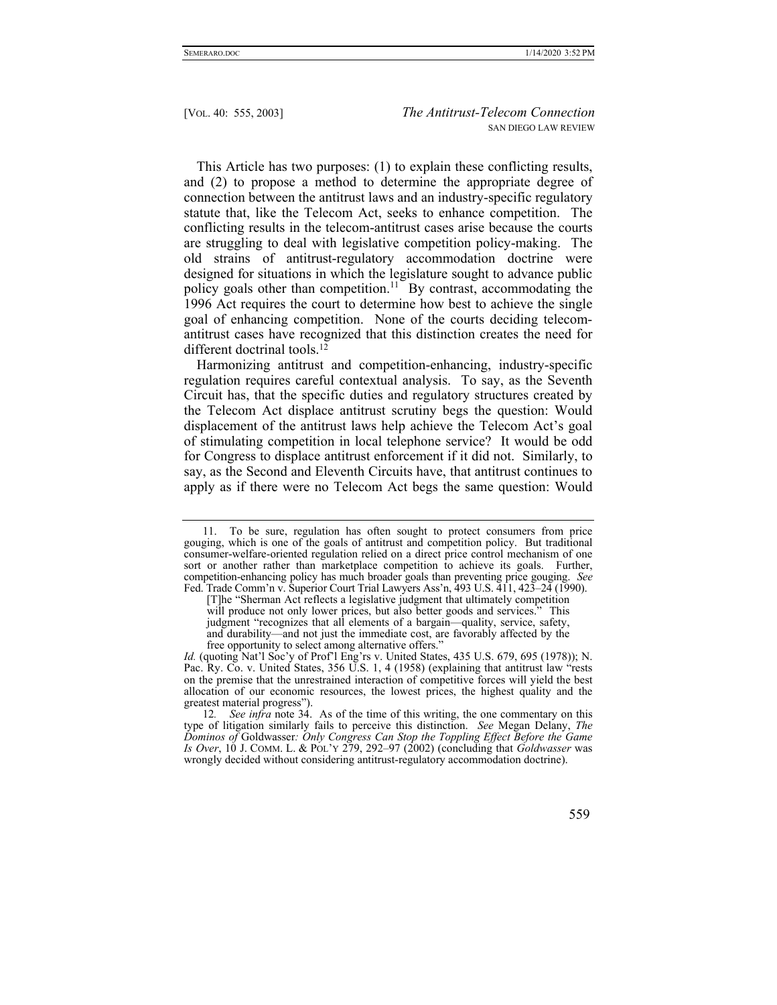This Article has two purposes: (1) to explain these conflicting results, and (2) to propose a method to determine the appropriate degree of connection between the antitrust laws and an industry-specific regulatory statute that, like the Telecom Act, seeks to enhance competition. The conflicting results in the telecom-antitrust cases arise because the courts are struggling to deal with legislative competition policy-making. The old strains of antitrust-regulatory accommodation doctrine were designed for situations in which the legislature sought to advance public policy goals other than competition.<sup>11</sup> By contrast, accommodating the 1996 Act requires the court to determine how best to achieve the single goal of enhancing competition. None of the courts deciding telecomantitrust cases have recognized that this distinction creates the need for different doctrinal tools.<sup>12</sup>

Harmonizing antitrust and competition-enhancing, industry-specific regulation requires careful contextual analysis. To say, as the Seventh Circuit has, that the specific duties and regulatory structures created by the Telecom Act displace antitrust scrutiny begs the question: Would displacement of the antitrust laws help achieve the Telecom Act's goal of stimulating competition in local telephone service? It would be odd for Congress to displace antitrust enforcement if it did not. Similarly, to say, as the Second and Eleventh Circuits have, that antitrust continues to apply as if there were no Telecom Act begs the same question: Would

 <sup>11.</sup> To be sure, regulation has often sought to protect consumers from price gouging, which is one of the goals of antitrust and competition policy. But traditional consumer-welfare-oriented regulation relied on a direct price control mechanism of one sort or another rather than marketplace competition to achieve its goals. Further, competition-enhancing policy has much broader goals than preventing price gouging. *See* Fed. Trade Comm'n v. Superior Court Trial Lawyers Ass'n, 493 U.S. 411, 423–24 (1990).

<sup>[</sup>T]he "Sherman Act reflects a legislative judgment that ultimately competition will produce not only lower prices, but also better goods and services." This judgment "recognizes that all elements of a bargain—quality, service, safety, and durability—and not just the immediate cost, are favorably affected by the free opportunity to select among alternative offers.'

*Id.* (quoting Nat'l Soc'y of Prof'l Eng'rs v. United States, 435 U.S. 679, 695 (1978)); N. Pac. Ry. Co. v. United States, 356 U.S. 1, 4 (1958) (explaining that antitrust law "rests on the premise that the unrestrained interaction of competitive forces will yield the best allocation of our economic resources, the lowest prices, the highest quality and the greatest material progress").

<sup>12</sup>*. See infra* note 34. As of the time of this writing, the one commentary on this type of litigation similarly fails to perceive this distinction. *See* Megan Delany, *The Dominos of* Goldwasser*: Only Congress Can Stop the Toppling Effect Before the Game Is Over*, 10 J. COMM. L. & POL'Y 279, 292–97 (2002) (concluding that *Goldwasser* was wrongly decided without considering antitrust-regulatory accommodation doctrine).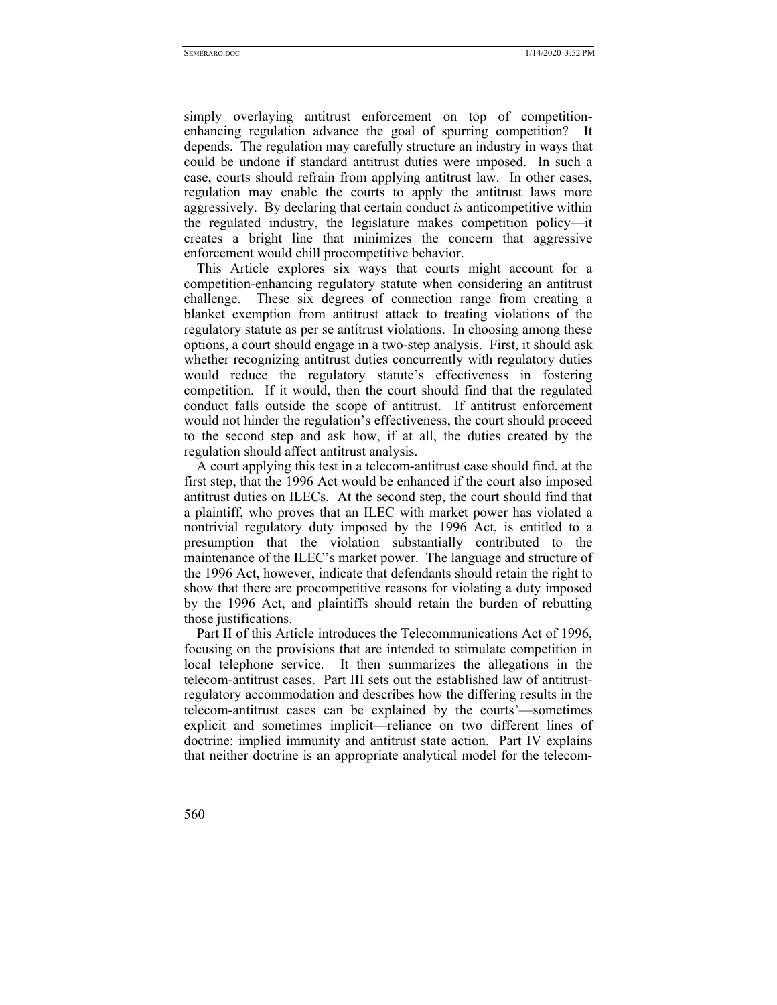simply overlaying antitrust enforcement on top of competitionenhancing regulation advance the goal of spurring competition? It depends. The regulation may carefully structure an industry in ways that could be undone if standard antitrust duties were imposed. In such a case, courts should refrain from applying antitrust law. In other cases, regulation may enable the courts to apply the antitrust laws more aggressively. By declaring that certain conduct *is* anticompetitive within the regulated industry, the legislature makes competition policy—it creates a bright line that minimizes the concern that aggressive enforcement would chill procompetitive behavior.

This Article explores six ways that courts might account for a competition-enhancing regulatory statute when considering an antitrust challenge. These six degrees of connection range from creating a blanket exemption from antitrust attack to treating violations of the regulatory statute as per se antitrust violations. In choosing among these options, a court should engage in a two-step analysis. First, it should ask whether recognizing antitrust duties concurrently with regulatory duties would reduce the regulatory statute's effectiveness in fostering competition. If it would, then the court should find that the regulated conduct falls outside the scope of antitrust. If antitrust enforcement would not hinder the regulation's effectiveness, the court should proceed to the second step and ask how, if at all, the duties created by the regulation should affect antitrust analysis.

A court applying this test in a telecom-antitrust case should find, at the first step, that the 1996 Act would be enhanced if the court also imposed antitrust duties on ILECs. At the second step, the court should find that a plaintiff, who proves that an ILEC with market power has violated a nontrivial regulatory duty imposed by the 1996 Act, is entitled to a presumption that the violation substantially contributed to the maintenance of the ILEC's market power. The language and structure of the 1996 Act, however, indicate that defendants should retain the right to show that there are procompetitive reasons for violating a duty imposed by the 1996 Act, and plaintiffs should retain the burden of rebutting those justifications.

Part II of this Article introduces the Telecommunications Act of 1996, focusing on the provisions that are intended to stimulate competition in local telephone service. It then summarizes the allegations in the telecom-antitrust cases. Part III sets out the established law of antitrustregulatory accommodation and describes how the differing results in the telecom-antitrust cases can be explained by the courts'—sometimes explicit and sometimes implicit—reliance on two different lines of doctrine: implied immunity and antitrust state action. Part IV explains that neither doctrine is an appropriate analytical model for the telecom-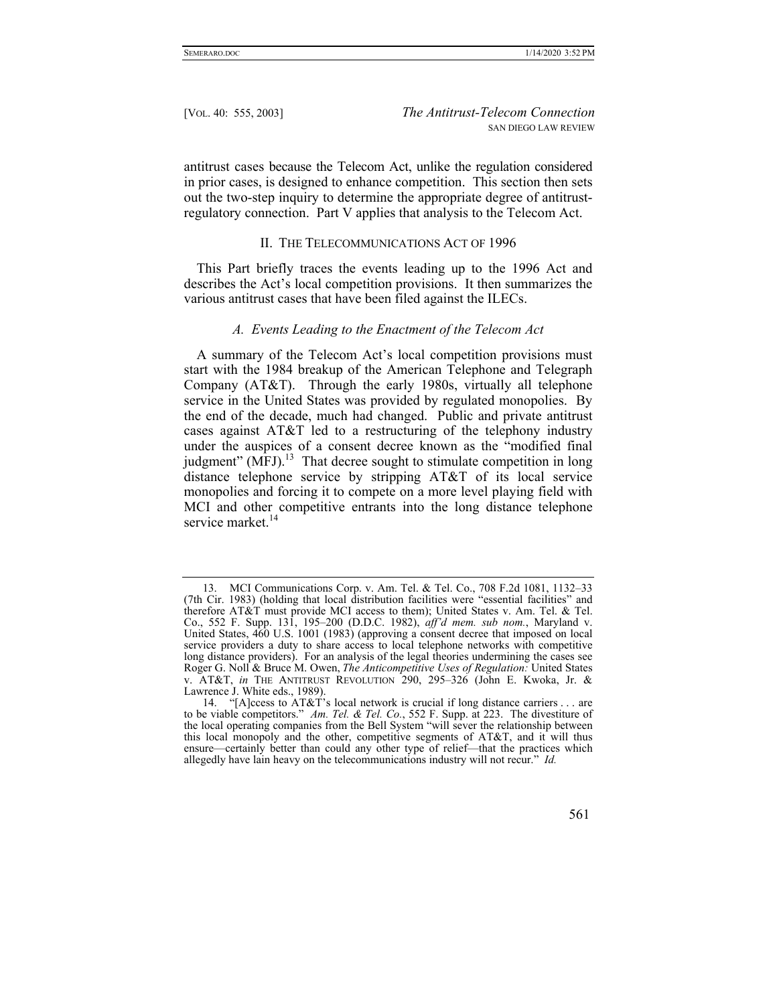antitrust cases because the Telecom Act, unlike the regulation considered in prior cases, is designed to enhance competition. This section then sets out the two-step inquiry to determine the appropriate degree of antitrustregulatory connection. Part V applies that analysis to the Telecom Act.

#### II. THE TELECOMMUNICATIONS ACT OF 1996

This Part briefly traces the events leading up to the 1996 Act and describes the Act's local competition provisions. It then summarizes the various antitrust cases that have been filed against the ILECs.

#### *A. Events Leading to the Enactment of the Telecom Act*

A summary of the Telecom Act's local competition provisions must start with the 1984 breakup of the American Telephone and Telegraph Company (AT&T). Through the early 1980s, virtually all telephone service in the United States was provided by regulated monopolies. By the end of the decade, much had changed. Public and private antitrust cases against AT&T led to a restructuring of the telephony industry under the auspices of a consent decree known as the "modified final judgment"  $(MFJ)^{13}$  That decree sought to stimulate competition in long distance telephone service by stripping AT&T of its local service monopolies and forcing it to compete on a more level playing field with MCI and other competitive entrants into the long distance telephone service market.<sup>14</sup>

 <sup>14. &</sup>quot;[A]ccess to AT&T's local network is crucial if long distance carriers . . . are to be viable competitors." *Am. Tel. & Tel. Co.*, 552 F. Supp. at 223. The divestiture of the local operating companies from the Bell System "will sever the relationship between this local monopoly and the other, competitive segments of AT&T, and it will thus ensure—certainly better than could any other type of relief—that the practices which allegedly have lain heavy on the telecommunications industry will not recur." *Id.*



 <sup>13.</sup> MCI Communications Corp. v. Am. Tel. & Tel. Co., 708 F.2d 1081, 1132–33 (7th Cir. 1983) (holding that local distribution facilities were "essential facilities" and therefore AT&T must provide MCI access to them); United States v. Am. Tel. & Tel. Co., 552 F. Supp. 131, 195–200 (D.D.C. 1982), *aff'd mem. sub nom.*, Maryland v. United States, 460 U.S. 1001 (1983) (approving a consent decree that imposed on local service providers a duty to share access to local telephone networks with competitive long distance providers). For an analysis of the legal theories undermining the cases see Roger G. Noll & Bruce M. Owen, *The Anticompetitive Uses of Regulation:* United States v. AT&T, *in* THE ANTITRUST REVOLUTION 290, 295–326 (John E. Kwoka, Jr. & Lawrence J. White eds., 1989).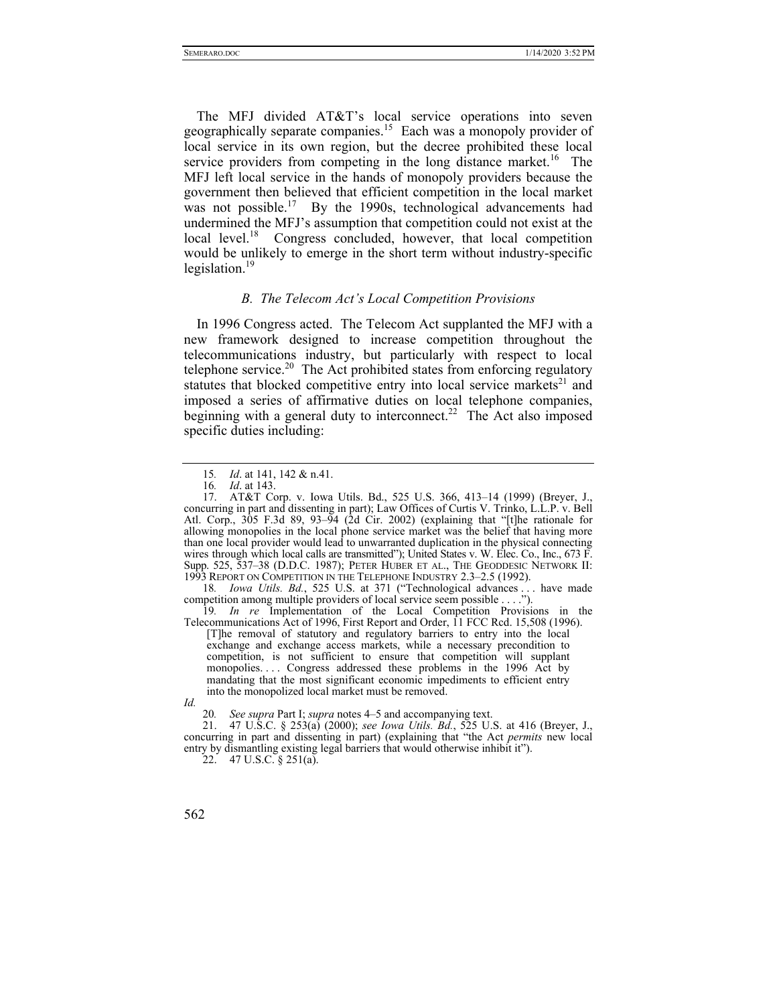The MFJ divided AT&T's local service operations into seven geographically separate companies.<sup>15</sup> Each was a monopoly provider of local service in its own region, but the decree prohibited these local service providers from competing in the long distance market.<sup>16</sup> The MFJ left local service in the hands of monopoly providers because the government then believed that efficient competition in the local market was not possible.<sup>17</sup> By the 1990s, technological advancements had undermined the MFJ's assumption that competition could not exist at the local level.<sup>18</sup> Congress concluded, however, that local competition would be unlikely to emerge in the short term without industry-specific legislation. $19$ 

## *B. The Telecom Act's Local Competition Provisions*

In 1996 Congress acted. The Telecom Act supplanted the MFJ with a new framework designed to increase competition throughout the telecommunications industry, but particularly with respect to local telephone service.<sup>20</sup> The Act prohibited states from enforcing regulatory statutes that blocked competitive entry into local service markets<sup>21</sup> and imposed a series of affirmative duties on local telephone companies, beginning with a general duty to interconnect.<sup>22</sup> The Act also imposed specific duties including:

18*. Iowa Utils. Bd.*, 525 U.S. at 371 ("Technological advances . . . have made competition among multiple providers of local service seem possible . . . .").

19*. In re* Implementation of the Local Competition Provisions in the Telecommunications Act of 1996, First Report and Order, 11 FCC Rcd. 15,508 (1996).

[T]he removal of statutory and regulatory barriers to entry into the local exchange and exchange access markets, while a necessary precondition to competition, is not sufficient to ensure that competition will supplant monopolies.... Congress addressed these problems in the 1996 Act by mandating that the most significant economic impediments to efficient entry into the monopolized local market must be removed.

*Id.*

20*. See supra* Part I; *supra* notes 4–5 and accompanying text.

 21. 47 U.S.C. § 253(a) (2000); *see Iowa Utils. Bd.*, 525 U.S. at 416 (Breyer, J., concurring in part and dissenting in part) (explaining that "the Act *permits* new local entry by dismantling existing legal barriers that would otherwise inhibit it").

 $22.$  47 U.S.C. § 251(a).

<sup>15</sup>*. Id*. at 141, 142 & n.41.

<sup>16</sup>*. Id*. at 143.

 <sup>17.</sup> AT&T Corp. v. Iowa Utils. Bd., 525 U.S. 366, 413–14 (1999) (Breyer, J., concurring in part and dissenting in part); Law Offices of Curtis V. Trinko, L.L.P. v. Bell Atl. Corp., 305 F.3d 89, 93–94 (2d Cir. 2002) (explaining that "[t]he rationale for allowing monopolies in the local phone service market was the belief that having more than one local provider would lead to unwarranted duplication in the physical connecting wires through which local calls are transmitted"); United States v. W. Elec. Co., Inc., 673 F. Supp. 525, 537–38 (D.D.C. 1987); PETER HUBER ET AL., THE GEODDESIC NETWORK II: 1993 REPORT ON COMPETITION IN THE TELEPHONE INDUSTRY 2.3–2.5 (1992).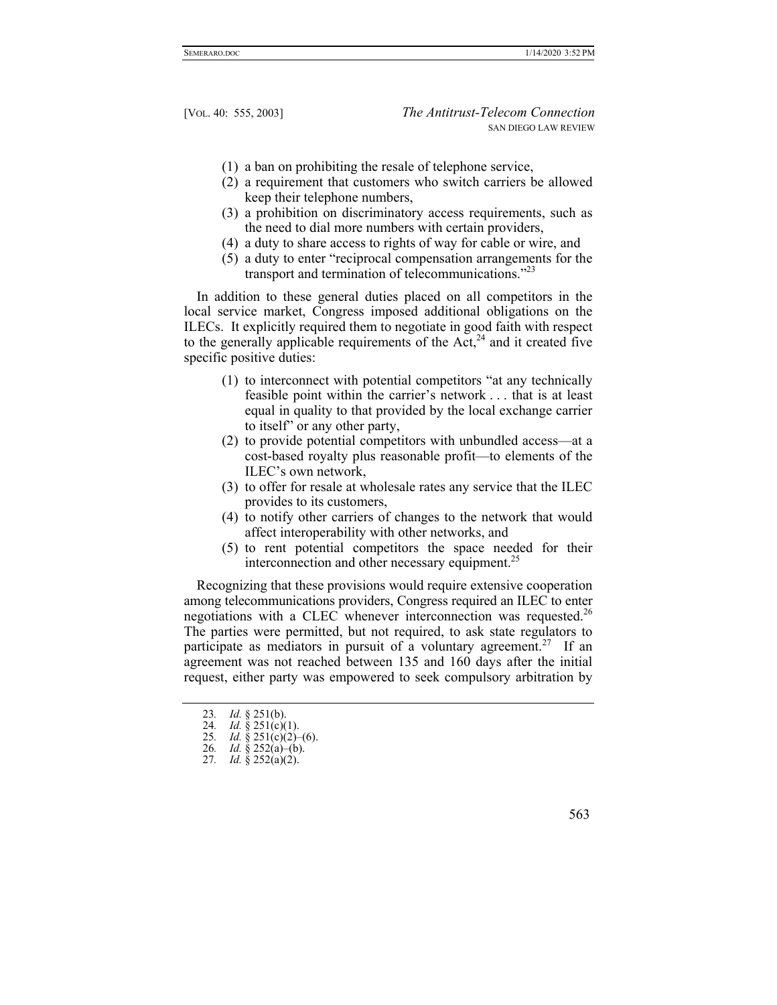- (1) a ban on prohibiting the resale of telephone service,
- (2) a requirement that customers who switch carriers be allowed keep their telephone numbers,
- (3) a prohibition on discriminatory access requirements, such as the need to dial more numbers with certain providers,
- (4) a duty to share access to rights of way for cable or wire, and
- (5) a duty to enter "reciprocal compensation arrangements for the transport and termination of telecommunications."<sup>23</sup>

In addition to these general duties placed on all competitors in the local service market, Congress imposed additional obligations on the ILECs. It explicitly required them to negotiate in good faith with respect to the generally applicable requirements of the  $Act<sub>1</sub><sup>24</sup>$  and it created five specific positive duties:

- (1) to interconnect with potential competitors "at any technically feasible point within the carrier's network . . . that is at least equal in quality to that provided by the local exchange carrier to itself" or any other party,
- (2) to provide potential competitors with unbundled access—at a cost-based royalty plus reasonable profit—to elements of the ILEC's own network,
- (3) to offer for resale at wholesale rates any service that the ILEC provides to its customers,
- (4) to notify other carriers of changes to the network that would affect interoperability with other networks, and
- (5) to rent potential competitors the space needed for their interconnection and other necessary equipment.<sup>25</sup>

Recognizing that these provisions would require extensive cooperation among telecommunications providers, Congress required an ILEC to enter negotiations with a CLEC whenever interconnection was requested.<sup>26</sup> The parties were permitted, but not required, to ask state regulators to participate as mediators in pursuit of a voluntary agreement.<sup>27</sup> If an agreement was not reached between 135 and 160 days after the initial request, either party was empowered to seek compulsory arbitration by

<sup>27</sup>*. Id.* § 252(a)(2).



<sup>23</sup>*. Id.* § 251(b).

<sup>24.</sup> *Id.*  $\check{g}$  251(c)(1).

<sup>25</sup>*. Id.* § 251(c)(2)–(6).

<sup>26</sup>*. Id.* § 252(a)–(b).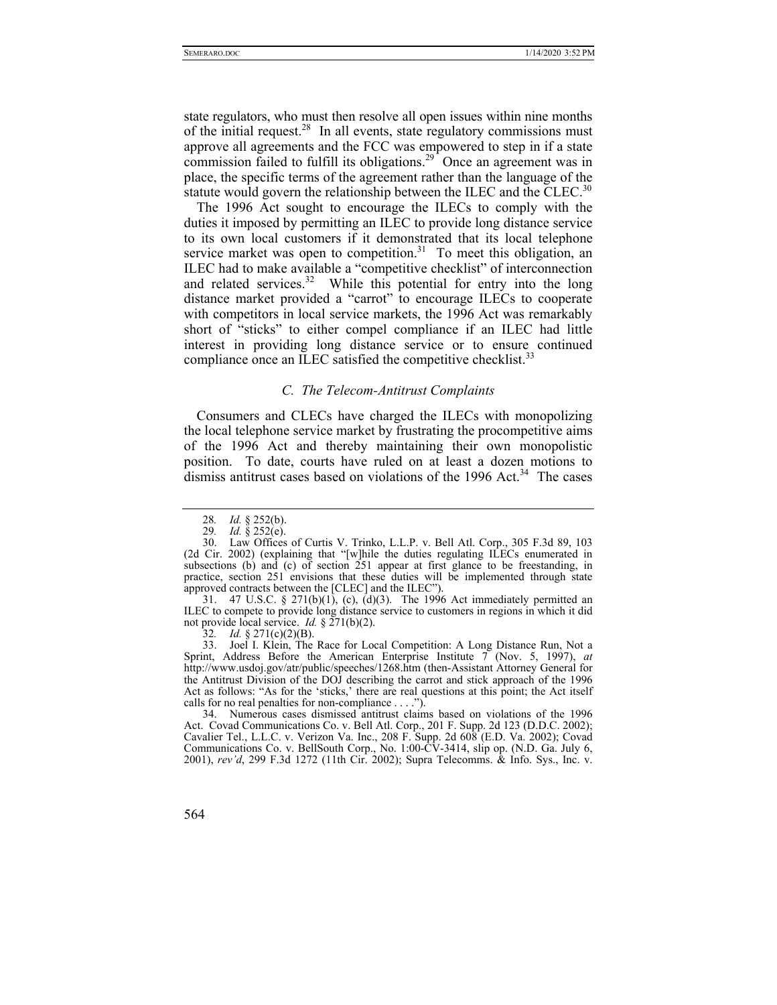state regulators, who must then resolve all open issues within nine months of the initial request.<sup>28</sup> In all events, state regulatory commissions must approve all agreements and the FCC was empowered to step in if a state commission failed to fulfill its obligations.<sup>29</sup> Once an agreement was in place, the specific terms of the agreement rather than the language of the statute would govern the relationship between the ILEC and the CLEC.<sup>30</sup>

The 1996 Act sought to encourage the ILECs to comply with the duties it imposed by permitting an ILEC to provide long distance service to its own local customers if it demonstrated that its local telephone service market was open to competition. $31$  To meet this obligation, an ILEC had to make available a "competitive checklist" of interconnection and related services.<sup>32</sup> While this potential for entry into the long distance market provided a "carrot" to encourage ILECs to cooperate with competitors in local service markets, the 1996 Act was remarkably short of "sticks" to either compel compliance if an ILEC had little interest in providing long distance service or to ensure continued compliance once an ILEC satisfied the competitive checklist.<sup>33</sup>

#### *C. The Telecom-Antitrust Complaints*

Consumers and CLECs have charged the ILECs with monopolizing the local telephone service market by frustrating the procompetitive aims of the 1996 Act and thereby maintaining their own monopolistic position. To date, courts have ruled on at least a dozen motions to dismiss antitrust cases based on violations of the  $1996$  Act.<sup>34</sup> The cases

 31. 47 U.S.C. § 271(b)(1), (c), (d)(3). The 1996 Act immediately permitted an ILEC to compete to provide long distance service to customers in regions in which it did not provide local service. *Id.* § 271(b)(2).

32. *Id.* § 271(c)(2)(B).

 33. Joel I. Klein, The Race for Local Competition: A Long Distance Run, Not a Sprint, Address Before the American Enterprise Institute 7 (Nov. 5, 1997), *at* http://www.usdoj.gov/atr/public/speeches/1268.htm (then-Assistant Attorney General for the Antitrust Division of the DOJ describing the carrot and stick approach of the 1996 Act as follows: "As for the 'sticks,' there are real questions at this point; the Act itself calls for no real penalties for non-compliance . . . .").

 34. Numerous cases dismissed antitrust claims based on violations of the 1996 Act. Covad Communications Co. v. Bell Atl. Corp., 201 F. Supp. 2d 123 (D.D.C. 2002); Cavalier Tel., L.L.C. v. Verizon Va. Inc., 208 F. Supp. 2d 608 (E.D. Va. 2002); Covad Communications Co. v. BellSouth Corp., No. 1:00-CV-3414, slip op. (N.D. Ga. July 6, 2001), *rev'd*, 299 F.3d 1272 (11th Cir. 2002); Supra Telecomms. & Info. Sys., Inc. v.

<sup>28</sup>*. Id.* § 252(b).

<sup>29</sup>*. Id.* § 252(e).

 <sup>30.</sup> Law Offices of Curtis V. Trinko, L.L.P. v. Bell Atl. Corp., 305 F.3d 89, 103 (2d Cir. 2002) (explaining that "[w]hile the duties regulating ILECs enumerated in subsections (b) and (c) of section 251 appear at first glance to be freestanding, in practice, section 251 envisions that these duties will be implemented through state approved contracts between the [CLEC] and the ILEC").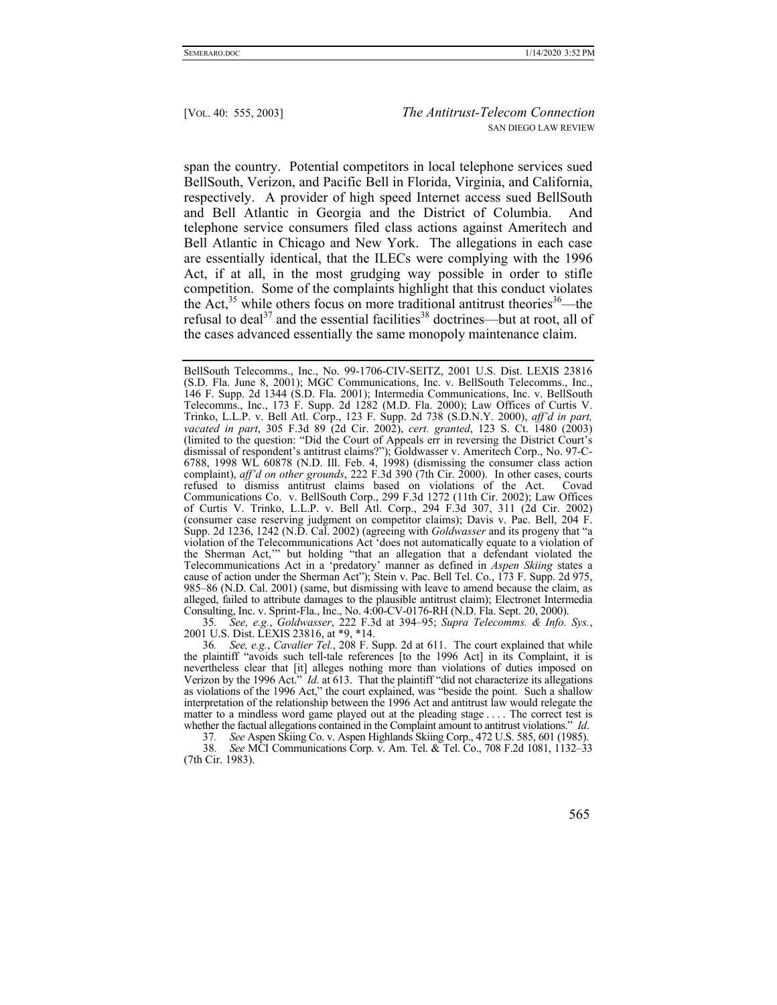span the country. Potential competitors in local telephone services sued BellSouth, Verizon, and Pacific Bell in Florida, Virginia, and California, respectively. A provider of high speed Internet access sued BellSouth and Bell Atlantic in Georgia and the District of Columbia. And telephone service consumers filed class actions against Ameritech and Bell Atlantic in Chicago and New York. The allegations in each case are essentially identical, that the ILECs were complying with the 1996 Act, if at all, in the most grudging way possible in order to stifle competition. Some of the complaints highlight that this conduct violates the Act,<sup>35</sup> while others focus on more traditional antitrust theories<sup>36</sup>—the refusal to deal<sup>37</sup> and the essential facilities<sup>38</sup> doctrines—but at root, all of the cases advanced essentially the same monopoly maintenance claim.

35*. See, e.g.*, *Goldwasser*, 222 F.3d at 394–95; *Supra Telecomms. & Info. Sys.*, 2001 U.S. Dist. LEXIS 23816, at \*9, \*14.

36*. See, e.g.*, *Cavalier Tel.*, 208 F. Supp. 2d at 611. The court explained that while the plaintiff "avoids such tell-tale references [to the 1996 Act] in its Complaint, it is nevertheless clear that [it] alleges nothing more than violations of duties imposed on Verizon by the 1996 Act." *Id*. at 613. That the plaintiff "did not characterize its allegations as violations of the 1996 Act," the court explained, was "beside the point. Such a shallow interpretation of the relationship between the 1996 Act and antitrust law would relegate the matter to a mindless word game played out at the pleading stage . . . . The correct test is whether the factual allegations contained in the Complaint amount to antitrust violations." *Id*.

37*. See* Aspen Skiing Co. v. Aspen Highlands Skiing Corp., 472 U.S. 585, 601 (1985).

38*. See* MCI Communications Corp. v. Am. Tel. & Tel. Co., 708 F.2d 1081, 1132–33 (7th Cir. 1983).

BellSouth Telecomms., Inc., No. 99-1706-CIV-SEITZ, 2001 U.S. Dist. LEXIS 23816 (S.D. Fla. June 8, 2001); MGC Communications, Inc. v. BellSouth Telecomms., Inc., 146 F. Supp. 2d 1344 (S.D. Fla. 2001); Intermedia Communications, Inc. v. BellSouth Telecomms., Inc., 173 F. Supp. 2d 1282 (M.D. Fla. 2000); Law Offices of Curtis V. Trinko, L.L.P. v. Bell Atl. Corp., 123 F. Supp. 2d 738 (S.D.N.Y. 2000), *aff'd in part, vacated in part*, 305 F.3d 89 (2d Cir. 2002), *cert. granted*, 123 S. Ct. 1480 (2003) (limited to the question: "Did the Court of Appeals err in reversing the District Court's dismissal of respondent's antitrust claims?"); Goldwasser v. Ameritech Corp., No. 97-C-6788, 1998 WL 60878 (N.D. Ill. Feb. 4, 1998) (dismissing the consumer class action complaint), *aff'd on other grounds*, 222 F.3d 390 (7th Cir. 2000). In other cases, courts refused to dismiss antitrust claims based on violations of the Act. Covad Communications Co. v. BellSouth Corp., 299 F.3d 1272 (11th Cir. 2002); Law Offices of Curtis V. Trinko, L.L.P. v. Bell Atl. Corp., 294 F.3d 307, 311 (2d Cir. 2002) (consumer case reserving judgment on competitor claims); Davis v. Pac. Bell, 204 F. Supp. 2d 1236, 1242 (N.D. Cal. 2002) (agreeing with *Goldwasser* and its progeny that "a violation of the Telecommunications Act 'does not automatically equate to a violation of the Sherman Act,'" but holding "that an allegation that a defendant violated the Telecommunications Act in a 'predatory' manner as defined in *Aspen Skiing* states a cause of action under the Sherman Act"); Stein v. Pac. Bell Tel. Co., 173 F. Supp. 2d 975, 985–86 (N.D. Cal. 2001) (same, but dismissing with leave to amend because the claim, as alleged, failed to attribute damages to the plausible antitrust claim); Electronet Intermedia Consulting, Inc. v. Sprint-Fla., Inc., No. 4:00-CV-0176-RH (N.D. Fla. Sept. 20, 2000).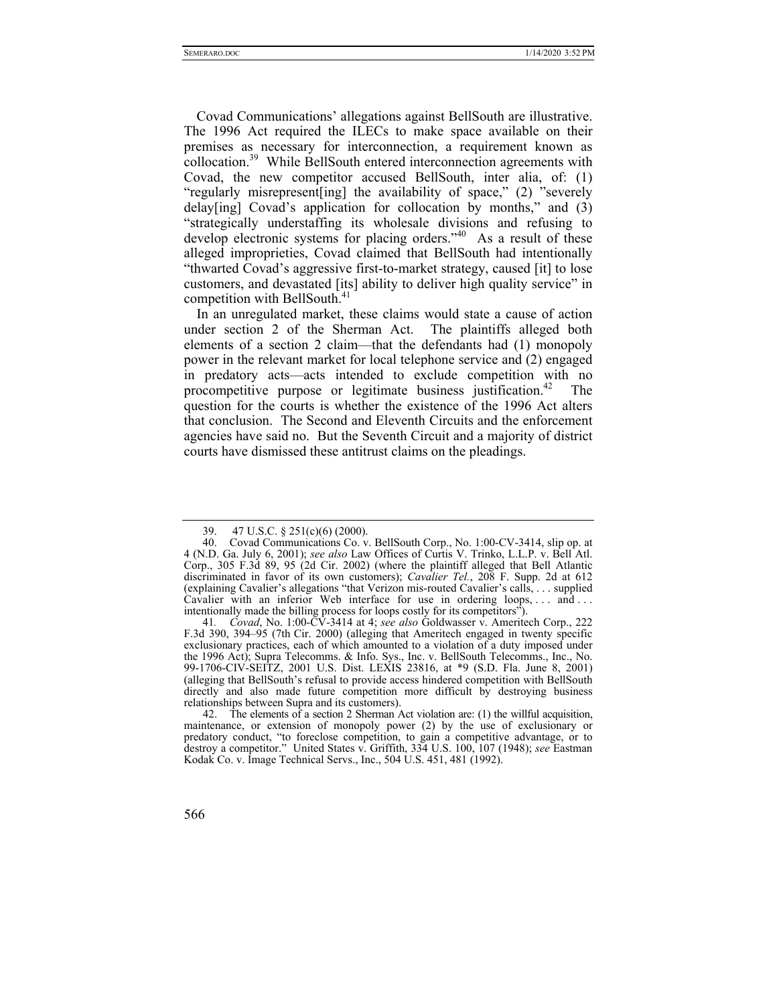Covad Communications' allegations against BellSouth are illustrative. The 1996 Act required the ILECs to make space available on their premises as necessary for interconnection, a requirement known as collocation.39 While BellSouth entered interconnection agreements with Covad, the new competitor accused BellSouth, inter alia, of: (1) "regularly misrepresent[ing] the availability of space," (2) "severely delay[ing] Covad's application for collocation by months," and (3) "strategically understaffing its wholesale divisions and refusing to develop electronic systems for placing orders."<sup>40</sup> As a result of these alleged improprieties, Covad claimed that BellSouth had intentionally "thwarted Covad's aggressive first-to-market strategy, caused [it] to lose customers, and devastated [its] ability to deliver high quality service" in competition with BellSouth.<sup>41</sup>

In an unregulated market, these claims would state a cause of action under section 2 of the Sherman Act. The plaintiffs alleged both elements of a section 2 claim—that the defendants had (1) monopoly power in the relevant market for local telephone service and (2) engaged in predatory acts—acts intended to exclude competition with no procompetitive purpose or legitimate business justification.<sup>42</sup> The question for the courts is whether the existence of the 1996 Act alters that conclusion. The Second and Eleventh Circuits and the enforcement agencies have said no. But the Seventh Circuit and a majority of district courts have dismissed these antitrust claims on the pleadings.

 <sup>42.</sup> The elements of a section 2 Sherman Act violation are: (1) the willful acquisition, maintenance, or extension of monopoly power (2) by the use of exclusionary or predatory conduct, "to foreclose competition, to gain a competitive advantage, or to destroy a competitor." United States v. Griffith, 334 U.S. 100, 107 (1948); *see* Eastman Kodak Co. v. Image Technical Servs., Inc., 504 U.S. 451, 481 (1992).



 <sup>39. 47</sup> U.S.C. § 251(c)(6) (2000).

 <sup>40.</sup> Covad Communications Co. v. BellSouth Corp., No. 1:00-CV-3414, slip op. at 4 (N.D. Ga. July 6, 2001); *see also* Law Offices of Curtis V. Trinko, L.L.P. v. Bell Atl. Corp., 305 F.3d 89, 95 (2d Cir. 2002) (where the plaintiff alleged that Bell Atlantic discriminated in favor of its own customers); *Cavalier Tel.*, 208 F. Supp. 2d at 612 (explaining Cavalier's allegations "that Verizon mis-routed Cavalier's calls, . . . supplied Cavalier with an inferior Web interface for use in ordering loops, ... and ... intentionally made the billing process for loops costly for its competitors").

<sup>41</sup>*. Covad*, No. 1:00-CV-3414 at 4; *see also* Goldwasser v. Ameritech Corp., 222 F.3d 390, 394–95 (7th Cir. 2000) (alleging that Ameritech engaged in twenty specific exclusionary practices, each of which amounted to a violation of a duty imposed under the 1996 Act); Supra Telecomms. & Info. Sys., Inc. v. BellSouth Telecomms., Inc., No. 99-1706-CIV-SEITZ, 2001 U.S. Dist. LEXIS 23816, at \*9 (S.D. Fla. June 8, 2001) (alleging that BellSouth's refusal to provide access hindered competition with BellSouth directly and also made future competition more difficult by destroying business relationships between Supra and its customers).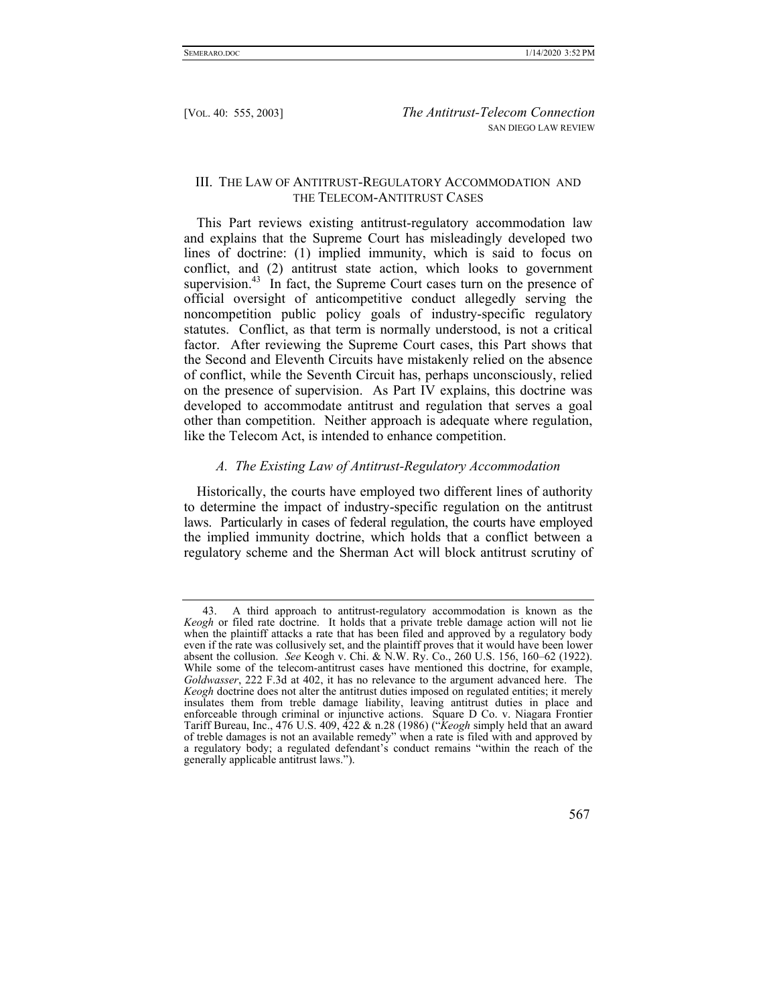#### III. THE LAW OF ANTITRUST-REGULATORY ACCOMMODATION AND THE TELECOM-ANTITRUST CASES

This Part reviews existing antitrust-regulatory accommodation law and explains that the Supreme Court has misleadingly developed two lines of doctrine: (1) implied immunity, which is said to focus on conflict, and (2) antitrust state action, which looks to government supervision.<sup>43</sup> In fact, the Supreme Court cases turn on the presence of official oversight of anticompetitive conduct allegedly serving the noncompetition public policy goals of industry-specific regulatory statutes. Conflict, as that term is normally understood, is not a critical factor. After reviewing the Supreme Court cases, this Part shows that the Second and Eleventh Circuits have mistakenly relied on the absence of conflict, while the Seventh Circuit has, perhaps unconsciously, relied on the presence of supervision. As Part IV explains, this doctrine was developed to accommodate antitrust and regulation that serves a goal other than competition. Neither approach is adequate where regulation, like the Telecom Act, is intended to enhance competition.

## *A. The Existing Law of Antitrust-Regulatory Accommodation*

Historically, the courts have employed two different lines of authority to determine the impact of industry-specific regulation on the antitrust laws. Particularly in cases of federal regulation, the courts have employed the implied immunity doctrine, which holds that a conflict between a regulatory scheme and the Sherman Act will block antitrust scrutiny of

 <sup>43.</sup> A third approach to antitrust-regulatory accommodation is known as the *Keogh* or filed rate doctrine. It holds that a private treble damage action will not lie when the plaintiff attacks a rate that has been filed and approved by a regulatory body even if the rate was collusively set, and the plaintiff proves that it would have been lower absent the collusion. *See* Keogh v. Chi. & N.W. Ry. Co., 260 U.S. 156, 160–62 (1922). While some of the telecom-antitrust cases have mentioned this doctrine, for example, *Goldwasser*, 222 F.3d at 402, it has no relevance to the argument advanced here. The *Keogh* doctrine does not alter the antitrust duties imposed on regulated entities; it merely insulates them from treble damage liability, leaving antitrust duties in place and enforceable through criminal or injunctive actions. Square D Co. v. Niagara Frontier Tariff Bureau, Inc., 476 U.S. 409, 422 & n.28 (1986) ("*Keogh* simply held that an award of treble damages is not an available remedy" when a rate is filed with and approved by a regulatory body; a regulated defendant's conduct remains "within the reach of the generally applicable antitrust laws.").

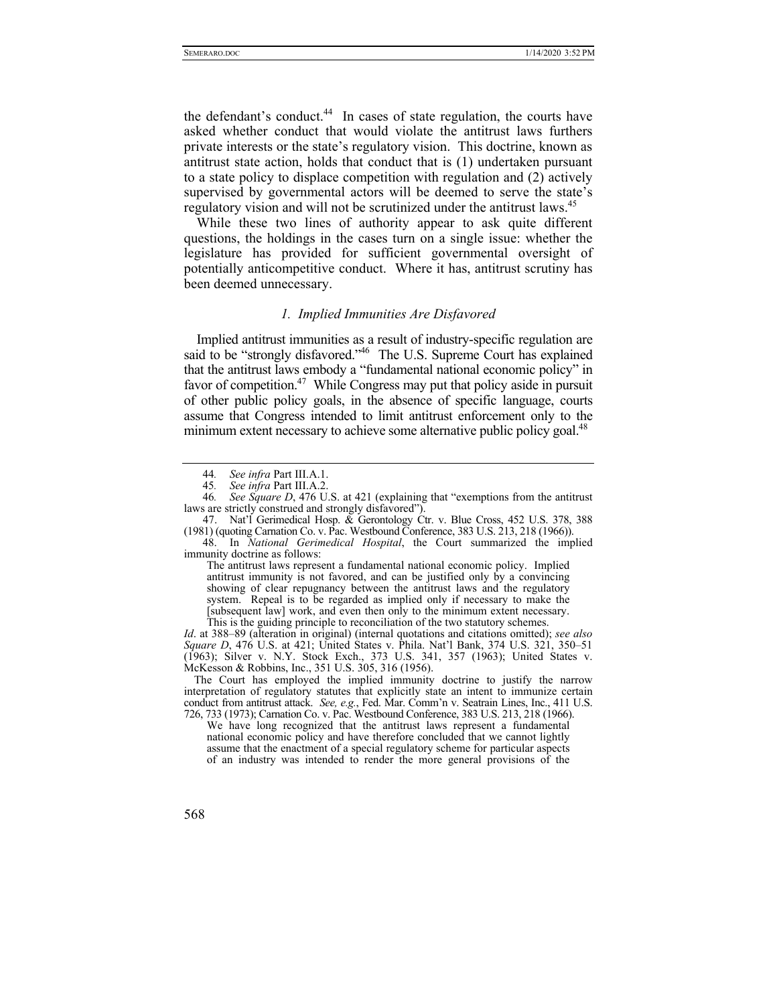the defendant's conduct.<sup>44</sup> In cases of state regulation, the courts have asked whether conduct that would violate the antitrust laws furthers private interests or the state's regulatory vision. This doctrine, known as antitrust state action, holds that conduct that is (1) undertaken pursuant to a state policy to displace competition with regulation and (2) actively supervised by governmental actors will be deemed to serve the state's regulatory vision and will not be scrutinized under the antitrust laws.<sup>45</sup>

While these two lines of authority appear to ask quite different questions, the holdings in the cases turn on a single issue: whether the legislature has provided for sufficient governmental oversight of potentially anticompetitive conduct. Where it has, antitrust scrutiny has been deemed unnecessary.

#### *1. Implied Immunities Are Disfavored*

Implied antitrust immunities as a result of industry-specific regulation are said to be "strongly disfavored."<sup>46</sup> The U.S. Supreme Court has explained that the antitrust laws embody a "fundamental national economic policy" in favor of competition.<sup>47</sup> While Congress may put that policy aside in pursuit of other public policy goals, in the absence of specific language, courts assume that Congress intended to limit antitrust enforcement only to the minimum extent necessary to achieve some alternative public policy goal.<sup>48</sup>

The antitrust laws represent a fundamental national economic policy. Implied antitrust immunity is not favored, and can be justified only by a convincing showing of clear repugnancy between the antitrust laws and the regulatory system. Repeal is to be regarded as implied only if necessary to make the [subsequent law] work, and even then only to the minimum extent necessary. This is the guiding principle to reconciliation of the two statutory schemes.

*Id*. at 388–89 (alteration in original) (internal quotations and citations omitted); *see also Square D*, 476 U.S. at 421; United States v. Phila. Nat'l Bank, 374 U.S. 321, 350–51 (1963); Silver v. N.Y. Stock Exch., 373 U.S. 341, 357 (1963); United States v. McKesson & Robbins, Inc., 351 U.S. 305, 316 (1956).

The Court has employed the implied immunity doctrine to justify the narrow interpretation of regulatory statutes that explicitly state an intent to immunize certain conduct from antitrust attack. *See, e.g.*, Fed. Mar. Comm'n v. Seatrain Lines, Inc., 411 U.S. 726, 733 (1973); Carnation Co. v. Pac. Westbound Conference, 383 U.S. 213, 218 (1966).

We have long recognized that the antitrust laws represent a fundamental national economic policy and have therefore concluded that we cannot lightly assume that the enactment of a special regulatory scheme for particular aspects of an industry was intended to render the more general provisions of the



<sup>44</sup>*. See infra* Part III.A.1.

<sup>45</sup>*. See infra* Part III.A.2.

<sup>46</sup>*. See Square D*, 476 U.S. at 421 (explaining that "exemptions from the antitrust laws are strictly construed and strongly disfavored").

 <sup>47.</sup> Nat'l Gerimedical Hosp. & Gerontology Ctr. v. Blue Cross, 452 U.S. 378, 388 (1981) (quoting Carnation Co. v. Pac. Westbound Conference, 383 U.S. 213, 218 (1966)).

 <sup>48.</sup> In *National Gerimedical Hospital*, the Court summarized the implied immunity doctrine as follows: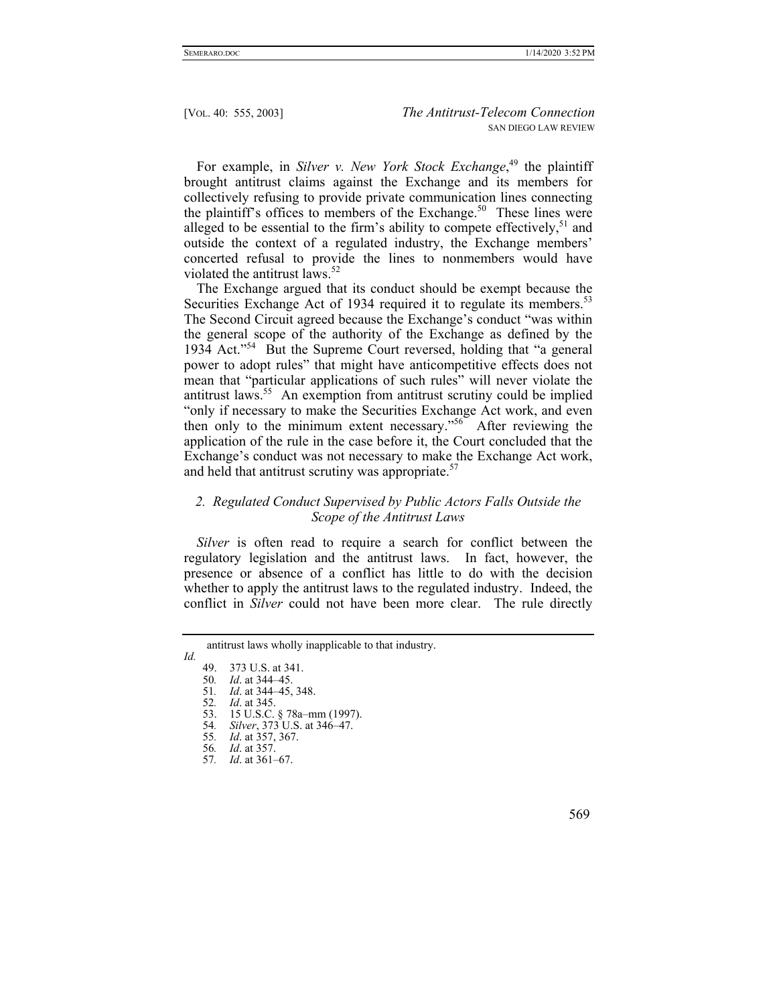For example, in *Silver v. New York Stock Exchange*, 49 the plaintiff brought antitrust claims against the Exchange and its members for collectively refusing to provide private communication lines connecting the plaintiff's offices to members of the Exchange.<sup>50</sup> These lines were alleged to be essential to the firm's ability to compete effectively,  $51$  and outside the context of a regulated industry, the Exchange members' concerted refusal to provide the lines to nonmembers would have violated the antitrust laws.<sup>52</sup>

The Exchange argued that its conduct should be exempt because the Securities Exchange Act of 1934 required it to regulate its members.<sup>53</sup> The Second Circuit agreed because the Exchange's conduct "was within the general scope of the authority of the Exchange as defined by the 1934 Act."54 But the Supreme Court reversed, holding that "a general power to adopt rules" that might have anticompetitive effects does not mean that "particular applications of such rules" will never violate the antitrust laws.<sup>55</sup> An exemption from antitrust scrutiny could be implied "only if necessary to make the Securities Exchange Act work, and even then only to the minimum extent necessary."56 After reviewing the application of the rule in the case before it, the Court concluded that the Exchange's conduct was not necessary to make the Exchange Act work, and held that antitrust scrutiny was appropriate. $57$ 

# *2. Regulated Conduct Supervised by Public Actors Falls Outside the Scope of the Antitrust Laws*

*Silver* is often read to require a search for conflict between the regulatory legislation and the antitrust laws. In fact, however, the presence or absence of a conflict has little to do with the decision whether to apply the antitrust laws to the regulated industry. Indeed, the conflict in *Silver* could not have been more clear. The rule directly

*Id.*

55*. Id*. at 357, 367.

antitrust laws wholly inapplicable to that industry.

 <sup>49. 373</sup> U.S. at 341.

<sup>50</sup>*. Id*. at 344–45.

<sup>51</sup>*. Id*. at 344–45, 348. 52*. Id*. at 345.

 <sup>53. 15</sup> U.S.C. § 78a–mm (1997). 54*. Silver*, 373 U.S. at 346–47.

<sup>56</sup>*. Id*. at 357. 57*. Id*. at 361–67.

 <sup>569</sup>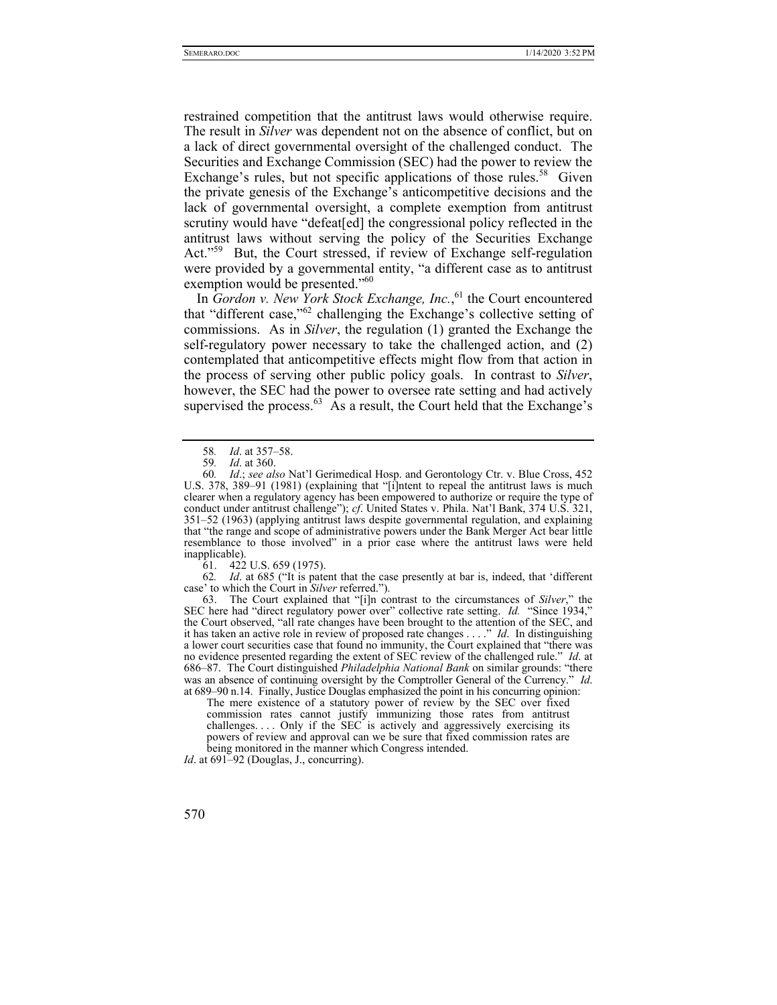restrained competition that the antitrust laws would otherwise require. The result in *Silver* was dependent not on the absence of conflict, but on a lack of direct governmental oversight of the challenged conduct. The Securities and Exchange Commission (SEC) had the power to review the Exchange's rules, but not specific applications of those rules.<sup>58</sup> Given the private genesis of the Exchange's anticompetitive decisions and the lack of governmental oversight, a complete exemption from antitrust scrutiny would have "defeat[ed] the congressional policy reflected in the antitrust laws without serving the policy of the Securities Exchange Act."<sup>59</sup> But, the Court stressed, if review of Exchange self-regulation were provided by a governmental entity, "a different case as to antitrust exemption would be presented."<sup>60</sup>

In *Gordon v. New York Stock Exchange, Inc.*, 61 the Court encountered that "different case,"62 challenging the Exchange's collective setting of commissions. As in *Silver*, the regulation (1) granted the Exchange the self-regulatory power necessary to take the challenged action, and (2) contemplated that anticompetitive effects might flow from that action in the process of serving other public policy goals. In contrast to *Silver*, however, the SEC had the power to oversee rate setting and had actively supervised the process.<sup>63</sup> As a result, the Court held that the Exchange's

61. 422 U.S. 659 (1975).

62*. Id*. at 685 ("It is patent that the case presently at bar is, indeed, that 'different case' to which the Court in *Silver* referred.").

 63. The Court explained that "[i]n contrast to the circumstances of *Silver*," the SEC here had "direct regulatory power over" collective rate setting. *Id.* "Since 1934," the Court observed, "all rate changes have been brought to the attention of the SEC, and it has taken an active role in review of proposed rate changes . . . ." *Id*. In distinguishing a lower court securities case that found no immunity, the Court explained that "there was no evidence presented regarding the extent of SEC review of the challenged rule." *Id*. at 686–87. The Court distinguished *Philadelphia National Bank* on similar grounds: "there was an absence of continuing oversight by the Comptroller General of the Currency." *Id*. at 689–90 n.14. Finally, Justice Douglas emphasized the point in his concurring opinion:

The mere existence of a statutory power of review by the SEC over fixed commission rates cannot justify immunizing those rates from antitrust challenges.... Only if the SEC is actively and aggressively exercising its powers of review and approval can we be sure that fixed commission rates are being monitored in the manner which Congress intended.

*Id.* at 691–92 (Douglas, J., concurring).

<sup>58</sup>*. Id*. at 357–58.

<sup>59</sup>*. Id*. at 360.

<sup>60</sup>*. Id*.; *see also* Nat'l Gerimedical Hosp. and Gerontology Ctr. v. Blue Cross, 452 U.S. 378, 389–91 (1981) (explaining that "[i]ntent to repeal the antitrust laws is much clearer when a regulatory agency has been empowered to authorize or require the type of conduct under antitrust challenge"); *cf*. United States v. Phila. Nat'l Bank, 374 U.S. 321, 351–52 (1963) (applying antitrust laws despite governmental regulation, and explaining that "the range and scope of administrative powers under the Bank Merger Act bear little resemblance to those involved" in a prior case where the antitrust laws were held inapplicable).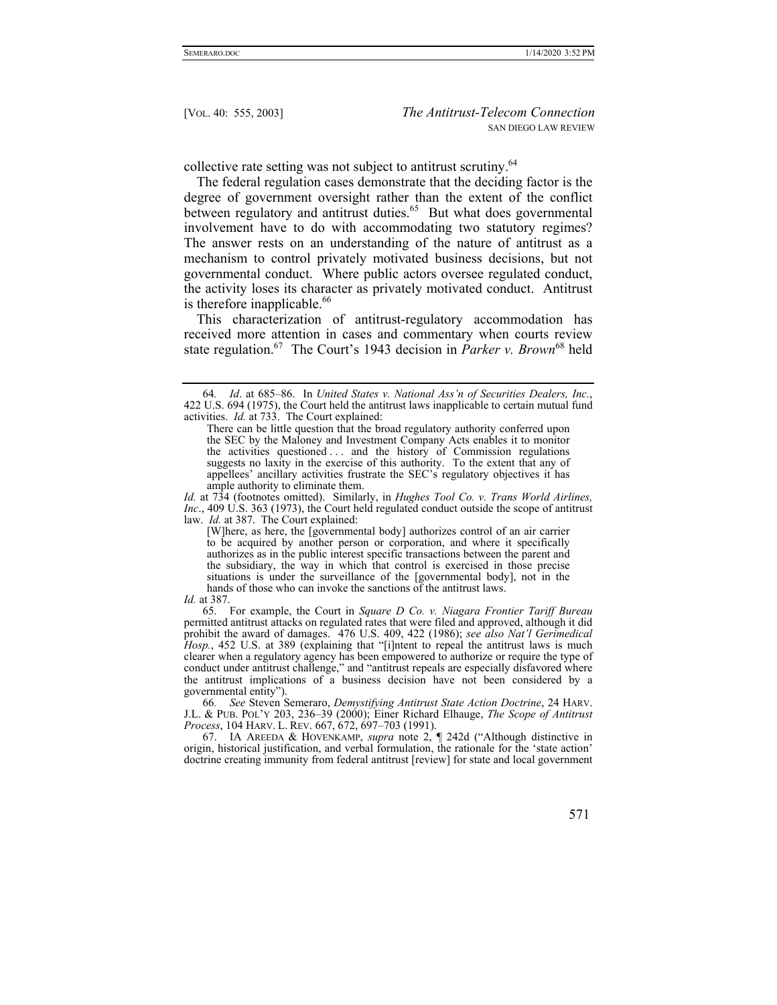collective rate setting was not subject to antitrust scrutiny.<sup>64</sup>

The federal regulation cases demonstrate that the deciding factor is the degree of government oversight rather than the extent of the conflict between regulatory and antitrust duties.<sup>65</sup> But what does governmental involvement have to do with accommodating two statutory regimes? The answer rests on an understanding of the nature of antitrust as a mechanism to control privately motivated business decisions, but not governmental conduct. Where public actors oversee regulated conduct, the activity loses its character as privately motivated conduct. Antitrust is therefore inapplicable. $66$ 

This characterization of antitrust-regulatory accommodation has received more attention in cases and commentary when courts review state regulation.67 The Court's 1943 decision in *Parker v. Brown*<sup>68</sup> held

 65. For example, the Court in *Square D Co. v. Niagara Frontier Tariff Bureau*  permitted antitrust attacks on regulated rates that were filed and approved, although it did prohibit the award of damages. 476 U.S. 409, 422 (1986); *see also Nat'l Gerimedical Hosp.*, 452 U.S. at 389 (explaining that "[i]ntent to repeal the antitrust laws is much clearer when a regulatory agency has been empowered to authorize or require the type of conduct under antitrust challenge," and "antitrust repeals are especially disfavored where the antitrust implications of a business decision have not been considered by a governmental entity").

66*. See* Steven Semeraro, *Demystifying Antitrust State Action Doctrine*, 24 HARV. J.L. & PUB. POL'Y 203, 236–39 (2000); Einer Richard Elhauge, *The Scope of Antitrust Process*, 104 HARV. L. REV. 667, 672, 697–703 (1991).

 67. IA AREEDA & HOVENKAMP, *supra* note 2, ¶ 242d ("Although distinctive in origin, historical justification, and verbal formulation, the rationale for the 'state action' doctrine creating immunity from federal antitrust [review] for state and local government

<sup>64</sup>*. Id*. at 685–86. In *United States v. National Ass'n of Securities Dealers, Inc.*, 422 U.S. 694 (1975), the Court held the antitrust laws inapplicable to certain mutual fund activities. *Id.* at 733. The Court explained:

There can be little question that the broad regulatory authority conferred upon the SEC by the Maloney and Investment Company Acts enables it to monitor the activities questioned . . . and the history of Commission regulations suggests no laxity in the exercise of this authority. To the extent that any of appellees' ancillary activities frustrate the SEC's regulatory objectives it has ample authority to eliminate them.

*Id.* at 734 (footnotes omitted). Similarly, in *Hughes Tool Co. v. Trans World Airlines, Inc*., 409 U.S. 363 (1973), the Court held regulated conduct outside the scope of antitrust law. *Id.* at 387. The Court explained:

<sup>[</sup>W]here, as here, the [governmental body] authorizes control of an air carrier to be acquired by another person or corporation, and where it specifically authorizes as in the public interest specific transactions between the parent and the subsidiary, the way in which that control is exercised in those precise situations is under the surveillance of the [governmental body], not in the hands of those who can invoke the sanctions of the antitrust laws.

*Id.* at 387.

 <sup>571</sup>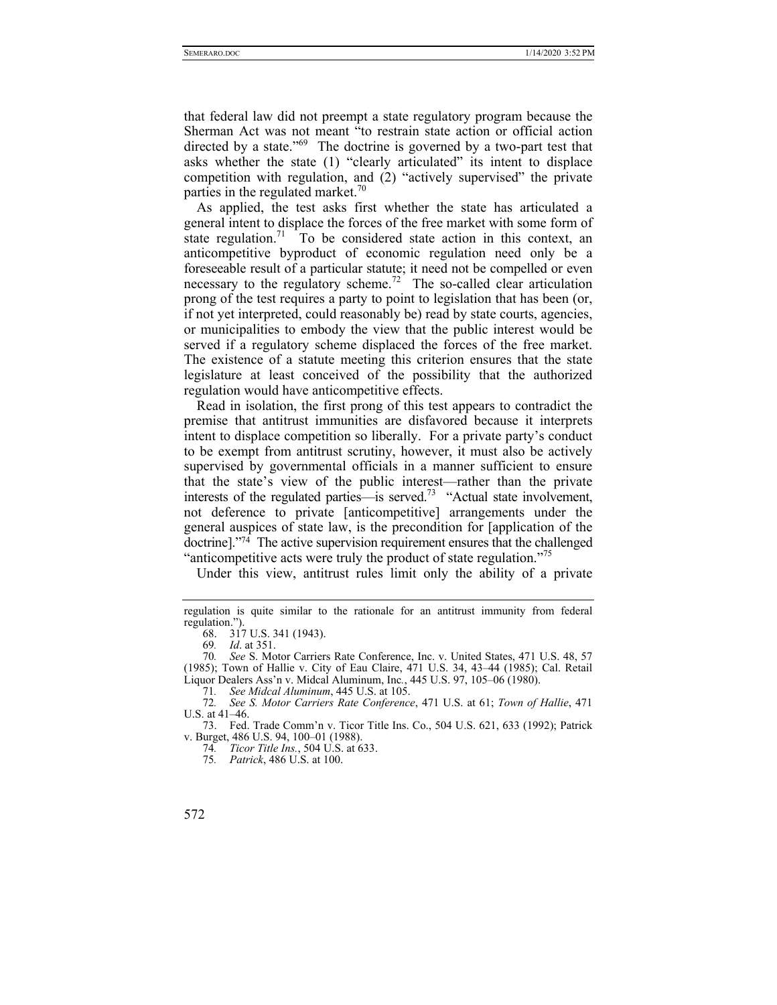that federal law did not preempt a state regulatory program because the Sherman Act was not meant "to restrain state action or official action directed by a state."<sup>69</sup> The doctrine is governed by a two-part test that asks whether the state (1) "clearly articulated" its intent to displace competition with regulation, and (2) "actively supervised" the private parties in the regulated market.<sup>70</sup>

As applied, the test asks first whether the state has articulated a general intent to displace the forces of the free market with some form of state regulation.<sup>71</sup> To be considered state action in this context, an anticompetitive byproduct of economic regulation need only be a foreseeable result of a particular statute; it need not be compelled or even necessary to the regulatory scheme.<sup>72</sup> The so-called clear articulation prong of the test requires a party to point to legislation that has been (or, if not yet interpreted, could reasonably be) read by state courts, agencies, or municipalities to embody the view that the public interest would be served if a regulatory scheme displaced the forces of the free market. The existence of a statute meeting this criterion ensures that the state legislature at least conceived of the possibility that the authorized regulation would have anticompetitive effects.

Read in isolation, the first prong of this test appears to contradict the premise that antitrust immunities are disfavored because it interprets intent to displace competition so liberally. For a private party's conduct to be exempt from antitrust scrutiny, however, it must also be actively supervised by governmental officials in a manner sufficient to ensure that the state's view of the public interest—rather than the private interests of the regulated parties—is served.<sup>73</sup> "Actual state involvement, not deference to private [anticompetitive] arrangements under the general auspices of state law, is the precondition for [application of the doctrine]."74 The active supervision requirement ensures that the challenged "anticompetitive acts were truly the product of state regulation."<sup>75</sup>

Under this view, antitrust rules limit only the ability of a private

regulation is quite similar to the rationale for an antitrust immunity from federal regulation.").

 <sup>68. 317</sup> U.S. 341 (1943).

<sup>69</sup>*. Id*. at 351.

<sup>70</sup>*. See* S. Motor Carriers Rate Conference, Inc. v. United States, 471 U.S. 48, 57 (1985); Town of Hallie v. City of Eau Claire, 471 U.S. 34, 43–44 (1985); Cal. Retail Liquor Dealers Ass'n v. Midcal Aluminum, Inc*.*, 445 U.S. 97, 105–06 (1980).

<sup>71</sup>*. See Midcal Aluminum*, 445 U.S. at 105.

<sup>72</sup>*. See S. Motor Carriers Rate Conference*, 471 U.S. at 61; *Town of Hallie*, 471 U.S. at 41–46.

 <sup>73.</sup> Fed. Trade Comm'n v. Ticor Title Ins. Co., 504 U.S. 621, 633 (1992); Patrick v. Burget, 486 U.S. 94, 100–01 (1988).

<sup>74</sup>*. Ticor Title Ins.*, 504 U.S. at 633.

<sup>75</sup>*. Patrick*, 486 U.S. at 100.

<sup>572</sup>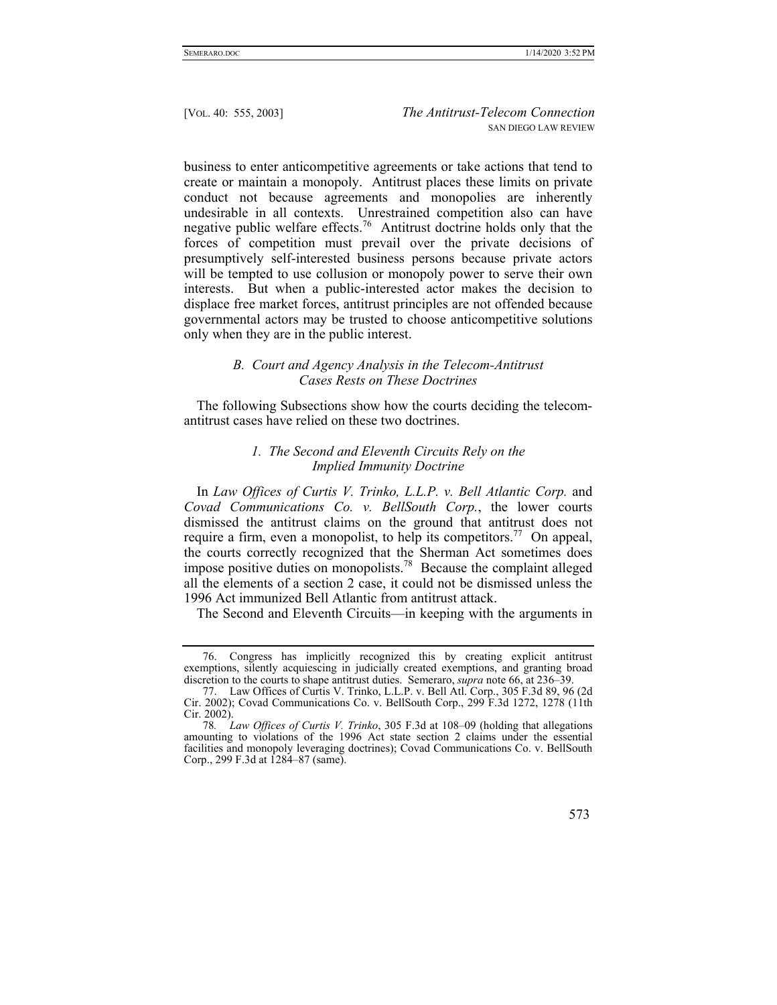business to enter anticompetitive agreements or take actions that tend to create or maintain a monopoly. Antitrust places these limits on private conduct not because agreements and monopolies are inherently undesirable in all contexts. Unrestrained competition also can have negative public welfare effects.76 Antitrust doctrine holds only that the forces of competition must prevail over the private decisions of presumptively self-interested business persons because private actors will be tempted to use collusion or monopoly power to serve their own interests. But when a public-interested actor makes the decision to displace free market forces, antitrust principles are not offended because governmental actors may be trusted to choose anticompetitive solutions only when they are in the public interest.

## *B. Court and Agency Analysis in the Telecom-Antitrust Cases Rests on These Doctrines*

The following Subsections show how the courts deciding the telecomantitrust cases have relied on these two doctrines.

# *1. The Second and Eleventh Circuits Rely on the Implied Immunity Doctrine*

In *Law Offices of Curtis V. Trinko, L.L.P. v. Bell Atlantic Corp.* and *Covad Communications Co. v. BellSouth Corp.*, the lower courts dismissed the antitrust claims on the ground that antitrust does not require a firm, even a monopolist, to help its competitors.<sup>77</sup> On appeal, the courts correctly recognized that the Sherman Act sometimes does impose positive duties on monopolists.<sup>78</sup> Because the complaint alleged all the elements of a section 2 case, it could not be dismissed unless the 1996 Act immunized Bell Atlantic from antitrust attack.

The Second and Eleventh Circuits—in keeping with the arguments in

<sup>78</sup>*. Law Offices of Curtis V. Trinko*, 305 F.3d at 108–09 (holding that allegations amounting to violations of the 1996 Act state section 2 claims under the essential facilities and monopoly leveraging doctrines); Covad Communications Co. v. BellSouth Corp., 299 F.3d at 1284–87 (same).



 <sup>76.</sup> Congress has implicitly recognized this by creating explicit antitrust exemptions, silently acquiescing in judicially created exemptions, and granting broad discretion to the courts to shape antitrust duties. Semeraro, *supra* note 66, at 236–39.

 <sup>77.</sup> Law Offices of Curtis V. Trinko, L.L.P. v. Bell Atl. Corp., 305 F.3d 89, 96 (2d Cir. 2002); Covad Communications Co. v. BellSouth Corp., 299 F.3d 1272, 1278 (11th Cir. 2002).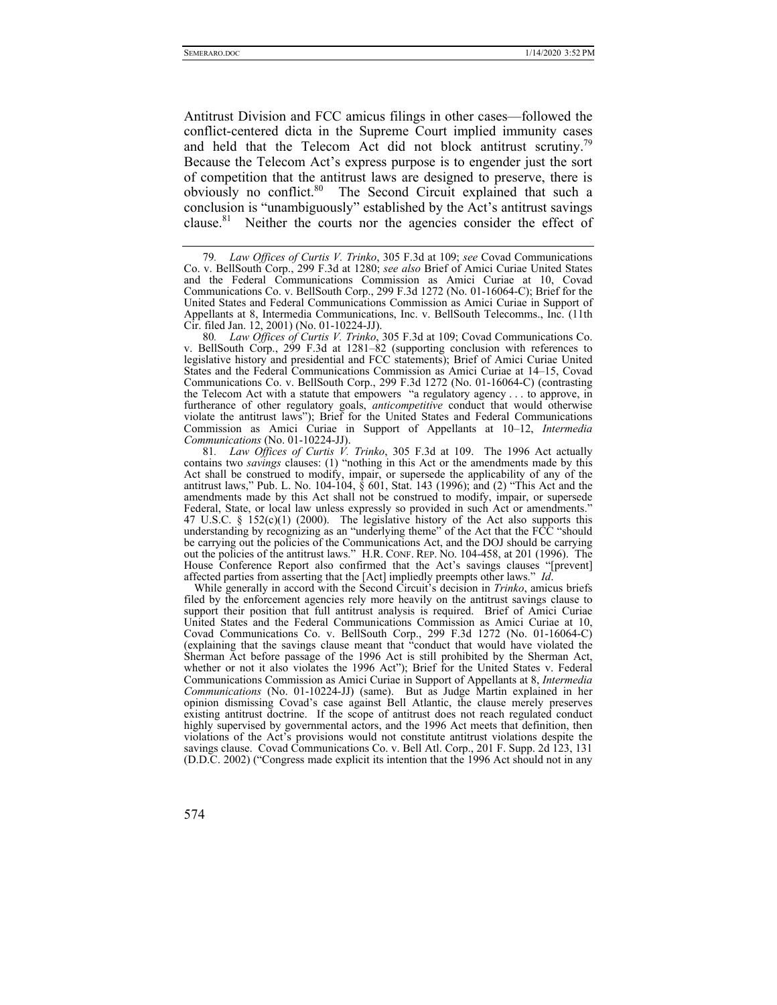Antitrust Division and FCC amicus filings in other cases—followed the conflict-centered dicta in the Supreme Court implied immunity cases and held that the Telecom Act did not block antitrust scrutiny.<sup>79</sup> Because the Telecom Act's express purpose is to engender just the sort of competition that the antitrust laws are designed to preserve, there is obviously no conflict.<sup>80</sup> The Second Circuit explained that such a conclusion is "unambiguously" established by the Act's antitrust savings clause.<sup>81</sup> Neither the courts nor the agencies consider the effect of

80*. Law Offices of Curtis V. Trinko*, 305 F.3d at 109; Covad Communications Co. v. BellSouth Corp., 299 F.3d at 1281–82 (supporting conclusion with references to legislative history and presidential and FCC statements); Brief of Amici Curiae United States and the Federal Communications Commission as Amici Curiae at 14–15, Covad Communications Co. v. BellSouth Corp., 299 F.3d 1272 (No. 01-16064-C) (contrasting the Telecom Act with a statute that empowers "a regulatory agency . . . to approve, in furtherance of other regulatory goals, *anticompetitive* conduct that would otherwise violate the antitrust laws"); Brief for the United States and Federal Communications Commission as Amici Curiae in Support of Appellants at 10–12, *Intermedia Communications* (No. 01-10224-JJ).

81*. Law Offices of Curtis V. Trinko*, 305 F.3d at 109. The 1996 Act actually contains two *savings* clauses: (1) "nothing in this Act or the amendments made by this Act shall be construed to modify, impair, or supersede the applicability of any of the antitrust laws," Pub. L. No. 104-104,  $\hat{\S}$  601, Stat. 143 (1996); and (2) "This Act and the amendments made by this Act shall not be construed to modify, impair, or supersede Federal, State, or local law unless expressly so provided in such Act or amendments." 47 U.S.C. §  $152(c)(1)$  (2000). The legislative history of the Act also supports this understanding by recognizing as an "underlying theme" of the Act that the FCC "should" be carrying out the policies of the Communications Act, and the DOJ should be carrying out the policies of the antitrust laws." H.R. CONF. REP. NO. 104-458, at 201 (1996). The House Conference Report also confirmed that the Act's savings clauses "[prevent] affected parties from asserting that the [Act] impliedly preempts other laws." *Id*.

While generally in accord with the Second Circuit's decision in *Trinko*, amicus briefs filed by the enforcement agencies rely more heavily on the antitrust savings clause to support their position that full antitrust analysis is required. Brief of Amici Curiae United States and the Federal Communications Commission as Amici Curiae at 10, Covad Communications Co. v. BellSouth Corp., 299 F.3d 1272 (No. 01-16064-C) (explaining that the savings clause meant that "conduct that would have violated the Sherman Act before passage of the 1996 Act is still prohibited by the Sherman Act, whether or not it also violates the 1996 Act"); Brief for the United States v. Federal Communications Commission as Amici Curiae in Support of Appellants at 8, *Intermedia Communications* (No. 01-10224-JJ) (same). But as Judge Martin explained in her opinion dismissing Covad's case against Bell Atlantic, the clause merely preserves existing antitrust doctrine. If the scope of antitrust does not reach regulated conduct highly supervised by governmental actors, and the 1996 Act meets that definition, then violations of the Act's provisions would not constitute antitrust violations despite the savings clause. Covad Communications Co. v. Bell Atl. Corp., 201 F. Supp. 2d 123, 131 (D.D.C. 2002) ("Congress made explicit its intention that the 1996 Act should not in any

<sup>79</sup>*. Law Offices of Curtis V. Trinko*, 305 F.3d at 109; *see* Covad Communications Co. v. BellSouth Corp., 299 F.3d at 1280; *see also* Brief of Amici Curiae United States and the Federal Communications Commission as Amici Curiae at 10, Covad Communications Co. v. BellSouth Corp., 299 F.3d 1272 (No. 01-16064-C); Brief for the United States and Federal Communications Commission as Amici Curiae in Support of Appellants at 8, Intermedia Communications, Inc. v. BellSouth Telecomms., Inc. (11th Cir. filed Jan. 12, 2001) (No. 01-10224-JJ).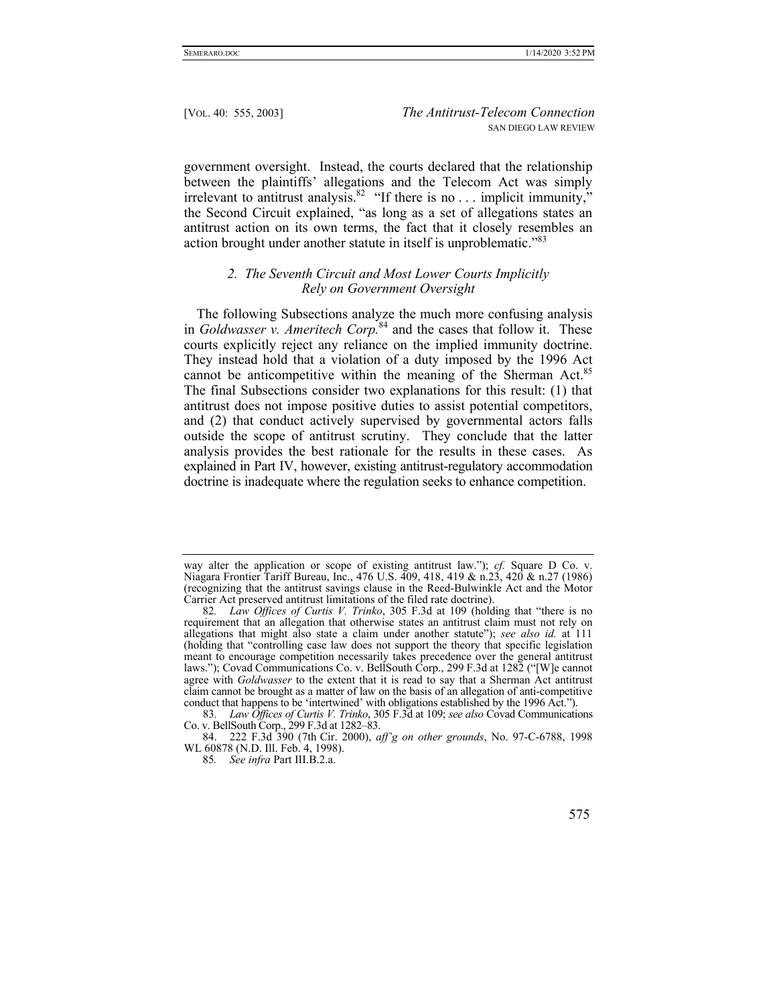government oversight. Instead, the courts declared that the relationship between the plaintiffs' allegations and the Telecom Act was simply irrelevant to antitrust analysis.<sup>82</sup> "If there is no . . . implicit immunity," the Second Circuit explained, "as long as a set of allegations states an antitrust action on its own terms, the fact that it closely resembles an action brought under another statute in itself is unproblematic."<sup>83</sup>

# *2. The Seventh Circuit and Most Lower Courts Implicitly Rely on Government Oversight*

The following Subsections analyze the much more confusing analysis in *Goldwasser v. Ameritech Corp.*84 and the cases that follow it. These courts explicitly reject any reliance on the implied immunity doctrine. They instead hold that a violation of a duty imposed by the 1996 Act cannot be anticompetitive within the meaning of the Sherman Act. $85$ The final Subsections consider two explanations for this result: (1) that antitrust does not impose positive duties to assist potential competitors, and (2) that conduct actively supervised by governmental actors falls outside the scope of antitrust scrutiny. They conclude that the latter analysis provides the best rationale for the results in these cases. As explained in Part IV, however, existing antitrust-regulatory accommodation doctrine is inadequate where the regulation seeks to enhance competition.

<sup>85</sup>*. See infra* Part III.B.2.a.



way alter the application or scope of existing antitrust law."); *cf.* Square D Co. v. Niagara Frontier Tariff Bureau, Inc., 476 U.S. 409, 418, 419 & n.23, 420 & n.27 (1986) (recognizing that the antitrust savings clause in the Reed-Bulwinkle Act and the Motor Carrier Act preserved antitrust limitations of the filed rate doctrine).

<sup>82</sup>*. Law Offices of Curtis V. Trinko*, 305 F.3d at 109 (holding that "there is no requirement that an allegation that otherwise states an antitrust claim must not rely on allegations that might also state a claim under another statute"); *see also id.* at 111 (holding that "controlling case law does not support the theory that specific legislation meant to encourage competition necessarily takes precedence over the general antitrust laws."); Covad Communications Co. v. BellSouth Corp., 299 F.3d at 1282 ("[W]e cannot agree with *Goldwasser* to the extent that it is read to say that a Sherman Act antitrust claim cannot be brought as a matter of law on the basis of an allegation of anti-competitive conduct that happens to be 'intertwined' with obligations established by the 1996 Act.").

<sup>83</sup>*. Law Offices of Curtis V. Trinko*, 305 F.3d at 109; *see also* Covad Communications Co. v. BellSouth Corp., 299 F.3d at 1282–83.

 <sup>84. 222</sup> F.3d 390 (7th Cir. 2000), *aff'g on other grounds*, No. 97-C-6788, 1998 WL 60878 (N.D. Ill. Feb. 4, 1998).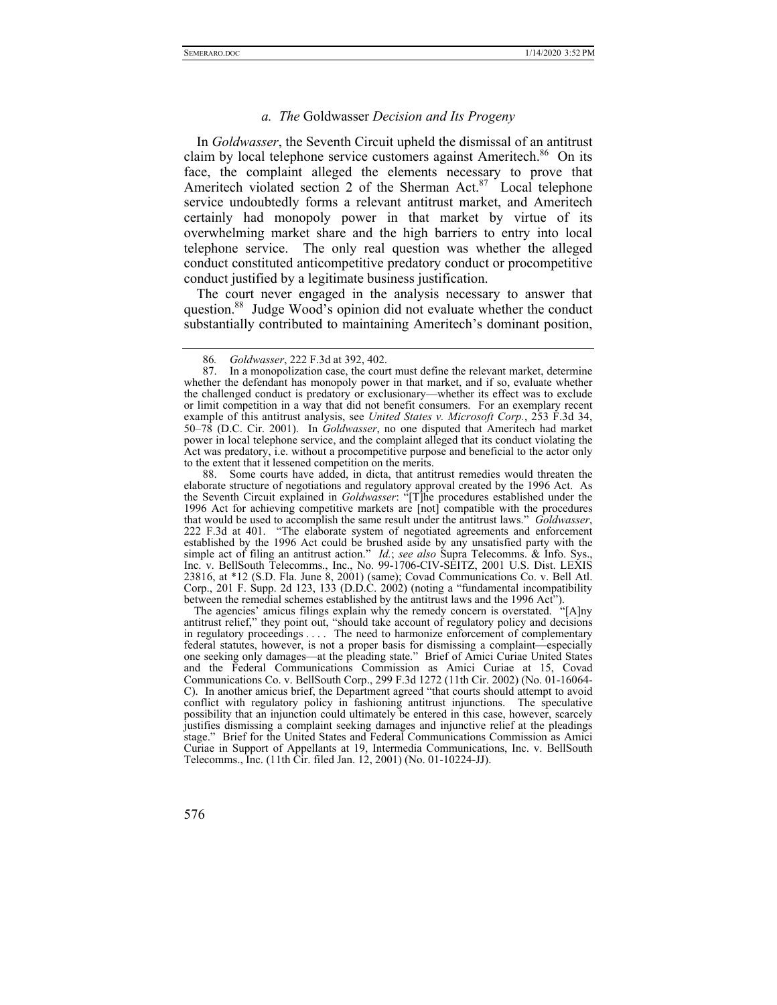# *a. The* Goldwasser *Decision and Its Progeny*

In *Goldwasser*, the Seventh Circuit upheld the dismissal of an antitrust claim by local telephone service customers against Ameritech.<sup>86</sup> On its face, the complaint alleged the elements necessary to prove that Ameritech violated section 2 of the Sherman Act. $87$  Local telephone service undoubtedly forms a relevant antitrust market, and Ameritech certainly had monopoly power in that market by virtue of its overwhelming market share and the high barriers to entry into local telephone service. The only real question was whether the alleged conduct constituted anticompetitive predatory conduct or procompetitive conduct justified by a legitimate business justification.

The court never engaged in the analysis necessary to answer that question.<sup>88</sup> Judge Wood's opinion did not evaluate whether the conduct substantially contributed to maintaining Ameritech's dominant position,

 88. Some courts have added, in dicta, that antitrust remedies would threaten the elaborate structure of negotiations and regulatory approval created by the 1996 Act. As the Seventh Circuit explained in *Goldwasser*: "[T]he procedures established under the 1996 Act for achieving competitive markets are [not] compatible with the procedures that would be used to accomplish the same result under the antitrust laws." *Goldwasser*, 222 F.3d at 401. "The elaborate system of negotiated agreements and enforcement established by the 1996 Act could be brushed aside by any unsatisfied party with the simple act of filing an antitrust action." *Id.*; *see also* Supra Telecomms. & Info. Sys., Inc. v. BellSouth Telecomms., Inc., No. 99-1706-CIV-SEITZ, 2001 U.S. Dist. LEXIS 23816, at \*12 (S.D. Fla. June 8, 2001) (same); Covad Communications Co. v. Bell Atl. Corp., 201 F. Supp. 2d 123, 133 (D.D.C. 2002) (noting a "fundamental incompatibility between the remedial schemes established by the antitrust laws and the 1996 Act").

The agencies' amicus filings explain why the remedy concern is overstated. "[A]ny antitrust relief," they point out, "should take account of regulatory policy and decisions in regulatory proceedings . . . . The need to harmonize enforcement of complementary federal statutes, however, is not a proper basis for dismissing a complaint—especially one seeking only damages—at the pleading state." Brief of Amici Curiae United States and the Federal Communications Commission as Amici Curiae at 15, Covad Communications Co. v. BellSouth Corp., 299 F.3d 1272 (11th Cir. 2002) (No. 01-16064- C). In another amicus brief, the Department agreed "that courts should attempt to avoid conflict with regulatory policy in fashioning antitrust injunctions. The speculative possibility that an injunction could ultimately be entered in this case, however, scarcely justifies dismissing a complaint seeking damages and injunctive relief at the pleadings stage." Brief for the United States and Federal Communications Commission as Amici Curiae in Support of Appellants at 19, Intermedia Communications, Inc. v. BellSouth Telecomms., Inc. (11th Cir. filed Jan. 12, 2001) (No. 01-10224-JJ).

<sup>86</sup>*. Goldwasser*, 222 F.3d at 392, 402.

In a monopolization case, the court must define the relevant market, determine whether the defendant has monopoly power in that market, and if so, evaluate whether the challenged conduct is predatory or exclusionary—whether its effect was to exclude or limit competition in a way that did not benefit consumers. For an exemplary recent example of this antitrust analysis, see *United States v. Microsoft Corp.*, 253 F.3d 34, 50–78 (D.C. Cir. 2001). In *Goldwasser*, no one disputed that Ameritech had market power in local telephone service, and the complaint alleged that its conduct violating the Act was predatory, i.e. without a procompetitive purpose and beneficial to the actor only to the extent that it lessened competition on the merits.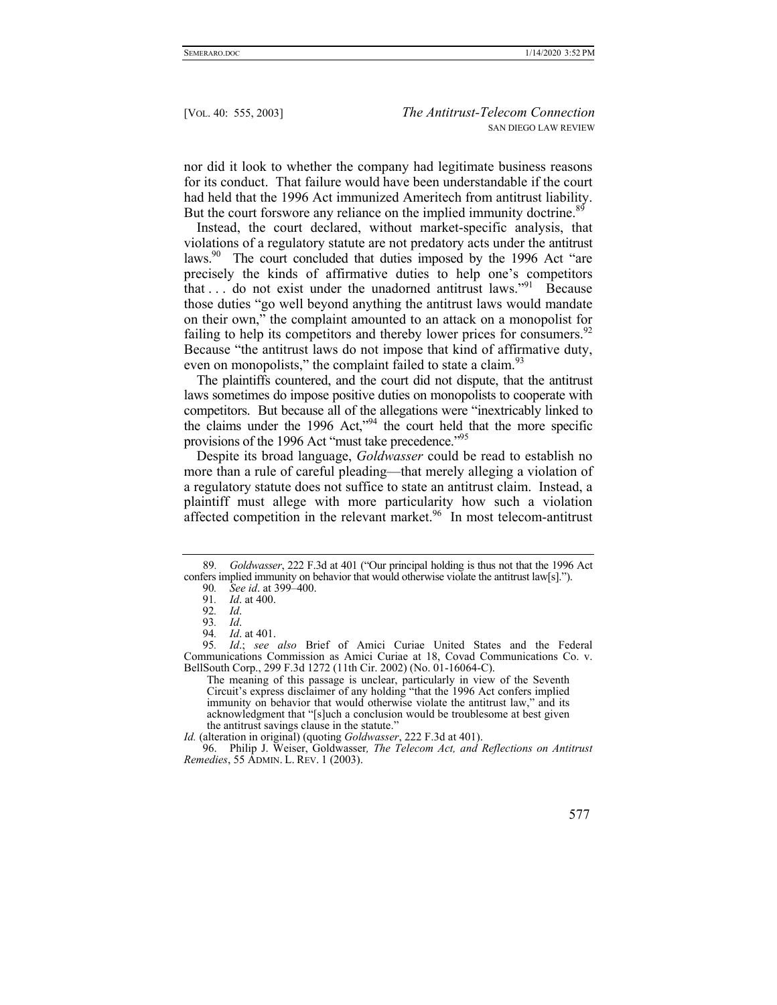nor did it look to whether the company had legitimate business reasons for its conduct. That failure would have been understandable if the court had held that the 1996 Act immunized Ameritech from antitrust liability. But the court forswore any reliance on the implied immunity doctrine.<sup>89</sup>

Instead, the court declared, without market-specific analysis, that violations of a regulatory statute are not predatory acts under the antitrust laws.<sup>90</sup> The court concluded that duties imposed by the 1996 Act "are precisely the kinds of affirmative duties to help one's competitors that ... do not exist under the unadorned antitrust laws."<sup>91</sup> Because those duties "go well beyond anything the antitrust laws would mandate on their own," the complaint amounted to an attack on a monopolist for failing to help its competitors and thereby lower prices for consumers.  $92$ Because "the antitrust laws do not impose that kind of affirmative duty, even on monopolists," the complaint failed to state a claim.<sup>93</sup>

The plaintiffs countered, and the court did not dispute, that the antitrust laws sometimes do impose positive duties on monopolists to cooperate with competitors. But because all of the allegations were "inextricably linked to the claims under the 1996 Act,"94 the court held that the more specific provisions of the 1996 Act "must take precedence."95

Despite its broad language, *Goldwasser* could be read to establish no more than a rule of careful pleading—that merely alleging a violation of a regulatory statute does not suffice to state an antitrust claim. Instead, a plaintiff must allege with more particularity how such a violation affected competition in the relevant market.<sup>96</sup> In most telecom-antitrust

The meaning of this passage is unclear, particularly in view of the Seventh Circuit's express disclaimer of any holding "that the 1996 Act confers implied immunity on behavior that would otherwise violate the antitrust law," and its acknowledgment that "[s]uch a conclusion would be troublesome at best given the antitrust savings clause in the statute."

 96. Philip J. Weiser, Goldwasser*, The Telecom Act, and Reflections on Antitrust Remedies*, 55 ADMIN. L. REV. 1 (2003).



<sup>89</sup>*. Goldwasser*, 222 F.3d at 401 ("Our principal holding is thus not that the 1996 Act confers implied immunity on behavior that would otherwise violate the antitrust law[s].").

<sup>90</sup>*. See id*. at 399–400.

<sup>91</sup>*. Id*. at 400.

<sup>92</sup>*. Id*.

<sup>93</sup>*. Id*.

<sup>94</sup>*. Id*. at 401.

<sup>95</sup>*. Id*.; *see also* Brief of Amici Curiae United States and the Federal Communications Commission as Amici Curiae at 18, Covad Communications Co. v. BellSouth Corp., 299 F.3d 1272 (11th Cir. 2002) (No. 01-16064-C).

*Id.* (alteration in original) (quoting *Goldwasser*, 222 F.3d at 401).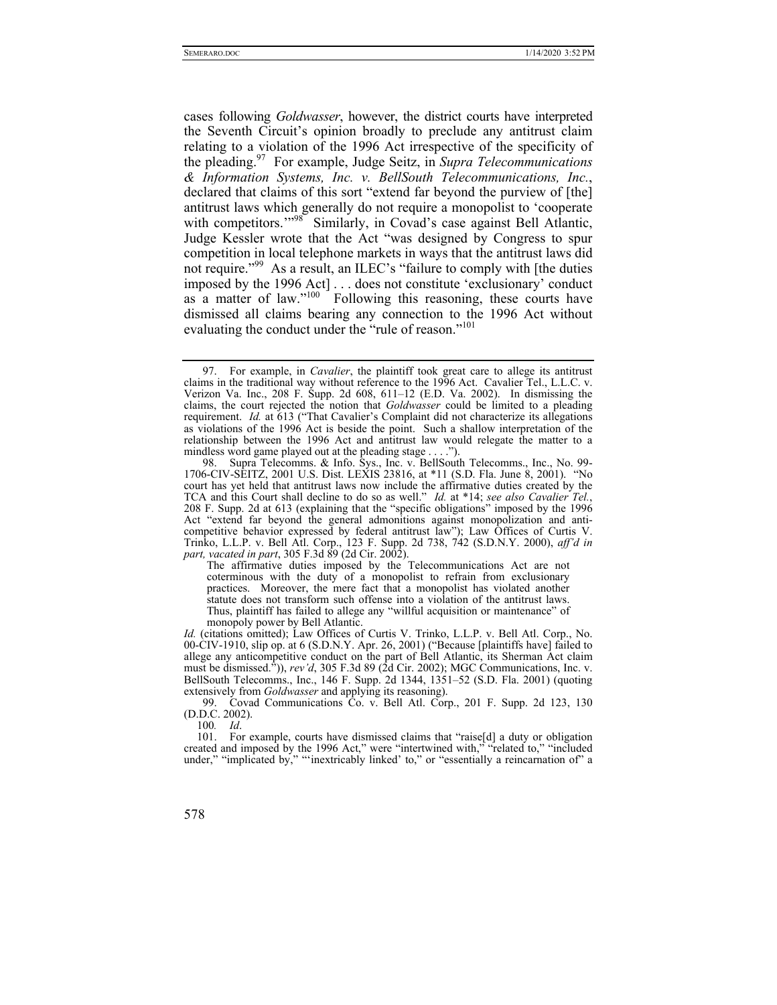cases following *Goldwasser*, however, the district courts have interpreted the Seventh Circuit's opinion broadly to preclude any antitrust claim relating to a violation of the 1996 Act irrespective of the specificity of the pleading.97 For example, Judge Seitz, in *Supra Telecommunications & Information Systems, Inc. v. BellSouth Telecommunications, Inc.*, declared that claims of this sort "extend far beyond the purview of [the] antitrust laws which generally do not require a monopolist to 'cooperate with competitors."<sup>98</sup> Similarly, in Covad's case against Bell Atlantic, Judge Kessler wrote that the Act "was designed by Congress to spur competition in local telephone markets in ways that the antitrust laws did not require."99 As a result, an ILEC's "failure to comply with [the duties imposed by the 1996 Act]... does not constitute 'exclusionary' conduct as a matter of law."<sup>100</sup> Following this reasoning, these courts have dismissed all claims bearing any connection to the 1996 Act without evaluating the conduct under the "rule of reason."<sup>101</sup>

100*. Id*.

 <sup>97.</sup> For example, in *Cavalier*, the plaintiff took great care to allege its antitrust claims in the traditional way without reference to the 1996 Act. Cavalier Tel., L.L.C. v. Verizon Va. Inc., 208 F. Supp. 2d 608, 611–12 (E.D. Va. 2002). In dismissing the claims, the court rejected the notion that *Goldwasser* could be limited to a pleading requirement. *Id.* at 613 ("That Cavalier's Complaint did not characterize its allegations as violations of the 1996 Act is beside the point. Such a shallow interpretation of the relationship between the 1996 Act and antitrust law would relegate the matter to a mindless word game played out at the pleading stage . . . . ").

 <sup>98.</sup> Supra Telecomms. & Info. Sys., Inc. v. BellSouth Telecomms., Inc., No. 99- 1706-CIV-SEITZ, 2001 U.S. Dist. LEXIS 23816, at \*11 (S.D. Fla. June 8, 2001). "No court has yet held that antitrust laws now include the affirmative duties created by the TCA and this Court shall decline to do so as well." *Id.* at \*14; *see also Cavalier Tel.*, 208 F. Supp. 2d at 613 (explaining that the "specific obligations" imposed by the 1996 Act "extend far beyond the general admonitions against monopolization and anticompetitive behavior expressed by federal antitrust law"); Law Offices of Curtis V. Trinko, L.L.P. v. Bell Atl. Corp., 123 F. Supp. 2d 738, 742 (S.D.N.Y. 2000), *aff'd in part, vacated in part*, 305 F.3d 89 (2d Cir. 2002).

The affirmative duties imposed by the Telecommunications Act are not coterminous with the duty of a monopolist to refrain from exclusionary practices. Moreover, the mere fact that a monopolist has violated another statute does not transform such offense into a violation of the antitrust laws. Thus, plaintiff has failed to allege any "willful acquisition or maintenance" of monopoly power by Bell Atlantic.

*Id.* (citations omitted); Law Offices of Curtis V. Trinko, L.L.P. v. Bell Atl. Corp., No. 00-CIV-1910, slip op. at 6 (S.D.N.Y. Apr. 26, 2001) ("Because [plaintiffs have] failed to allege any anticompetitive conduct on the part of Bell Atlantic, its Sherman Act claim must be dismissed.")), *rev'd*, 305 F.3d 89 (2d Cir. 2002); MGC Communications, Inc. v. BellSouth Telecomms., Inc., 146 F. Supp. 2d 1344, 1351–52 (S.D. Fla. 2001) (quoting extensively from *Goldwasser* and applying its reasoning).

 <sup>99.</sup> Covad Communications Co. v. Bell Atl. Corp., 201 F. Supp. 2d 123, 130 (D.D.C. 2002).

 <sup>101.</sup> For example, courts have dismissed claims that "raise[d] a duty or obligation created and imposed by the 1996 Act," were "intertwined with," "related to," "included under," "implicated by," "'inextricably linked' to," or "essentially a reincarnation of" a

<sup>578</sup>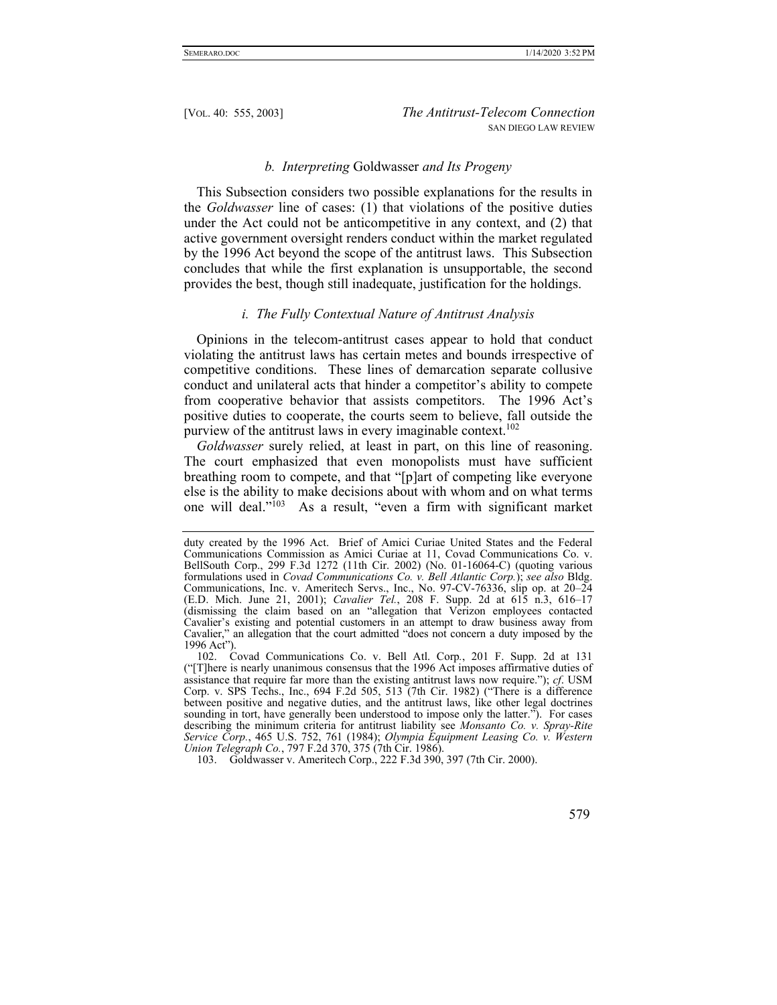#### *b. Interpreting* Goldwasser *and Its Progeny*

This Subsection considers two possible explanations for the results in the *Goldwasser* line of cases: (1) that violations of the positive duties under the Act could not be anticompetitive in any context, and (2) that active government oversight renders conduct within the market regulated by the 1996 Act beyond the scope of the antitrust laws. This Subsection concludes that while the first explanation is unsupportable, the second provides the best, though still inadequate, justification for the holdings.

## *i. The Fully Contextual Nature of Antitrust Analysis*

Opinions in the telecom-antitrust cases appear to hold that conduct violating the antitrust laws has certain metes and bounds irrespective of competitive conditions. These lines of demarcation separate collusive conduct and unilateral acts that hinder a competitor's ability to compete from cooperative behavior that assists competitors. The 1996 Act's positive duties to cooperate, the courts seem to believe, fall outside the purview of the antitrust laws in every imaginable context.<sup>102</sup>

*Goldwasser* surely relied, at least in part, on this line of reasoning. The court emphasized that even monopolists must have sufficient breathing room to compete, and that "[p]art of competing like everyone else is the ability to make decisions about with whom and on what terms one will deal."<sup>103</sup> As a result, "even a firm with significant market

103. Goldwasser v. Ameritech Corp., 222 F.3d 390, 397 (7th Cir. 2000).

duty created by the 1996 Act. Brief of Amici Curiae United States and the Federal Communications Commission as Amici Curiae at 11, Covad Communications Co. v. BellSouth Corp., 299 F.3d 1272 (11th Cir. 2002) (No. 01-16064-C) (quoting various formulations used in *Covad Communications Co. v. Bell Atlantic Corp.*); *see also* Bldg. Communications, Inc. v. Ameritech Servs., Inc., No. 97-CV-76336, slip op. at 20–24 (E.D. Mich. June 21, 2001); *Cavalier Tel.*, 208 F. Supp. 2d at 615 n.3, 616–17 (dismissing the claim based on an "allegation that Verizon employees contacted Cavalier's existing and potential customers in an attempt to draw business away from Cavalier," an allegation that the court admitted "does not concern a duty imposed by the 1996 Act").

 <sup>102.</sup> Covad Communications Co. v. Bell Atl. Corp*.*, 201 F. Supp. 2d at 131 ("[T]here is nearly unanimous consensus that the 1996 Act imposes affirmative duties of assistance that require far more than the existing antitrust laws now require."); *cf*. USM Corp. v. SPS Techs., Inc., 694 F.2d 505, 513 (7th Cir. 1982) ("There is a difference between positive and negative duties, and the antitrust laws, like other legal doctrines sounding in tort, have generally been understood to impose only the latter."). For cases describing the minimum criteria for antitrust liability see *Monsanto Co. v. Spray-Rite Service Corp.*, 465 U.S. 752, 761 (1984); *Olympia Equipment Leasing Co. v. Western Union Telegraph Co.*, 797 F.2d 370, 375 (7th Cir. 1986).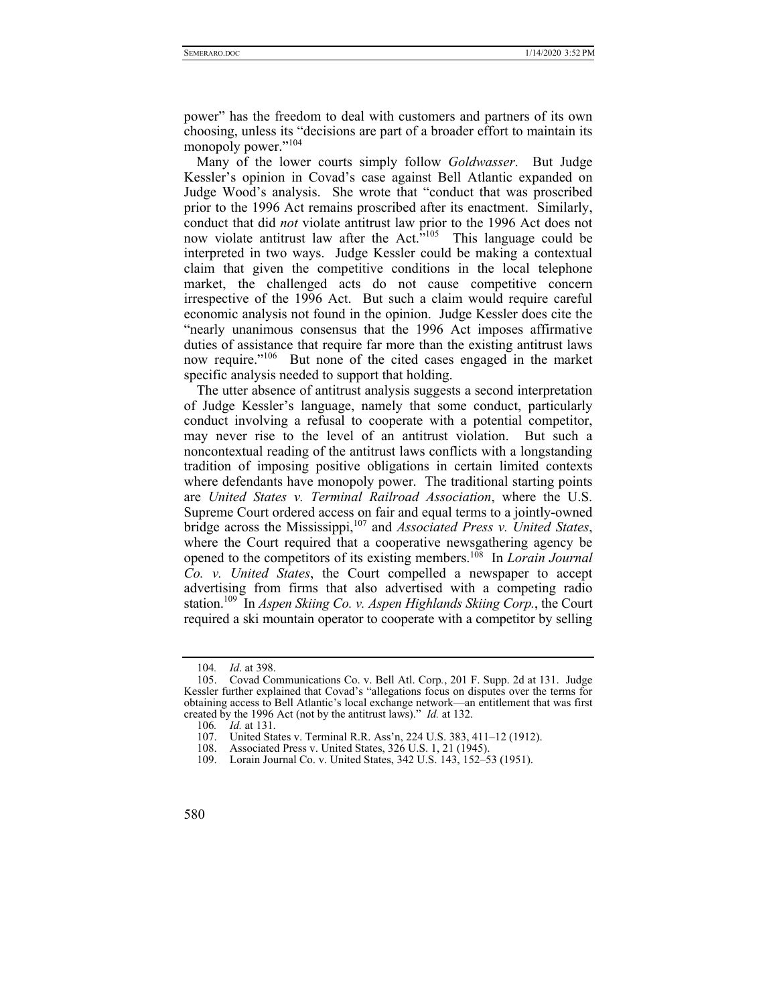power" has the freedom to deal with customers and partners of its own choosing, unless its "decisions are part of a broader effort to maintain its monopoly power."<sup>104</sup>

Many of the lower courts simply follow *Goldwasser*. But Judge Kessler's opinion in Covad's case against Bell Atlantic expanded on Judge Wood's analysis. She wrote that "conduct that was proscribed prior to the 1996 Act remains proscribed after its enactment. Similarly, conduct that did *not* violate antitrust law prior to the 1996 Act does not now violate antitrust law after the Act.<sup> $\dot{v}^{105}$ </sup> This language could be interpreted in two ways. Judge Kessler could be making a contextual claim that given the competitive conditions in the local telephone market, the challenged acts do not cause competitive concern irrespective of the 1996 Act. But such a claim would require careful economic analysis not found in the opinion. Judge Kessler does cite the "nearly unanimous consensus that the 1996 Act imposes affirmative duties of assistance that require far more than the existing antitrust laws now require."<sup>106</sup> But none of the cited cases engaged in the market specific analysis needed to support that holding.

The utter absence of antitrust analysis suggests a second interpretation of Judge Kessler's language, namely that some conduct, particularly conduct involving a refusal to cooperate with a potential competitor, may never rise to the level of an antitrust violation. But such a noncontextual reading of the antitrust laws conflicts with a longstanding tradition of imposing positive obligations in certain limited contexts where defendants have monopoly power. The traditional starting points are *United States v. Terminal Railroad Association*, where the U.S. Supreme Court ordered access on fair and equal terms to a jointly-owned bridge across the Mississippi,<sup>107</sup> and *Associated Press v. United States*, where the Court required that a cooperative newsgathering agency be opened to the competitors of its existing members.108 In *Lorain Journal Co. v. United States*, the Court compelled a newspaper to accept advertising from firms that also advertised with a competing radio station.109 In *Aspen Skiing Co. v. Aspen Highlands Skiing Corp.*, the Court required a ski mountain operator to cooperate with a competitor by selling

<sup>104</sup>*. Id*. at 398.

 <sup>105.</sup> Covad Communications Co. v. Bell Atl. Corp*.*, 201 F. Supp. 2d at 131. Judge Kessler further explained that Covad's "allegations focus on disputes over the terms for obtaining access to Bell Atlantic's local exchange network—an entitlement that was first created by the 1996 Act (not by the antitrust laws)." *Id.* at 132.

<sup>106</sup>*. Id.* at 131.

 <sup>107.</sup> United States v. Terminal R.R. Ass'n, 224 U.S. 383, 411–12 (1912).

 <sup>108.</sup> Associated Press v. United States, 326 U.S. 1, 21 (1945).

 <sup>109.</sup> Lorain Journal Co. v. United States, 342 U.S. 143, 152–53 (1951).

<sup>580</sup>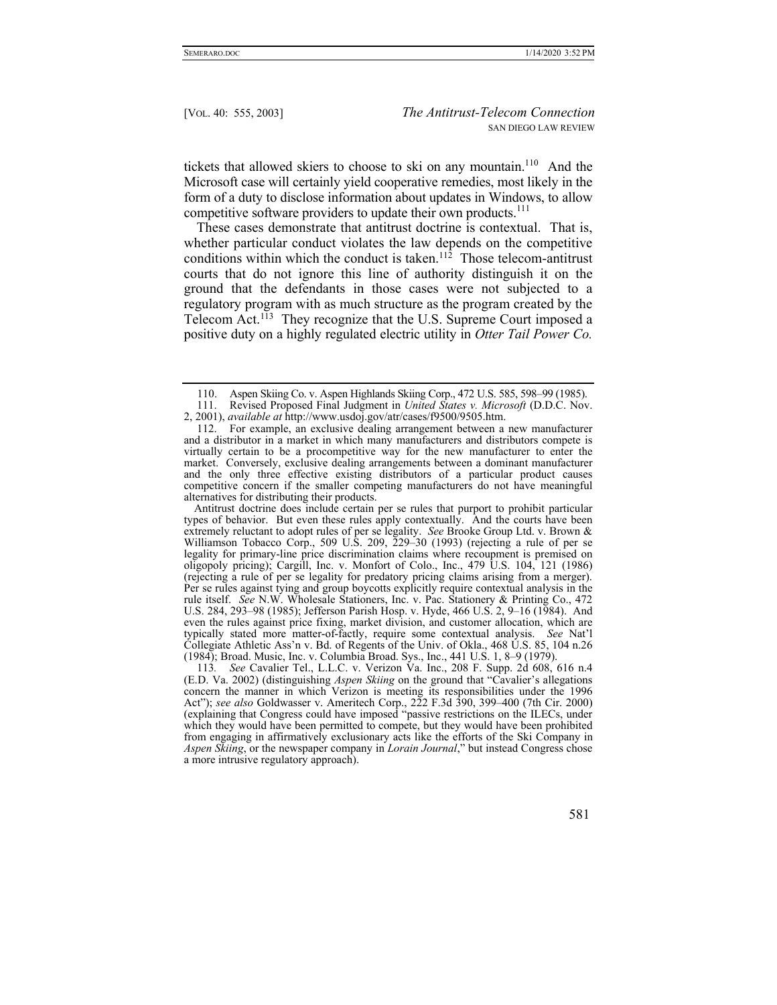tickets that allowed skiers to choose to ski on any mountain.<sup>110</sup> And the Microsoft case will certainly yield cooperative remedies, most likely in the form of a duty to disclose information about updates in Windows, to allow competitive software providers to update their own products.<sup>111</sup>

These cases demonstrate that antitrust doctrine is contextual. That is, whether particular conduct violates the law depends on the competitive conditions within which the conduct is taken.<sup>112</sup> Those telecom-antitrust courts that do not ignore this line of authority distinguish it on the ground that the defendants in those cases were not subjected to a regulatory program with as much structure as the program created by the Telecom Act.113 They recognize that the U.S. Supreme Court imposed a positive duty on a highly regulated electric utility in *Otter Tail Power Co.* 

Antitrust doctrine does include certain per se rules that purport to prohibit particular types of behavior. But even these rules apply contextually. And the courts have been extremely reluctant to adopt rules of per se legality. *See* Brooke Group Ltd. v. Brown & Williamson Tobacco Corp., 509 U.S. 209, 229–30 (1993) (rejecting a rule of per se legality for primary-line price discrimination claims where recoupment is premised on oligopoly pricing); Cargill, Inc. v. Monfort of Colo., Inc., 479 U.S. 104, 121 (1986) (rejecting a rule of per se legality for predatory pricing claims arising from a merger). Per se rules against tying and group boycotts explicitly require contextual analysis in the rule itself. *See* N.W. Wholesale Stationers, Inc. v. Pac. Stationery & Printing Co., 472 U.S. 284, 293–98 (1985); Jefferson Parish Hosp. v. Hyde, 466 U.S. 2, 9–16 (1984). And even the rules against price fixing, market division, and customer allocation, which are typically stated more matter-of-factly, require some contextual analysis. *See* Nat'l Collegiate Athletic Ass'n v. Bd. of Regents of the Univ. of Okla., 468 U.S. 85, 104 n.26 (1984); Broad. Music, Inc. v. Columbia Broad. Sys., Inc., 441 U.S. 1, 8–9 (1979).

113*. See* Cavalier Tel., L.L.C. v. Verizon Va. Inc., 208 F. Supp. 2d 608, 616 n.4 (E.D. Va. 2002) (distinguishing *Aspen Skiing* on the ground that "Cavalier's allegations concern the manner in which Verizon is meeting its responsibilities under the 1996 Act"); *see also* Goldwasser v. Ameritech Corp., 222 F.3d 390, 399–400 (7th Cir. 2000) (explaining that Congress could have imposed "passive restrictions on the ILECs, under which they would have been permitted to compete, but they would have been prohibited from engaging in affirmatively exclusionary acts like the efforts of the Ski Company in *Aspen Skiing*, or the newspaper company in *Lorain Journal*," but instead Congress chose a more intrusive regulatory approach).

 <sup>110.</sup> Aspen Skiing Co. v. Aspen Highlands Skiing Corp., 472 U.S. 585, 598–99 (1985).

 <sup>111.</sup> Revised Proposed Final Judgment in *United States v. Microsoft* (D.D.C. Nov. 2, 2001), *available at* http://www.usdoj.gov/atr/cases/f9500/9505.htm.

 <sup>112.</sup> For example, an exclusive dealing arrangement between a new manufacturer and a distributor in a market in which many manufacturers and distributors compete is virtually certain to be a procompetitive way for the new manufacturer to enter the market. Conversely, exclusive dealing arrangements between a dominant manufacturer and the only three effective existing distributors of a particular product causes competitive concern if the smaller competing manufacturers do not have meaningful alternatives for distributing their products.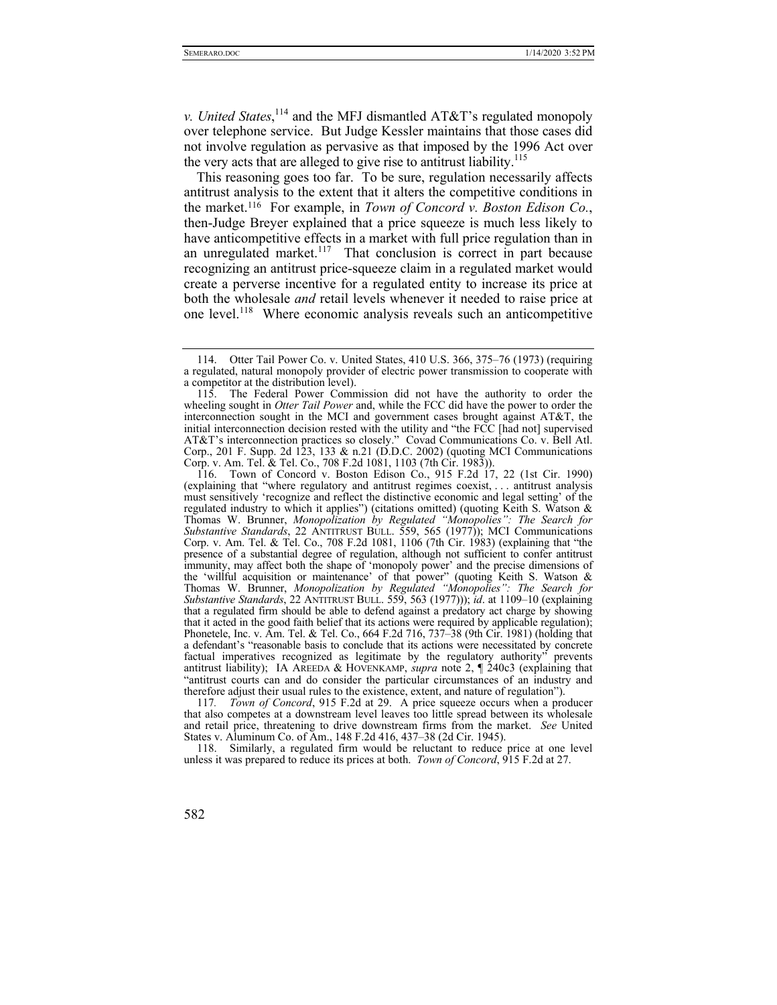*v. United States*, 114 and the MFJ dismantled AT&T's regulated monopoly over telephone service. But Judge Kessler maintains that those cases did not involve regulation as pervasive as that imposed by the 1996 Act over the very acts that are alleged to give rise to antitrust liability.<sup>115</sup>

This reasoning goes too far. To be sure, regulation necessarily affects antitrust analysis to the extent that it alters the competitive conditions in the market.116 For example, in *Town of Concord v. Boston Edison Co.*, then-Judge Breyer explained that a price squeeze is much less likely to have anticompetitive effects in a market with full price regulation than in an unregulated market.<sup>117</sup> That conclusion is correct in part because recognizing an antitrust price-squeeze claim in a regulated market would create a perverse incentive for a regulated entity to increase its price at both the wholesale *and* retail levels whenever it needed to raise price at one level.118 Where economic analysis reveals such an anticompetitive

117*. Town of Concord*, 915 F.2d at 29. A price squeeze occurs when a producer that also competes at a downstream level leaves too little spread between its wholesale and retail price, threatening to drive downstream firms from the market. *See* United States v. Aluminum Co. of Am., 148 F.2d 416, 437–38 (2d Cir. 1945).

 118. Similarly, a regulated firm would be reluctant to reduce price at one level unless it was prepared to reduce its prices at both. *Town of Concord*, 915 F.2d at 27.

 <sup>114.</sup> Otter Tail Power Co. v. United States, 410 U.S. 366, 375–76 (1973) (requiring a regulated, natural monopoly provider of electric power transmission to cooperate with a competitor at the distribution level).

 <sup>115.</sup> The Federal Power Commission did not have the authority to order the wheeling sought in *Otter Tail Power* and, while the FCC did have the power to order the interconnection sought in the MCI and government cases brought against AT&T, the initial interconnection decision rested with the utility and "the FCC [had not] supervised AT&T's interconnection practices so closely." Covad Communications Co. v. Bell Atl. Corp., 201 F. Supp. 2d 123, 133 & n.21 (D.D.C. 2002) (quoting MCI Communications Corp. v. Am. Tel. & Tel. Co., 708 F.2d 1081, 1103 (7th Cir. 1983)).

 <sup>116.</sup> Town of Concord v. Boston Edison Co., 915 F.2d 17, 22 (1st Cir. 1990) (explaining that "where regulatory and antitrust regimes coexist, . . . antitrust analysis must sensitively 'recognize and reflect the distinctive economic and legal setting' of the regulated industry to which it applies") (citations omitted) (quoting Keith S. Watson & Thomas W. Brunner, *Monopolization by Regulated "Monopolies": The Search for Substantive Standards*, 22 ANTITRUST BULL. 559, 565 (1977)); MCI Communications Corp. v. Am. Tel. & Tel. Co., 708 F.2d 1081, 1106 (7th Cir. 1983) (explaining that "the presence of a substantial degree of regulation, although not sufficient to confer antitrust immunity, may affect both the shape of 'monopoly power' and the precise dimensions of the 'willful acquisition or maintenance' of that power" (quoting Keith S. Watson & Thomas W. Brunner, *Monopolization by Regulated "Monopolies": The Search for Substantive Standards*, 22 ANTITRUST BULL. 559, 563 (1977))); *id*. at 1109–10 (explaining that a regulated firm should be able to defend against a predatory act charge by showing that it acted in the good faith belief that its actions were required by applicable regulation); Phonetele, Inc. v. Am. Tel. & Tel. Co., 664 F.2d 716, 737–38 (9th Cir. 1981) (holding that a defendant's "reasonable basis to conclude that its actions were necessitated by concrete factual imperatives recognized as legitimate by the regulatory authority" prevents antitrust liability); IA AREEDA & HOVENKAMP, *supra* note 2, ¶ 240c3 (explaining that "antitrust courts can and do consider the particular circumstances of an industry and therefore adjust their usual rules to the existence, extent, and nature of regulation").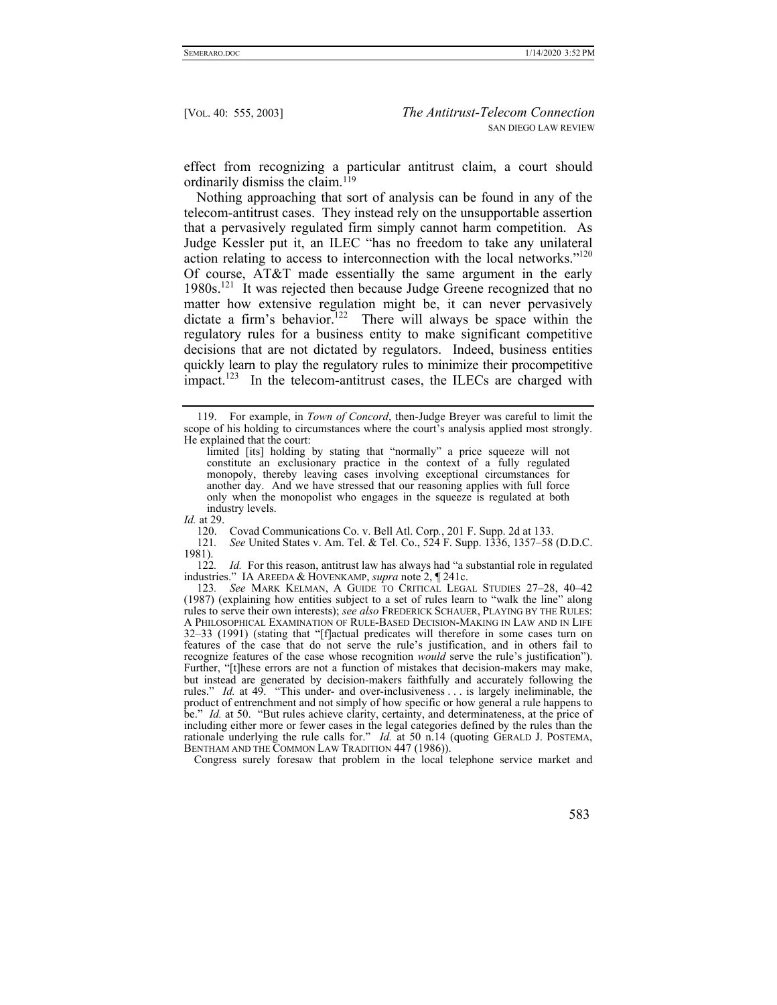effect from recognizing a particular antitrust claim, a court should ordinarily dismiss the claim. $119$ 

Nothing approaching that sort of analysis can be found in any of the telecom-antitrust cases. They instead rely on the unsupportable assertion that a pervasively regulated firm simply cannot harm competition. As Judge Kessler put it, an ILEC "has no freedom to take any unilateral action relating to access to interconnection with the local networks."120 Of course, AT&T made essentially the same argument in the early 1980s.121 It was rejected then because Judge Greene recognized that no matter how extensive regulation might be, it can never pervasively dictate a firm's behavior.<sup>122</sup> There will always be space within the regulatory rules for a business entity to make significant competitive decisions that are not dictated by regulators. Indeed, business entities quickly learn to play the regulatory rules to minimize their procompetitive  $impect.<sup>123</sup>$  In the telecom-antitrust cases, the ILECs are charged with

122*. Id.* For this reason, antitrust law has always had "a substantial role in regulated industries." IA AREEDA & HOVENKAMP, *supra* note 2, ¶ 241c.

123*. See* MARK KELMAN, A GUIDE TO CRITICAL LEGAL STUDIES 27–28, 40–42 (1987) (explaining how entities subject to a set of rules learn to "walk the line" along rules to serve their own interests); *see also* FREDERICK SCHAUER, PLAYING BY THE RULES: A PHILOSOPHICAL EXAMINATION OF RULE-BASED DECISION-MAKING IN LAW AND IN LIFE 32–33 (1991) (stating that "[f]actual predicates will therefore in some cases turn on features of the case that do not serve the rule's justification, and in others fail to recognize features of the case whose recognition *would* serve the rule's justification"). Further, "[t]hese errors are not a function of mistakes that decision-makers may make, but instead are generated by decision-makers faithfully and accurately following the rules." *Id.* at 49. "This under- and over-inclusiveness . . . is largely ineliminable, the product of entrenchment and not simply of how specific or how general a rule happens to be." *Id.* at 50. "But rules achieve clarity, certainty, and determinateness, at the price of including either more or fewer cases in the legal categories defined by the rules than the rationale underlying the rule calls for." *Id.* at 50 n.14 (quoting GERALD J. POSTEMA, BENTHAM AND THE COMMON LAW TRADITION 447 (1986)).

Congress surely foresaw that problem in the local telephone service market and

 <sup>119.</sup> For example, in *Town of Concord*, then-Judge Breyer was careful to limit the scope of his holding to circumstances where the court's analysis applied most strongly. He explained that the court:

limited [its] holding by stating that "normally" a price squeeze will not constitute an exclusionary practice in the context of a fully regulated monopoly, thereby leaving cases involving exceptional circumstances for another day. And we have stressed that our reasoning applies with full force only when the monopolist who engages in the squeeze is regulated at both industry levels.

*Id.* at 29.

 <sup>120.</sup> Covad Communications Co. v. Bell Atl. Corp*.*, 201 F. Supp. 2d at 133.

<sup>121</sup>*. See* United States v. Am. Tel. & Tel. Co., 524 F. Supp. 1336, 1357–58 (D.D.C. 1981).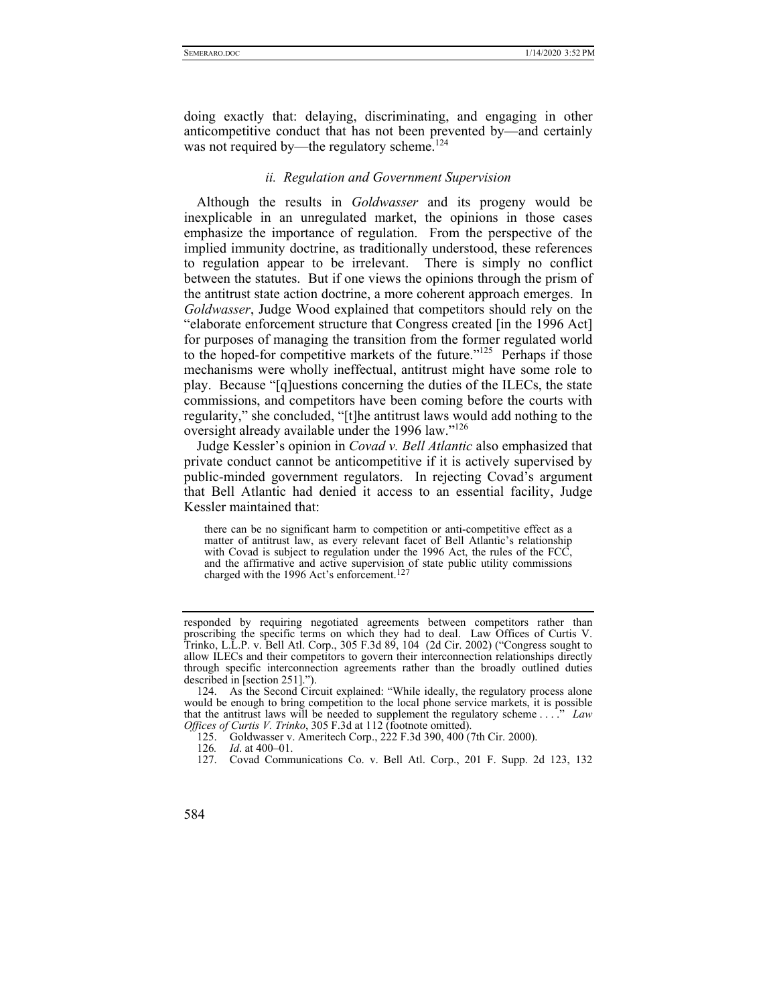doing exactly that: delaying, discriminating, and engaging in other anticompetitive conduct that has not been prevented by—and certainly was not required by—the regulatory scheme.<sup>124</sup>

### *ii. Regulation and Government Supervision*

Although the results in *Goldwasser* and its progeny would be inexplicable in an unregulated market, the opinions in those cases emphasize the importance of regulation. From the perspective of the implied immunity doctrine, as traditionally understood, these references to regulation appear to be irrelevant. There is simply no conflict between the statutes. But if one views the opinions through the prism of the antitrust state action doctrine, a more coherent approach emerges. In *Goldwasser*, Judge Wood explained that competitors should rely on the "elaborate enforcement structure that Congress created [in the 1996 Act] for purposes of managing the transition from the former regulated world to the hoped-for competitive markets of the future."125 Perhaps if those mechanisms were wholly ineffectual, antitrust might have some role to play. Because "[q]uestions concerning the duties of the ILECs, the state commissions, and competitors have been coming before the courts with regularity," she concluded, "[t]he antitrust laws would add nothing to the oversight already available under the 1996 law."<sup>126</sup>

Judge Kessler's opinion in *Covad v. Bell Atlantic* also emphasized that private conduct cannot be anticompetitive if it is actively supervised by public-minded government regulators. In rejecting Covad's argument that Bell Atlantic had denied it access to an essential facility, Judge Kessler maintained that:

there can be no significant harm to competition or anti-competitive effect as a matter of antitrust law, as every relevant facet of Bell Atlantic's relationship with Covad is subject to regulation under the 1996 Act, the rules of the FCC, and the affirmative and active supervision of state public utility commissions charged with the 1996 Act's enforcement.<sup>127</sup>

responded by requiring negotiated agreements between competitors rather than proscribing the specific terms on which they had to deal. Law Offices of Curtis V. Trinko, L.L.P. v. Bell Atl. Corp., 305 F.3d 89, 104 (2d Cir. 2002) ("Congress sought to allow ILECs and their competitors to govern their interconnection relationships directly through specific interconnection agreements rather than the broadly outlined duties described in [section 251].").

 <sup>124.</sup> As the Second Circuit explained: "While ideally, the regulatory process alone would be enough to bring competition to the local phone service markets, it is possible that the antitrust laws will be needed to supplement the regulatory scheme . . . ." *Law Offices of Curtis V. Trinko*, 305 F.3d at 112 (footnote omitted).

 <sup>125.</sup> Goldwasser v. Ameritech Corp., 222 F.3d 390, 400 (7th Cir. 2000).

<sup>126</sup>*. Id*. at 400–01.

 <sup>127.</sup> Covad Communications Co. v. Bell Atl. Corp., 201 F. Supp. 2d 123, 132

<sup>584</sup>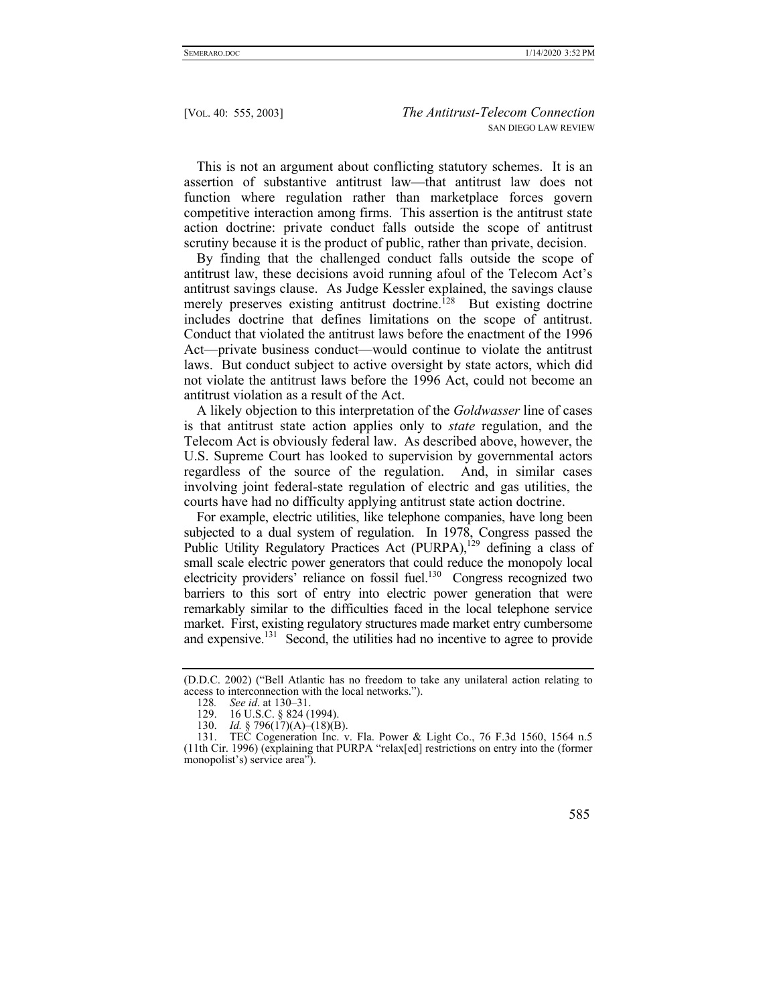This is not an argument about conflicting statutory schemes. It is an assertion of substantive antitrust law—that antitrust law does not function where regulation rather than marketplace forces govern competitive interaction among firms. This assertion is the antitrust state action doctrine: private conduct falls outside the scope of antitrust scrutiny because it is the product of public, rather than private, decision.

By finding that the challenged conduct falls outside the scope of antitrust law, these decisions avoid running afoul of the Telecom Act's antitrust savings clause. As Judge Kessler explained, the savings clause merely preserves existing antitrust doctrine.<sup>128</sup> But existing doctrine includes doctrine that defines limitations on the scope of antitrust. Conduct that violated the antitrust laws before the enactment of the 1996 Act—private business conduct—would continue to violate the antitrust laws. But conduct subject to active oversight by state actors, which did not violate the antitrust laws before the 1996 Act, could not become an antitrust violation as a result of the Act.

A likely objection to this interpretation of the *Goldwasser* line of cases is that antitrust state action applies only to *state* regulation, and the Telecom Act is obviously federal law. As described above, however, the U.S. Supreme Court has looked to supervision by governmental actors regardless of the source of the regulation. And, in similar cases involving joint federal-state regulation of electric and gas utilities, the courts have had no difficulty applying antitrust state action doctrine.

For example, electric utilities, like telephone companies, have long been subjected to a dual system of regulation. In 1978, Congress passed the Public Utility Regulatory Practices Act (PURPA),<sup>129</sup> defining a class of small scale electric power generators that could reduce the monopoly local electricity providers' reliance on fossil fuel.<sup>130</sup> Congress recognized two barriers to this sort of entry into electric power generation that were remarkably similar to the difficulties faced in the local telephone service market. First, existing regulatory structures made market entry cumbersome and expensive.<sup>131</sup> Second, the utilities had no incentive to agree to provide

<sup>(</sup>D.D.C. 2002) ("Bell Atlantic has no freedom to take any unilateral action relating to access to interconnection with the local networks.").

<sup>128</sup>*. See id*. at 130–31.

 <sup>129. 16</sup> U.S.C. § 824 (1994).

 <sup>130.</sup> *Id.* § 796(17)(A)–(18)(B).

 <sup>131.</sup> TEC Cogeneration Inc. v. Fla. Power & Light Co., 76 F.3d 1560, 1564 n.5 (11th Cir. 1996) (explaining that PURPA "relax[ed] restrictions on entry into the (former monopolist's) service area").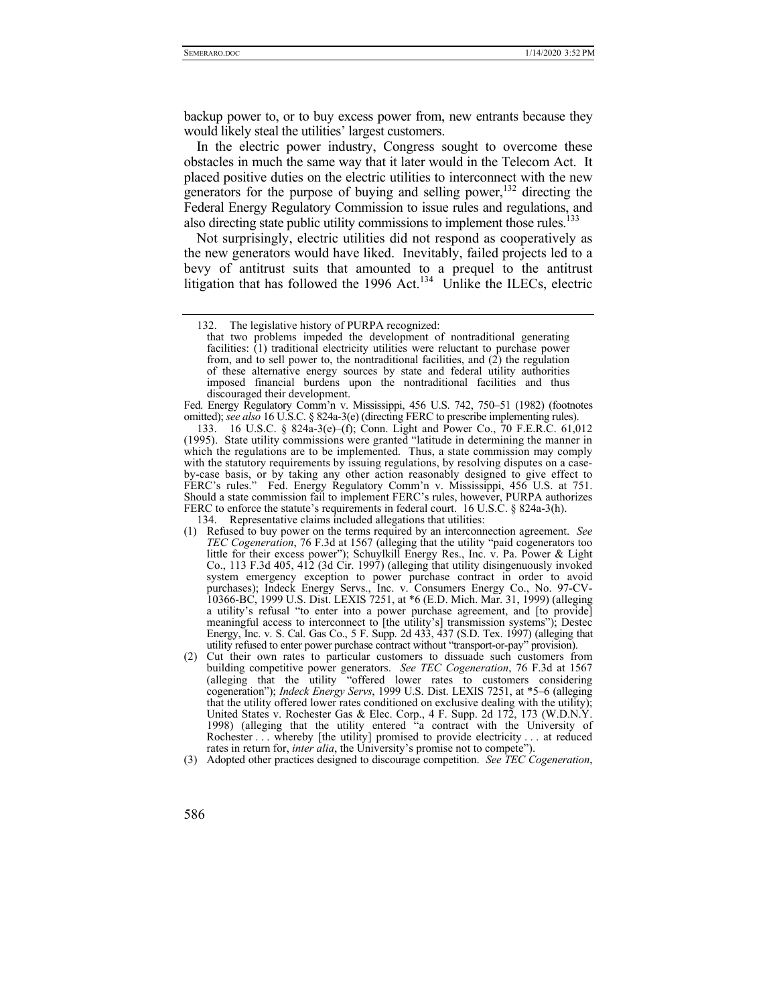backup power to, or to buy excess power from, new entrants because they would likely steal the utilities' largest customers.

In the electric power industry, Congress sought to overcome these obstacles in much the same way that it later would in the Telecom Act. It placed positive duties on the electric utilities to interconnect with the new generators for the purpose of buying and selling power,  $132$  directing the Federal Energy Regulatory Commission to issue rules and regulations, and also directing state public utility commissions to implement those rules.<sup>133</sup>

Not surprisingly, electric utilities did not respond as cooperatively as the new generators would have liked. Inevitably, failed projects led to a bevy of antitrust suits that amounted to a prequel to the antitrust litigation that has followed the 1996 Act.<sup>134</sup> Unlike the ILECs, electric

Fed. Energy Regulatory Comm'n v. Mississippi, 456 U.S. 742, 750–51 (1982) (footnotes omitted); *see also* 16 U.S.C. § 824a-3(e) (directing FERC to prescribe implementing rules).

 133. 16 U.S.C. § 824a-3(e)–(f); Conn. Light and Power Co., 70 F.E.R.C. 61,012 (1995). State utility commissions were granted "latitude in determining the manner in which the regulations are to be implemented. Thus, a state commission may comply with the statutory requirements by issuing regulations, by resolving disputes on a caseby-case basis, or by taking any other action reasonably designed to give effect to FERC's rules." Fed. Energy Regulatory Comm'n v. Mississippi, 456 U.S. at 751. Should a state commission fail to implement FERC's rules, however, PURPA authorizes FERC to enforce the statute's requirements in federal court. 16 U.S.C. § 824a-3(h).

134. Representative claims included allegations that utilities:

- (1) Refused to buy power on the terms required by an interconnection agreement. *See TEC Cogeneration*, 76 F.3d at 1567 (alleging that the utility "paid cogenerators too little for their excess power"); Schuylkill Energy Res., Inc. v. Pa. Power & Light Co., 113 F.3d 405, 412 (3d Cir. 1997) (alleging that utility disingenuously invoked system emergency exception to power purchase contract in order to avoid purchases); Indeck Energy Servs., Inc. v. Consumers Energy Co., No. 97-CV-10366-BC, 1999 U.S. Dist. LEXIS 7251, at \*6 (E.D. Mich. Mar. 31, 1999) (alleging a utility's refusal "to enter into a power purchase agreement, and [to provide] meaningful access to interconnect to [the utility's] transmission systems"); Destec Energy, Inc. v. S. Cal. Gas Co., 5 F. Supp. 2d 433, 437 (S.D. Tex. 1997) (alleging that utility refused to enter power purchase contract without "transport-or-pay" provision).
- (2) Cut their own rates to particular customers to dissuade such customers from building competitive power generators. *See TEC Cogeneration*, 76 F.3d at 1567 (alleging that the utility "offered lower rates to customers considering cogeneration"); *Indeck Energy Servs*, 1999 U.S. Dist. LEXIS 7251, at \*5–6 (alleging that the utility offered lower rates conditioned on exclusive dealing with the utility); United States v. Rochester Gas & Elec. Corp., 4 F. Supp. 2d 172, 173 (W.D.N.Y. 1998) (alleging that the utility entered "a contract with the University of Rochester . . . whereby [the utility] promised to provide electricity . . . at reduced rates in return for, *inter alia*, the University's promise not to compete").
- (3) Adopted other practices designed to discourage competition. *See TEC Cogeneration*,
- 586

 <sup>132.</sup> The legislative history of PURPA recognized:

that two problems impeded the development of nontraditional generating facilities: (1) traditional electricity utilities were reluctant to purchase power from, and to sell power to, the nontraditional facilities, and (2) the regulation of these alternative energy sources by state and federal utility authorities imposed financial burdens upon the nontraditional facilities and thus discouraged their development.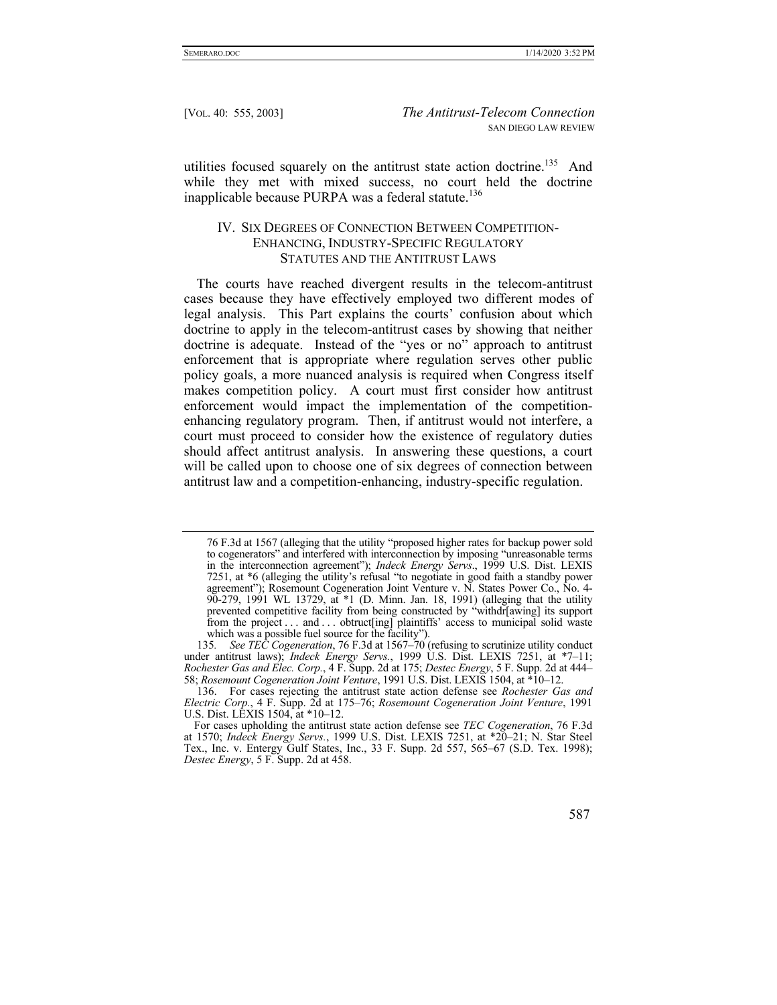utilities focused squarely on the antitrust state action doctrine.<sup>135</sup> And while they met with mixed success, no court held the doctrine inapplicable because PURPA was a federal statute.<sup>136</sup>

# IV. SIX DEGREES OF CONNECTION BETWEEN COMPETITION-ENHANCING, INDUSTRY-SPECIFIC REGULATORY STATUTES AND THE ANTITRUST LAWS

The courts have reached divergent results in the telecom-antitrust cases because they have effectively employed two different modes of legal analysis. This Part explains the courts' confusion about which doctrine to apply in the telecom-antitrust cases by showing that neither doctrine is adequate. Instead of the "yes or no" approach to antitrust enforcement that is appropriate where regulation serves other public policy goals, a more nuanced analysis is required when Congress itself makes competition policy. A court must first consider how antitrust enforcement would impact the implementation of the competitionenhancing regulatory program. Then, if antitrust would not interfere, a court must proceed to consider how the existence of regulatory duties should affect antitrust analysis. In answering these questions, a court will be called upon to choose one of six degrees of connection between antitrust law and a competition-enhancing, industry-specific regulation.

<sup>76</sup> F.3d at 1567 (alleging that the utility "proposed higher rates for backup power sold to cogenerators" and interfered with interconnection by imposing "unreasonable terms in the interconnection agreement"); *Indeck Energy Servs*., 1999 U.S. Dist. LEXIS 7251, at \*6 (alleging the utility's refusal "to negotiate in good faith a standby power agreement"); Rosemount Cogeneration Joint Venture v. N. States Power Co., No. 4- 90-279, 1991 WL 13729, at \*1 (D. Minn. Jan. 18, 1991) (alleging that the utility prevented competitive facility from being constructed by "withdr[awing] its support from the project . . . and . . . obtruct[ing] plaintiffs' access to municipal solid waste which was a possible fuel source for the facility").

<sup>135</sup>*. See TEC Cogeneration*, 76 F.3d at 1567–70 (refusing to scrutinize utility conduct under antitrust laws); *Indeck Energy Servs.*, 1999 U.S. Dist. LEXIS 7251, at \*7-11; *Rochester Gas and Elec. Corp.*, 4 F. Supp. 2d at 175; *Destec Energy*, 5 F. Supp. 2d at 444– 58; *Rosemount Cogeneration Joint Venture*, 1991 U.S. Dist. LEXIS 1504, at \*10–12.

 <sup>136.</sup> For cases rejecting the antitrust state action defense see *Rochester Gas and Electric Corp.*, 4 F. Supp. 2d at 175–76; *Rosemount Cogeneration Joint Venture*, 1991 U.S. Dist. LEXIS 1504, at \*10–12.

For cases upholding the antitrust state action defense see *TEC Cogeneration*, 76 F.3d at 1570; *Indeck Energy Servs.*, 1999 U.S. Dist. LEXIS 7251, at \*20–21; N. Star Steel Tex., Inc. v. Entergy Gulf States, Inc., 33 F. Supp. 2d 557, 565–67 (S.D. Tex. 1998); *Destec Energy*, 5 F. Supp. 2d at 458.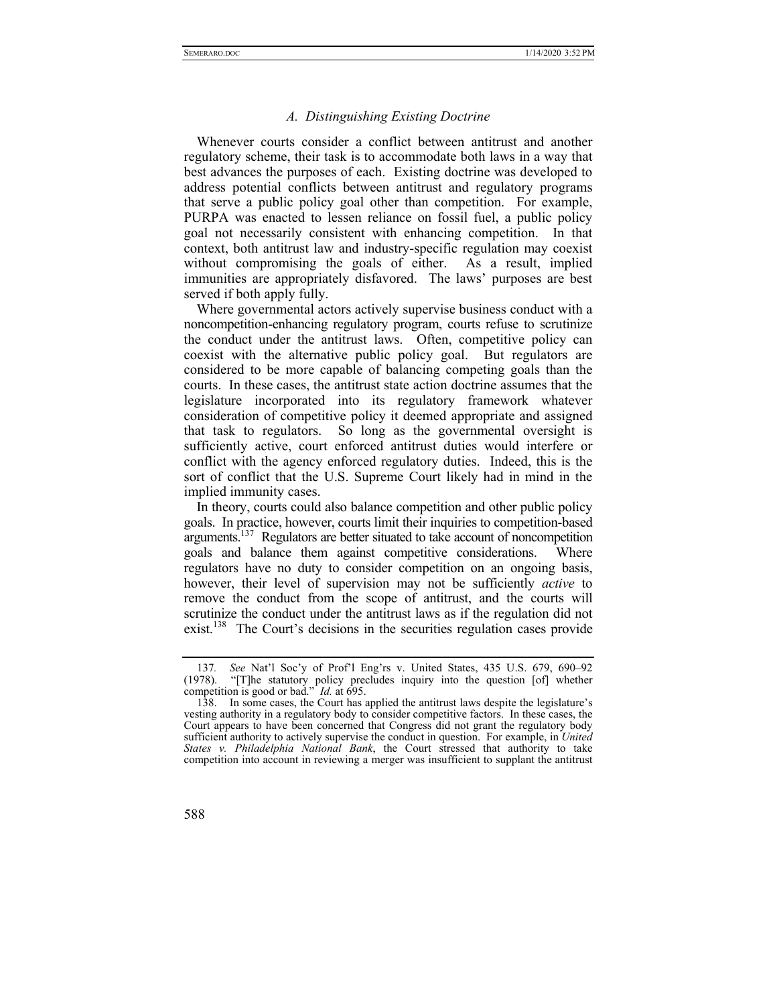#### *A. Distinguishing Existing Doctrine*

Whenever courts consider a conflict between antitrust and another regulatory scheme, their task is to accommodate both laws in a way that best advances the purposes of each. Existing doctrine was developed to address potential conflicts between antitrust and regulatory programs that serve a public policy goal other than competition. For example, PURPA was enacted to lessen reliance on fossil fuel, a public policy goal not necessarily consistent with enhancing competition. In that context, both antitrust law and industry-specific regulation may coexist without compromising the goals of either. As a result, implied immunities are appropriately disfavored. The laws' purposes are best served if both apply fully.

Where governmental actors actively supervise business conduct with a noncompetition-enhancing regulatory program, courts refuse to scrutinize the conduct under the antitrust laws. Often, competitive policy can coexist with the alternative public policy goal. But regulators are considered to be more capable of balancing competing goals than the courts. In these cases, the antitrust state action doctrine assumes that the legislature incorporated into its regulatory framework whatever consideration of competitive policy it deemed appropriate and assigned that task to regulators. So long as the governmental oversight is sufficiently active, court enforced antitrust duties would interfere or conflict with the agency enforced regulatory duties. Indeed, this is the sort of conflict that the U.S. Supreme Court likely had in mind in the implied immunity cases.

In theory, courts could also balance competition and other public policy goals. In practice, however, courts limit their inquiries to competition-based arguments.<sup>137</sup> Regulators are better situated to take account of noncompetition goals and balance them against competitive considerations. Where regulators have no duty to consider competition on an ongoing basis, however, their level of supervision may not be sufficiently *active* to remove the conduct from the scope of antitrust, and the courts will scrutinize the conduct under the antitrust laws as if the regulation did not exist.<sup>138</sup> The Court's decisions in the securities regulation cases provide

 <sup>138.</sup> In some cases, the Court has applied the antitrust laws despite the legislature's vesting authority in a regulatory body to consider competitive factors. In these cases, the Court appears to have been concerned that Congress did not grant the regulatory body sufficient authority to actively supervise the conduct in question. For example, in *United States v. Philadelphia National Bank*, the Court stressed that authority to take competition into account in reviewing a merger was insufficient to supplant the antitrust



<sup>137</sup>*. See* Nat'l Soc'y of Prof'l Eng'rs v. United States, 435 U.S. 679, 690–92 (1978). "[T]he statutory policy precludes inquiry into the question [of] whether competition is good or bad." *Id.* at 695.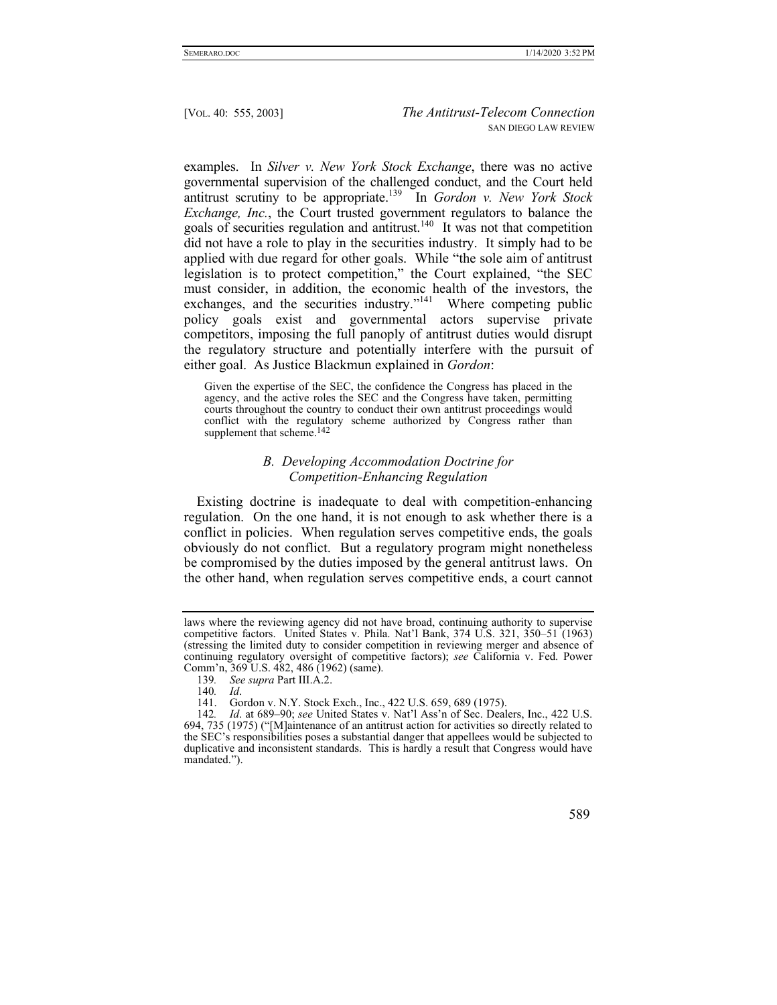examples. In *Silver v. New York Stock Exchange*, there was no active governmental supervision of the challenged conduct, and the Court held antitrust scrutiny to be appropriate.139 In *Gordon v. New York Stock Exchange, Inc.*, the Court trusted government regulators to balance the goals of securities regulation and antitrust.<sup>140</sup> It was not that competition did not have a role to play in the securities industry. It simply had to be applied with due regard for other goals. While "the sole aim of antitrust legislation is to protect competition," the Court explained, "the SEC must consider, in addition, the economic health of the investors, the exchanges, and the securities industry."<sup>141</sup> Where competing public policy goals exist and governmental actors supervise private competitors, imposing the full panoply of antitrust duties would disrupt the regulatory structure and potentially interfere with the pursuit of either goal. As Justice Blackmun explained in *Gordon*:

Given the expertise of the SEC, the confidence the Congress has placed in the agency, and the active roles the SEC and the Congress have taken, permitting courts throughout the country to conduct their own antitrust proceedings would conflict with the regulatory scheme authorized by Congress rather than supplement that scheme.<sup>142</sup>

## *B. Developing Accommodation Doctrine for Competition-Enhancing Regulation*

Existing doctrine is inadequate to deal with competition-enhancing regulation. On the one hand, it is not enough to ask whether there is a conflict in policies. When regulation serves competitive ends, the goals obviously do not conflict. But a regulatory program might nonetheless be compromised by the duties imposed by the general antitrust laws. On the other hand, when regulation serves competitive ends, a court cannot

<sup>142</sup>*. Id*. at 689–90; *see* United States v. Nat'l Ass'n of Sec. Dealers, Inc., 422 U.S. 694, 735 (1975) ("[M]aintenance of an antitrust action for activities so directly related to the SEC's responsibilities poses a substantial danger that appellees would be subjected to duplicative and inconsistent standards. This is hardly a result that Congress would have mandated.").



laws where the reviewing agency did not have broad, continuing authority to supervise competitive factors. United States v. Phila. Nat'l Bank, 374 U.S. 321, 350–51 (1963) (stressing the limited duty to consider competition in reviewing merger and absence of continuing regulatory oversight of competitive factors); *see* California v. Fed. Power Comm'n, 369 U.S. 482, 486 (1962) (same).

<sup>139</sup>*. See supra* Part III.A.2.

<sup>140</sup>*. Id*.

 <sup>141.</sup> Gordon v. N.Y. Stock Exch., Inc., 422 U.S. 659, 689 (1975).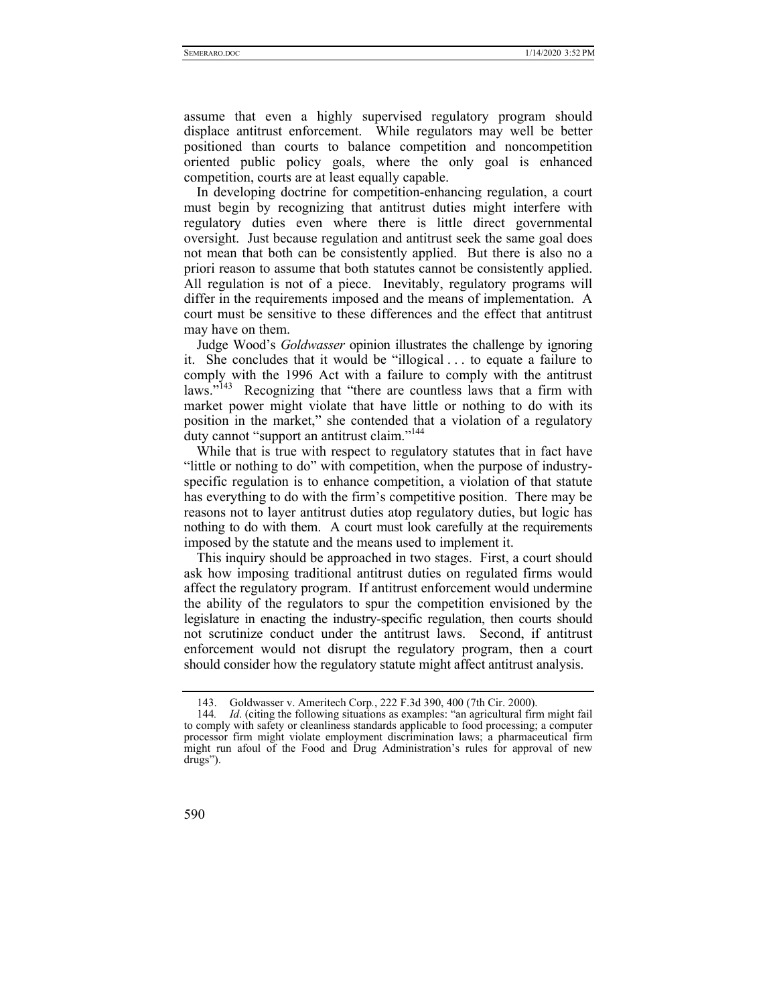assume that even a highly supervised regulatory program should displace antitrust enforcement. While regulators may well be better positioned than courts to balance competition and noncompetition oriented public policy goals, where the only goal is enhanced competition, courts are at least equally capable.

In developing doctrine for competition-enhancing regulation, a court must begin by recognizing that antitrust duties might interfere with regulatory duties even where there is little direct governmental oversight. Just because regulation and antitrust seek the same goal does not mean that both can be consistently applied. But there is also no a priori reason to assume that both statutes cannot be consistently applied. All regulation is not of a piece. Inevitably, regulatory programs will differ in the requirements imposed and the means of implementation. A court must be sensitive to these differences and the effect that antitrust may have on them.

Judge Wood's *Goldwasser* opinion illustrates the challenge by ignoring it. She concludes that it would be "illogical . . . to equate a failure to comply with the 1996 Act with a failure to comply with the antitrust laws.<sup>"143</sup> Recognizing that "there are countless laws that a firm with market power might violate that have little or nothing to do with its position in the market," she contended that a violation of a regulatory duty cannot "support an antitrust claim."<sup>144</sup>

While that is true with respect to regulatory statutes that in fact have "little or nothing to do" with competition, when the purpose of industryspecific regulation is to enhance competition, a violation of that statute has everything to do with the firm's competitive position. There may be reasons not to layer antitrust duties atop regulatory duties, but logic has nothing to do with them. A court must look carefully at the requirements imposed by the statute and the means used to implement it.

This inquiry should be approached in two stages. First, a court should ask how imposing traditional antitrust duties on regulated firms would affect the regulatory program. If antitrust enforcement would undermine the ability of the regulators to spur the competition envisioned by the legislature in enacting the industry-specific regulation, then courts should not scrutinize conduct under the antitrust laws. Second, if antitrust enforcement would not disrupt the regulatory program, then a court should consider how the regulatory statute might affect antitrust analysis.

<sup>144</sup>*. Id*. (citing the following situations as examples: "an agricultural firm might fail to comply with safety or cleanliness standards applicable to food processing; a computer processor firm might violate employment discrimination laws; a pharmaceutical firm might run afoul of the Food and Drug Administration's rules for approval of new drugs").



 <sup>143.</sup> Goldwasser v. Ameritech Corp*.*, 222 F.3d 390, 400 (7th Cir. 2000).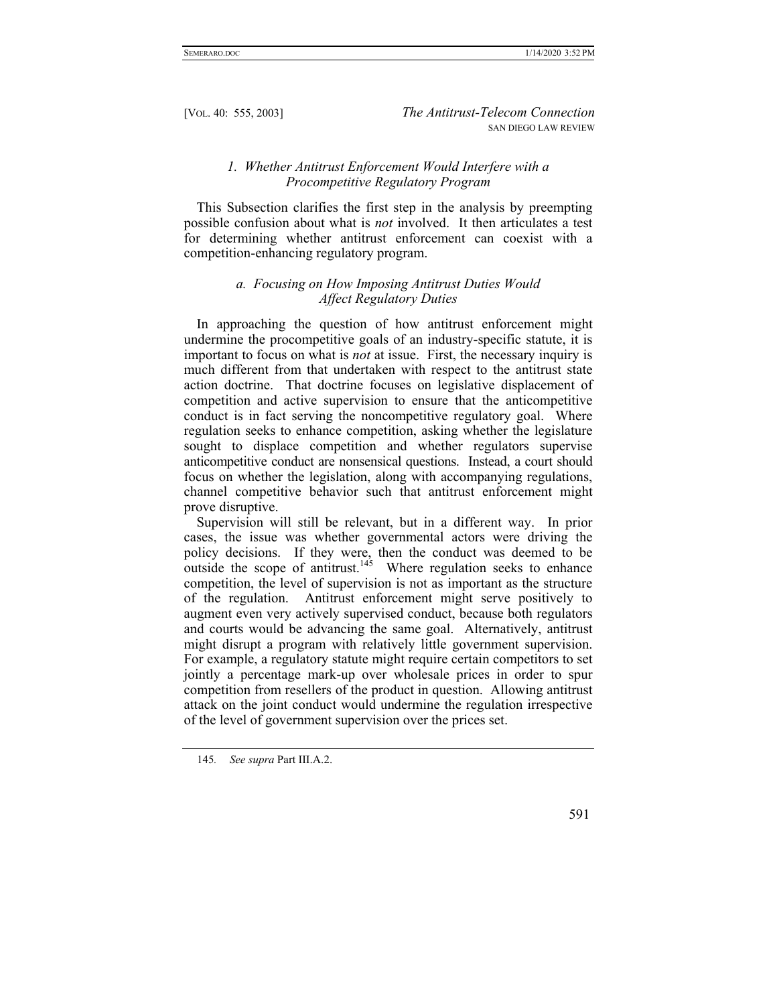# *1. Whether Antitrust Enforcement Would Interfere with a Procompetitive Regulatory Program*

This Subsection clarifies the first step in the analysis by preempting possible confusion about what is *not* involved. It then articulates a test for determining whether antitrust enforcement can coexist with a competition-enhancing regulatory program.

# *a. Focusing on How Imposing Antitrust Duties Would Affect Regulatory Duties*

In approaching the question of how antitrust enforcement might undermine the procompetitive goals of an industry-specific statute, it is important to focus on what is *not* at issue. First, the necessary inquiry is much different from that undertaken with respect to the antitrust state action doctrine. That doctrine focuses on legislative displacement of competition and active supervision to ensure that the anticompetitive conduct is in fact serving the noncompetitive regulatory goal. Where regulation seeks to enhance competition, asking whether the legislature sought to displace competition and whether regulators supervise anticompetitive conduct are nonsensical questions. Instead, a court should focus on whether the legislation, along with accompanying regulations, channel competitive behavior such that antitrust enforcement might prove disruptive.

Supervision will still be relevant, but in a different way. In prior cases, the issue was whether governmental actors were driving the policy decisions. If they were, then the conduct was deemed to be  $\frac{1}{2}$  outside the scope of antitrust.<sup>145</sup> Where regulation seeks to enhance competition, the level of supervision is not as important as the structure of the regulation. Antitrust enforcement might serve positively to augment even very actively supervised conduct, because both regulators and courts would be advancing the same goal. Alternatively, antitrust might disrupt a program with relatively little government supervision. For example, a regulatory statute might require certain competitors to set jointly a percentage mark-up over wholesale prices in order to spur competition from resellers of the product in question. Allowing antitrust attack on the joint conduct would undermine the regulation irrespective of the level of government supervision over the prices set.

<sup>145</sup>*. See supra* Part III.A.2.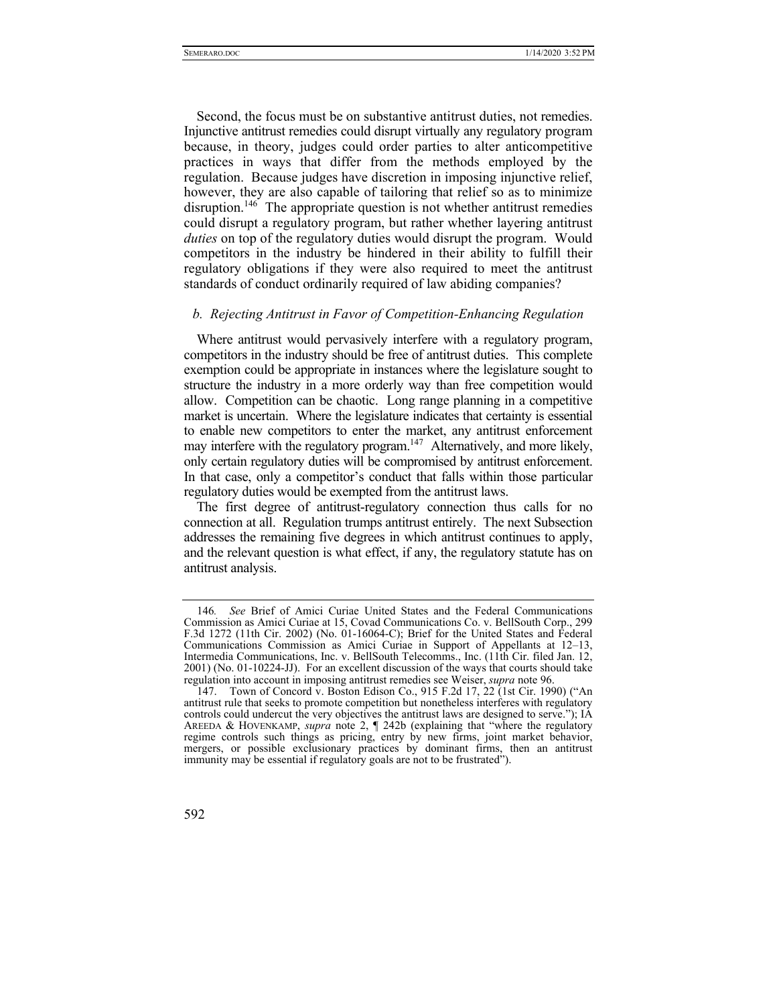Second, the focus must be on substantive antitrust duties, not remedies. Injunctive antitrust remedies could disrupt virtually any regulatory program because, in theory, judges could order parties to alter anticompetitive practices in ways that differ from the methods employed by the regulation. Because judges have discretion in imposing injunctive relief, however, they are also capable of tailoring that relief so as to minimize disruption.<sup>146</sup> The appropriate question is not whether antitrust remedies could disrupt a regulatory program, but rather whether layering antitrust *duties* on top of the regulatory duties would disrupt the program. Would competitors in the industry be hindered in their ability to fulfill their regulatory obligations if they were also required to meet the antitrust standards of conduct ordinarily required of law abiding companies?

#### *b. Rejecting Antitrust in Favor of Competition-Enhancing Regulation*

Where antitrust would pervasively interfere with a regulatory program, competitors in the industry should be free of antitrust duties. This complete exemption could be appropriate in instances where the legislature sought to structure the industry in a more orderly way than free competition would allow. Competition can be chaotic. Long range planning in a competitive market is uncertain. Where the legislature indicates that certainty is essential to enable new competitors to enter the market, any antitrust enforcement may interfere with the regulatory program.<sup>147</sup> Alternatively, and more likely, only certain regulatory duties will be compromised by antitrust enforcement. In that case, only a competitor's conduct that falls within those particular regulatory duties would be exempted from the antitrust laws.

The first degree of antitrust-regulatory connection thus calls for no connection at all. Regulation trumps antitrust entirely. The next Subsection addresses the remaining five degrees in which antitrust continues to apply, and the relevant question is what effect, if any, the regulatory statute has on antitrust analysis.

 <sup>147.</sup> Town of Concord v. Boston Edison Co., 915 F.2d 17, 22 (1st Cir. 1990) ("An antitrust rule that seeks to promote competition but nonetheless interferes with regulatory controls could undercut the very objectives the antitrust laws are designed to serve."); IA AREEDA & HOVENKAMP, *supra* note 2, ¶ 242b (explaining that "where the regulatory regime controls such things as pricing, entry by new firms, joint market behavior, mergers, or possible exclusionary practices by dominant firms, then an antitrust immunity may be essential if regulatory goals are not to be frustrated").



<sup>146</sup>*. See* Brief of Amici Curiae United States and the Federal Communications Commission as Amici Curiae at 15, Covad Communications Co. v. BellSouth Corp., 299 F.3d 1272 (11th Cir. 2002) (No. 01-16064-C); Brief for the United States and Federal Communications Commission as Amici Curiae in Support of Appellants at 12–13, Intermedia Communications, Inc. v. BellSouth Telecomms., Inc. (11th Cir. filed Jan. 12, 2001) (No. 01-10224-JJ). For an excellent discussion of the ways that courts should take regulation into account in imposing antitrust remedies see Weiser, *supra* note 96.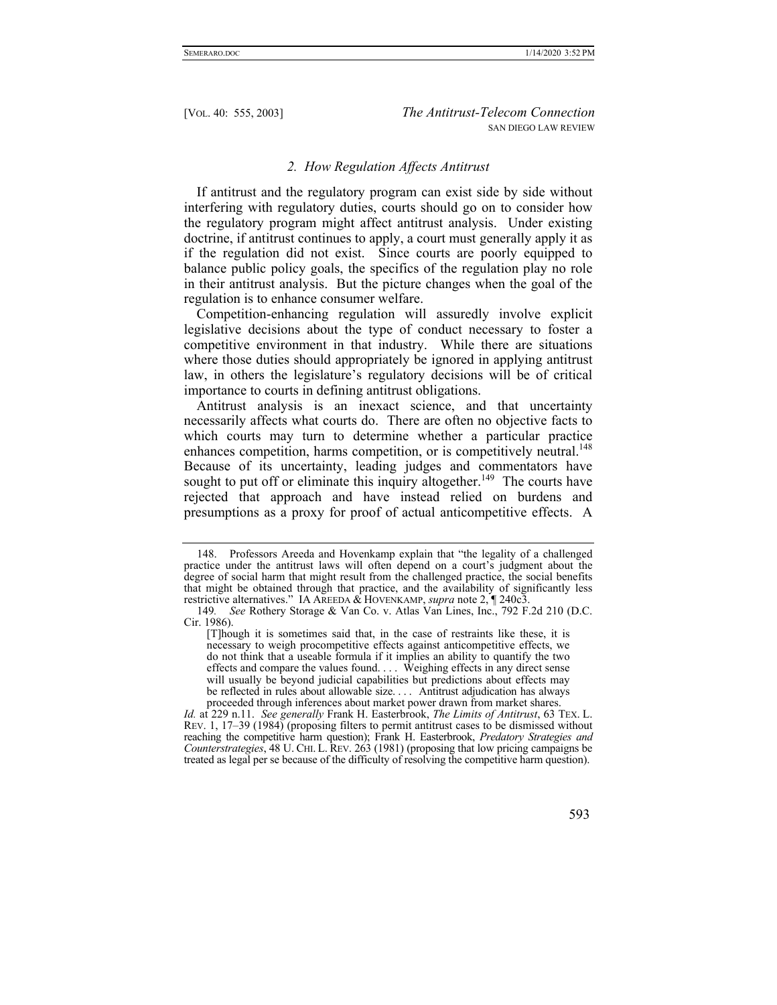#### *2. How Regulation Affects Antitrust*

If antitrust and the regulatory program can exist side by side without interfering with regulatory duties, courts should go on to consider how the regulatory program might affect antitrust analysis. Under existing doctrine, if antitrust continues to apply, a court must generally apply it as if the regulation did not exist. Since courts are poorly equipped to balance public policy goals, the specifics of the regulation play no role in their antitrust analysis. But the picture changes when the goal of the regulation is to enhance consumer welfare.

Competition-enhancing regulation will assuredly involve explicit legislative decisions about the type of conduct necessary to foster a competitive environment in that industry. While there are situations where those duties should appropriately be ignored in applying antitrust law, in others the legislature's regulatory decisions will be of critical importance to courts in defining antitrust obligations.

Antitrust analysis is an inexact science, and that uncertainty necessarily affects what courts do. There are often no objective facts to which courts may turn to determine whether a particular practice enhances competition, harms competition, or is competitively neutral.<sup>148</sup> Because of its uncertainty, leading judges and commentators have sought to put off or eliminate this inquiry altogether.<sup>149</sup> The courts have rejected that approach and have instead relied on burdens and presumptions as a proxy for proof of actual anticompetitive effects. A

*Id.* at 229 n.11. *See generally* Frank H. Easterbrook, *The Limits of Antitrust*, 63 TEX. L. REV. 1, 17–39 (1984) (proposing filters to permit antitrust cases to be dismissed without reaching the competitive harm question); Frank H. Easterbrook, *Predatory Strategies and Counterstrategies*, 48 U. CHI. L. REV. 263 (1981) (proposing that low pricing campaigns be treated as legal per se because of the difficulty of resolving the competitive harm question).



 <sup>148.</sup> Professors Areeda and Hovenkamp explain that "the legality of a challenged practice under the antitrust laws will often depend on a court's judgment about the degree of social harm that might result from the challenged practice, the social benefits that might be obtained through that practice, and the availability of significantly less restrictive alternatives." IA AREEDA & HOVENKAMP, *supra* note 2, ¶ 240c3.

<sup>149</sup>*. See* Rothery Storage & Van Co. v. Atlas Van Lines, Inc., 792 F.2d 210 (D.C. Cir. 1986).

<sup>[</sup>T]hough it is sometimes said that, in the case of restraints like these, it is necessary to weigh procompetitive effects against anticompetitive effects, we do not think that a useable formula if it implies an ability to quantify the two effects and compare the values found. . . . Weighing effects in any direct sense will usually be beyond judicial capabilities but predictions about effects may be reflected in rules about allowable size. . . . Antitrust adjudication has always proceeded through inferences about market power drawn from market shares.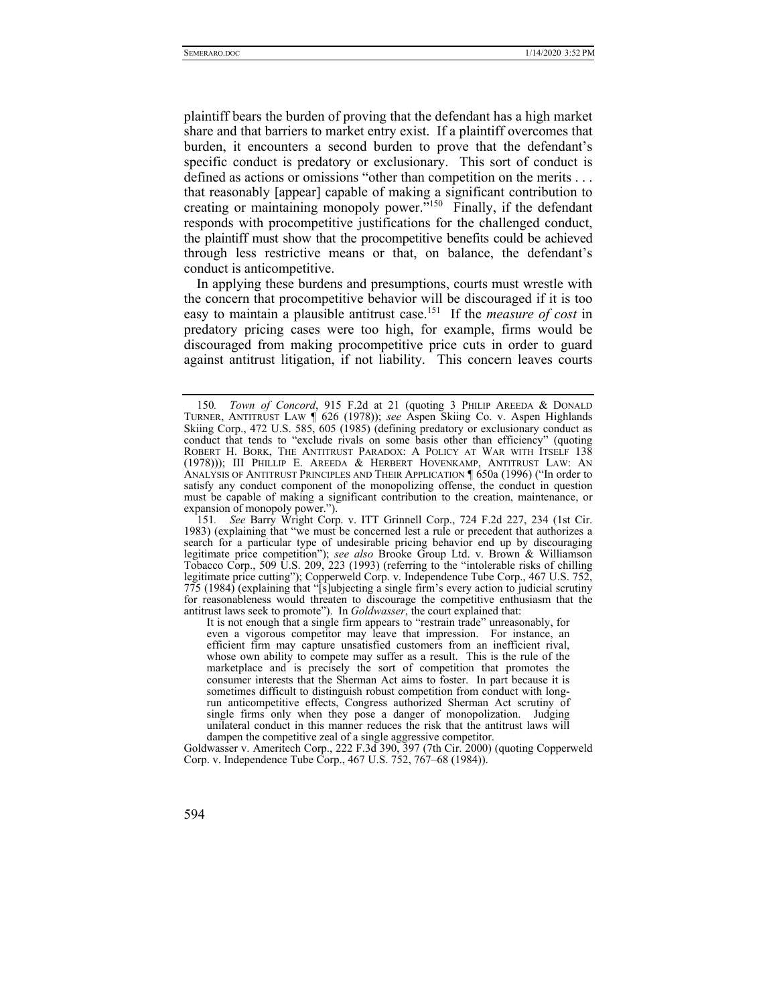plaintiff bears the burden of proving that the defendant has a high market share and that barriers to market entry exist. If a plaintiff overcomes that burden, it encounters a second burden to prove that the defendant's specific conduct is predatory or exclusionary. This sort of conduct is defined as actions or omissions "other than competition on the merits . . . that reasonably [appear] capable of making a significant contribution to creating or maintaining monopoly power."<sup>150</sup> Finally, if the defendant responds with procompetitive justifications for the challenged conduct, the plaintiff must show that the procompetitive benefits could be achieved through less restrictive means or that, on balance, the defendant's conduct is anticompetitive.

In applying these burdens and presumptions, courts must wrestle with the concern that procompetitive behavior will be discouraged if it is too easy to maintain a plausible antitrust case.151 If the *measure of cost* in predatory pricing cases were too high, for example, firms would be discouraged from making procompetitive price cuts in order to guard against antitrust litigation, if not liability. This concern leaves courts

<sup>150</sup>*. Town of Concord*, 915 F.2d at 21 (quoting 3 PHILIP AREEDA & DONALD TURNER, ANTITRUST LAW ¶ 626 (1978)); *see* Aspen Skiing Co. v. Aspen Highlands Skiing Corp., 472 U.S. 585, 605 (1985) (defining predatory or exclusionary conduct as conduct that tends to "exclude rivals on some basis other than efficiency" (quoting ROBERT H. BORK, THE ANTITRUST PARADOX: A POLICY AT WAR WITH ITSELF 138 (1978))); III PHILLIP E. AREEDA & HERBERT HOVENKAMP, ANTITRUST LAW: AN ANALYSIS OF ANTITRUST PRINCIPLES AND THEIR APPLICATION ¶ 650a (1996) ("In order to satisfy any conduct component of the monopolizing offense, the conduct in question must be capable of making a significant contribution to the creation, maintenance, or expansion of monopoly power.").

<sup>151</sup>*. See* Barry Wright Corp. v. ITT Grinnell Corp., 724 F.2d 227, 234 (1st Cir. 1983) (explaining that "we must be concerned lest a rule or precedent that authorizes a search for a particular type of undesirable pricing behavior end up by discouraging legitimate price competition"); *see also* Brooke Group Ltd. v. Brown & Williamson Tobacco Corp., 509 U.S. 209, 223 (1993) (referring to the "intolerable risks of chilling legitimate price cutting"); Copperweld Corp. v. Independence Tube Corp., 467 U.S. 752, 775 (1984) (explaining that "[s]ubjecting a single firm's every action to judicial scrutiny for reasonableness would threaten to discourage the competitive enthusiasm that the antitrust laws seek to promote"). In *Goldwasser*, the court explained that:

It is not enough that a single firm appears to "restrain trade" unreasonably, for even a vigorous competitor may leave that impression. For instance, an efficient firm may capture unsatisfied customers from an inefficient rival, whose own ability to compete may suffer as a result. This is the rule of the marketplace and is precisely the sort of competition that promotes the consumer interests that the Sherman Act aims to foster. In part because it is sometimes difficult to distinguish robust competition from conduct with longrun anticompetitive effects, Congress authorized Sherman Act scrutiny of single firms only when they pose a danger of monopolization. Judging unilateral conduct in this manner reduces the risk that the antitrust laws will dampen the competitive zeal of a single aggressive competitor.

Goldwasser v. Ameritech Corp., 222 F.3d 390, 397 (7th Cir. 2000) (quoting Copperweld Corp. v. Independence Tube Corp., 467 U.S. 752, 767–68 (1984)).

<sup>594</sup>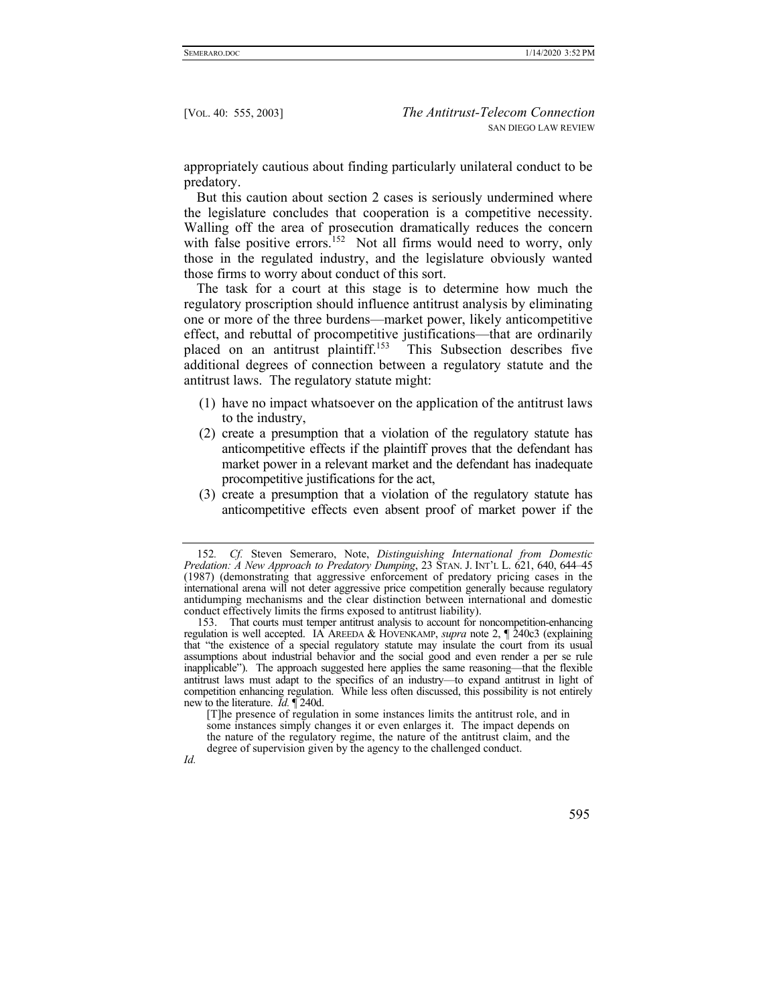appropriately cautious about finding particularly unilateral conduct to be predatory.

But this caution about section 2 cases is seriously undermined where the legislature concludes that cooperation is a competitive necessity. Walling off the area of prosecution dramatically reduces the concern with false positive errors.<sup>152</sup> Not all firms would need to worry, only those in the regulated industry, and the legislature obviously wanted those firms to worry about conduct of this sort.

The task for a court at this stage is to determine how much the regulatory proscription should influence antitrust analysis by eliminating one or more of the three burdens—market power, likely anticompetitive effect, and rebuttal of procompetitive justifications—that are ordinarily placed on an antitrust plaintiff.<sup>153</sup> This Subsection describes five additional degrees of connection between a regulatory statute and the antitrust laws. The regulatory statute might:

- (1) have no impact whatsoever on the application of the antitrust laws to the industry,
- (2) create a presumption that a violation of the regulatory statute has anticompetitive effects if the plaintiff proves that the defendant has market power in a relevant market and the defendant has inadequate procompetitive justifications for the act,
- (3) create a presumption that a violation of the regulatory statute has anticompetitive effects even absent proof of market power if the

<sup>152</sup>*. Cf.* Steven Semeraro, Note, *Distinguishing International from Domestic Predation: A New Approach to Predatory Dumping*, 23 STAN. J. INT'L L. 621, 640, 644–45 (1987) (demonstrating that aggressive enforcement of predatory pricing cases in the international arena will not deter aggressive price competition generally because regulatory antidumping mechanisms and the clear distinction between international and domestic conduct effectively limits the firms exposed to antitrust liability).

 <sup>153.</sup> That courts must temper antitrust analysis to account for noncompetition-enhancing regulation is well accepted. IA AREEDA & HOVENKAMP, *supra* note 2, ¶ 240c3 (explaining that "the existence of a special regulatory statute may insulate the court from its usual assumptions about industrial behavior and the social good and even render a per se rule inapplicable"). The approach suggested here applies the same reasoning—that the flexible antitrust laws must adapt to the specifics of an industry—to expand antitrust in light of competition enhancing regulation. While less often discussed, this possibility is not entirely new to the literature. *Id.* ¶ 240d.

<sup>[</sup>T]he presence of regulation in some instances limits the antitrust role, and in some instances simply changes it or even enlarges it. The impact depends on the nature of the regulatory regime, the nature of the antitrust claim, and the degree of supervision given by the agency to the challenged conduct.

*Id.*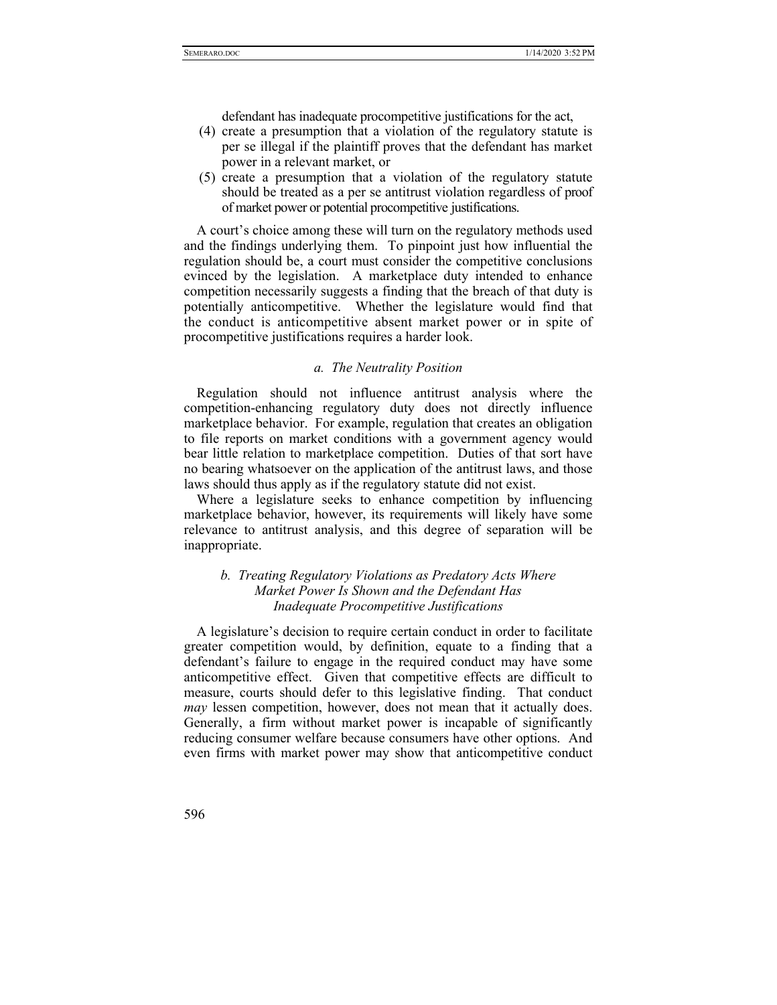defendant has inadequate procompetitive justifications for the act,

- (4) create a presumption that a violation of the regulatory statute is per se illegal if the plaintiff proves that the defendant has market power in a relevant market, or
- (5) create a presumption that a violation of the regulatory statute should be treated as a per se antitrust violation regardless of proof of market power or potential procompetitive justifications.

A court's choice among these will turn on the regulatory methods used and the findings underlying them. To pinpoint just how influential the regulation should be, a court must consider the competitive conclusions evinced by the legislation. A marketplace duty intended to enhance competition necessarily suggests a finding that the breach of that duty is potentially anticompetitive. Whether the legislature would find that the conduct is anticompetitive absent market power or in spite of procompetitive justifications requires a harder look.

#### *a. The Neutrality Position*

Regulation should not influence antitrust analysis where the competition-enhancing regulatory duty does not directly influence marketplace behavior. For example, regulation that creates an obligation to file reports on market conditions with a government agency would bear little relation to marketplace competition. Duties of that sort have no bearing whatsoever on the application of the antitrust laws, and those laws should thus apply as if the regulatory statute did not exist.

Where a legislature seeks to enhance competition by influencing marketplace behavior, however, its requirements will likely have some relevance to antitrust analysis, and this degree of separation will be inappropriate.

# *b. Treating Regulatory Violations as Predatory Acts Where Market Power Is Shown and the Defendant Has Inadequate Procompetitive Justifications*

A legislature's decision to require certain conduct in order to facilitate greater competition would, by definition, equate to a finding that a defendant's failure to engage in the required conduct may have some anticompetitive effect. Given that competitive effects are difficult to measure, courts should defer to this legislative finding. That conduct *may* lessen competition, however, does not mean that it actually does. Generally, a firm without market power is incapable of significantly reducing consumer welfare because consumers have other options. And even firms with market power may show that anticompetitive conduct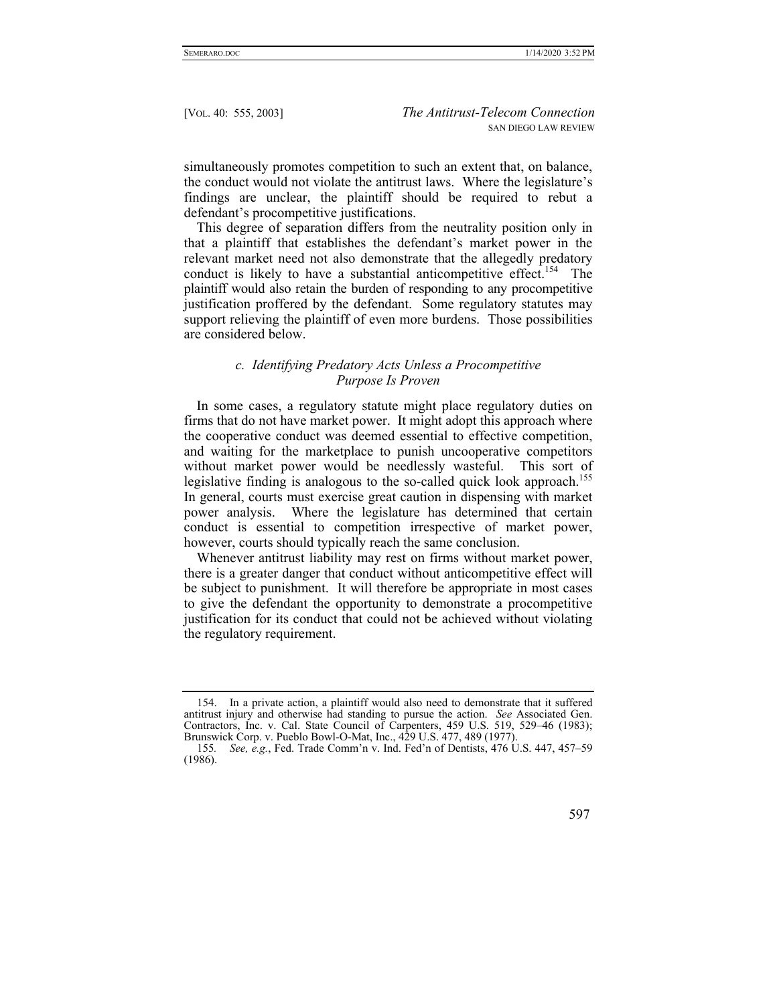simultaneously promotes competition to such an extent that, on balance, the conduct would not violate the antitrust laws. Where the legislature's findings are unclear, the plaintiff should be required to rebut a defendant's procompetitive justifications.

This degree of separation differs from the neutrality position only in that a plaintiff that establishes the defendant's market power in the relevant market need not also demonstrate that the allegedly predatory conduct is likely to have a substantial anticompetitive effect.<sup>154</sup> The plaintiff would also retain the burden of responding to any procompetitive justification proffered by the defendant. Some regulatory statutes may support relieving the plaintiff of even more burdens. Those possibilities are considered below.

## *c. Identifying Predatory Acts Unless a Procompetitive Purpose Is Proven*

In some cases, a regulatory statute might place regulatory duties on firms that do not have market power. It might adopt this approach where the cooperative conduct was deemed essential to effective competition, and waiting for the marketplace to punish uncooperative competitors without market power would be needlessly wasteful. This sort of legislative finding is analogous to the so-called quick look approach.<sup>155</sup> In general, courts must exercise great caution in dispensing with market power analysis. Where the legislature has determined that certain conduct is essential to competition irrespective of market power, however, courts should typically reach the same conclusion.

Whenever antitrust liability may rest on firms without market power, there is a greater danger that conduct without anticompetitive effect will be subject to punishment. It will therefore be appropriate in most cases to give the defendant the opportunity to demonstrate a procompetitive justification for its conduct that could not be achieved without violating the regulatory requirement.

<sup>155</sup>*. See, e.g.*, Fed. Trade Comm'n v. Ind. Fed'n of Dentists, 476 U.S. 447, 457–59 (1986).



 <sup>154.</sup> In a private action, a plaintiff would also need to demonstrate that it suffered antitrust injury and otherwise had standing to pursue the action. *See* Associated Gen. Contractors, Inc. v. Cal. State Council of Carpenters, 459 U.S. 519, 529–46 (1983); Brunswick Corp. v. Pueblo Bowl-O-Mat, Inc., 429 U.S. 477, 489 (1977).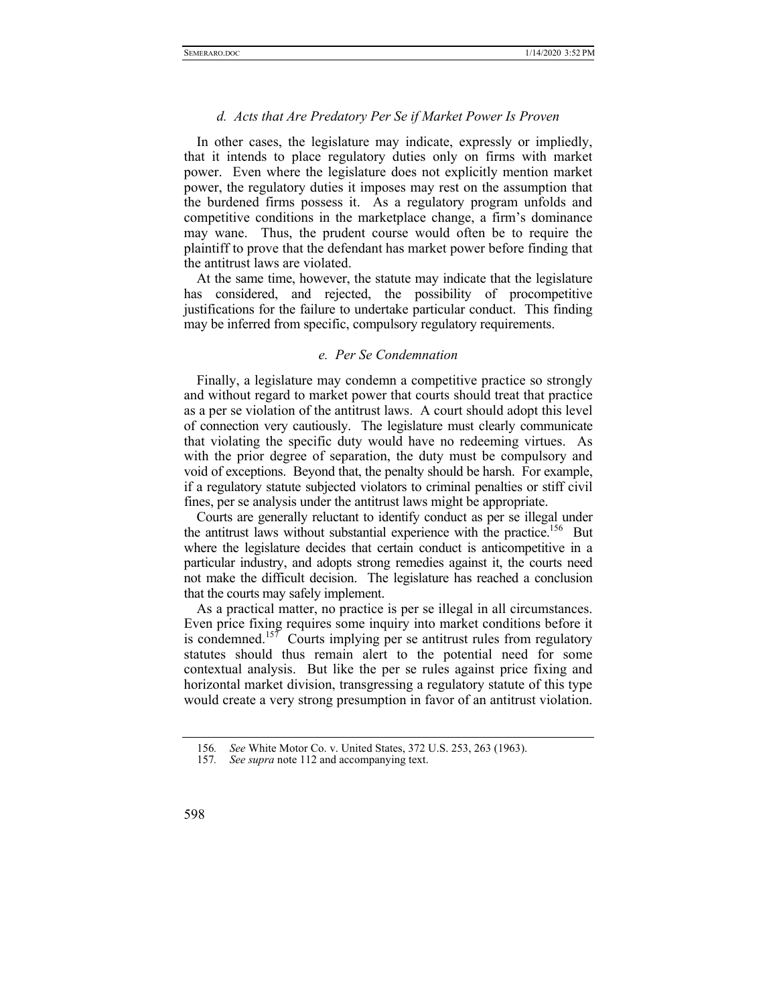#### *d. Acts that Are Predatory Per Se if Market Power Is Proven*

In other cases, the legislature may indicate, expressly or impliedly, that it intends to place regulatory duties only on firms with market power. Even where the legislature does not explicitly mention market power, the regulatory duties it imposes may rest on the assumption that the burdened firms possess it. As a regulatory program unfolds and competitive conditions in the marketplace change, a firm's dominance may wane. Thus, the prudent course would often be to require the plaintiff to prove that the defendant has market power before finding that the antitrust laws are violated.

At the same time, however, the statute may indicate that the legislature has considered, and rejected, the possibility of procompetitive justifications for the failure to undertake particular conduct. This finding may be inferred from specific, compulsory regulatory requirements.

# *e. Per Se Condemnation*

Finally, a legislature may condemn a competitive practice so strongly and without regard to market power that courts should treat that practice as a per se violation of the antitrust laws. A court should adopt this level of connection very cautiously. The legislature must clearly communicate that violating the specific duty would have no redeeming virtues. As with the prior degree of separation, the duty must be compulsory and void of exceptions. Beyond that, the penalty should be harsh. For example, if a regulatory statute subjected violators to criminal penalties or stiff civil fines, per se analysis under the antitrust laws might be appropriate.

Courts are generally reluctant to identify conduct as per se illegal under the antitrust laws without substantial experience with the practice.<sup>156</sup> But where the legislature decides that certain conduct is anticompetitive in a particular industry, and adopts strong remedies against it, the courts need not make the difficult decision. The legislature has reached a conclusion that the courts may safely implement.

As a practical matter, no practice is per se illegal in all circumstances. Even price fixing requires some inquiry into market conditions before it is condemned.<sup>157</sup> Courts implying per se antitrust rules from regulatory statutes should thus remain alert to the potential need for some contextual analysis. But like the per se rules against price fixing and horizontal market division, transgressing a regulatory statute of this type would create a very strong presumption in favor of an antitrust violation.

<sup>156</sup>*. See* White Motor Co. v. United States, 372 U.S. 253, 263 (1963).

<sup>157</sup>*. See supra* note 112 and accompanying text.

<sup>598</sup>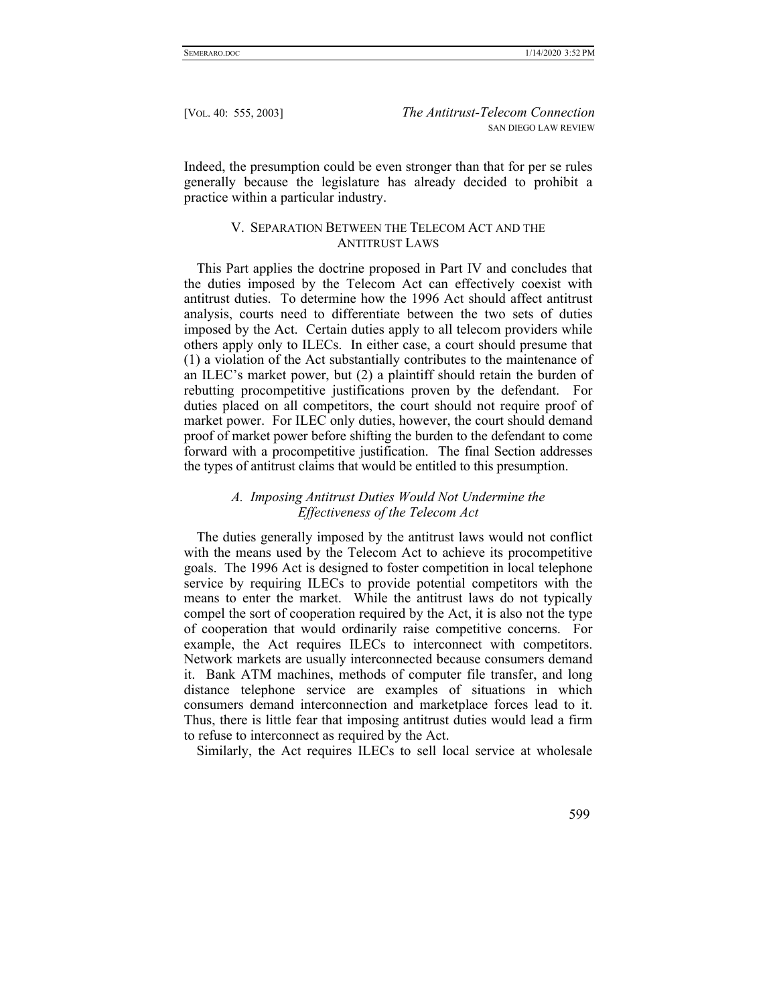Indeed, the presumption could be even stronger than that for per se rules generally because the legislature has already decided to prohibit a practice within a particular industry.

## V. SEPARATION BETWEEN THE TELECOM ACT AND THE ANTITRUST LAWS

This Part applies the doctrine proposed in Part IV and concludes that the duties imposed by the Telecom Act can effectively coexist with antitrust duties. To determine how the 1996 Act should affect antitrust analysis, courts need to differentiate between the two sets of duties imposed by the Act. Certain duties apply to all telecom providers while others apply only to ILECs. In either case, a court should presume that (1) a violation of the Act substantially contributes to the maintenance of an ILEC's market power, but (2) a plaintiff should retain the burden of rebutting procompetitive justifications proven by the defendant. For duties placed on all competitors, the court should not require proof of market power. For ILEC only duties, however, the court should demand proof of market power before shifting the burden to the defendant to come forward with a procompetitive justification. The final Section addresses the types of antitrust claims that would be entitled to this presumption.

# *A. Imposing Antitrust Duties Would Not Undermine the Effectiveness of the Telecom Act*

The duties generally imposed by the antitrust laws would not conflict with the means used by the Telecom Act to achieve its procompetitive goals. The 1996 Act is designed to foster competition in local telephone service by requiring ILECs to provide potential competitors with the means to enter the market. While the antitrust laws do not typically compel the sort of cooperation required by the Act, it is also not the type of cooperation that would ordinarily raise competitive concerns. For example, the Act requires ILECs to interconnect with competitors. Network markets are usually interconnected because consumers demand it. Bank ATM machines, methods of computer file transfer, and long distance telephone service are examples of situations in which consumers demand interconnection and marketplace forces lead to it. Thus, there is little fear that imposing antitrust duties would lead a firm to refuse to interconnect as required by the Act.

Similarly, the Act requires ILECs to sell local service at wholesale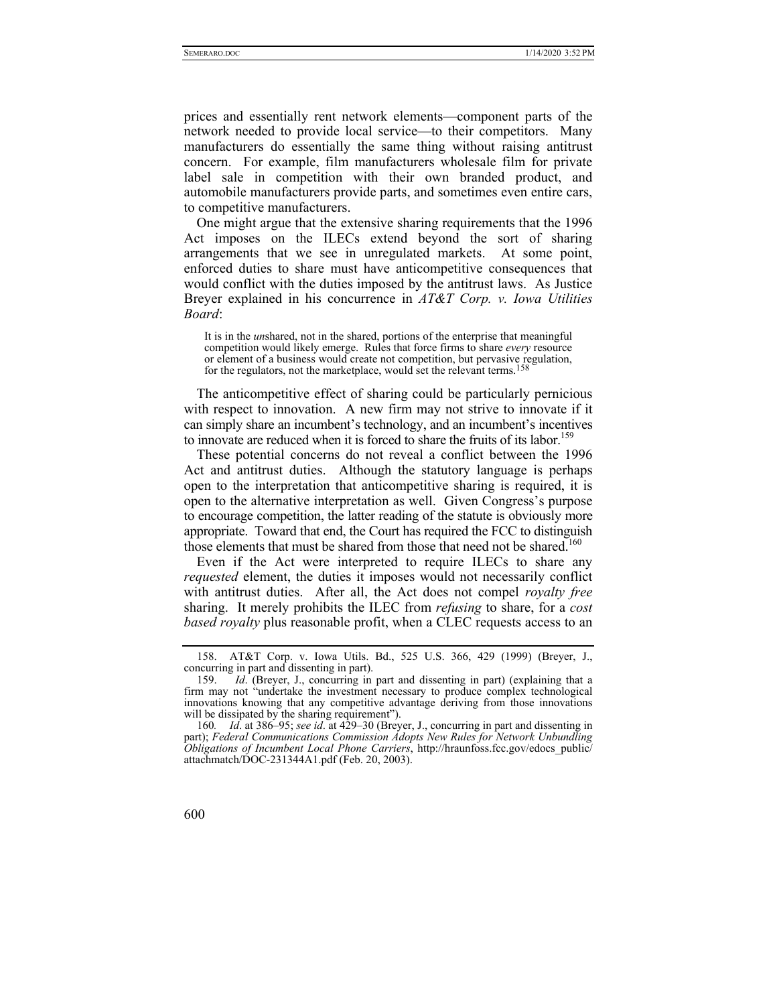prices and essentially rent network elements—component parts of the network needed to provide local service—to their competitors. Many manufacturers do essentially the same thing without raising antitrust concern. For example, film manufacturers wholesale film for private label sale in competition with their own branded product, and automobile manufacturers provide parts, and sometimes even entire cars, to competitive manufacturers.

One might argue that the extensive sharing requirements that the 1996 Act imposes on the ILECs extend beyond the sort of sharing arrangements that we see in unregulated markets. At some point, enforced duties to share must have anticompetitive consequences that would conflict with the duties imposed by the antitrust laws. As Justice Breyer explained in his concurrence in *AT&T Corp. v. Iowa Utilities Board*:

It is in the *un*shared, not in the shared, portions of the enterprise that meaningful competition would likely emerge. Rules that force firms to share *every* resource or element of a business would create not competition, but pervasive regulation, for the regulators, not the marketplace, would set the relevant terms.<sup>158</sup>

The anticompetitive effect of sharing could be particularly pernicious with respect to innovation. A new firm may not strive to innovate if it can simply share an incumbent's technology, and an incumbent's incentives to innovate are reduced when it is forced to share the fruits of its labor.<sup>159</sup>

These potential concerns do not reveal a conflict between the 1996 Act and antitrust duties. Although the statutory language is perhaps open to the interpretation that anticompetitive sharing is required, it is open to the alternative interpretation as well. Given Congress's purpose to encourage competition, the latter reading of the statute is obviously more appropriate. Toward that end, the Court has required the FCC to distinguish those elements that must be shared from those that need not be shared.<sup>160</sup>

Even if the Act were interpreted to require ILECs to share any *requested* element, the duties it imposes would not necessarily conflict with antitrust duties. After all, the Act does not compel *royalty free* sharing. It merely prohibits the ILEC from *refusing* to share, for a *cost based royalty* plus reasonable profit, when a CLEC requests access to an

<sup>160</sup>*. Id*. at 386–95; *see id*. at 429–30 (Breyer, J., concurring in part and dissenting in part); *Federal Communications Commission Adopts New Rules for Network Unbundling Obligations of Incumbent Local Phone Carriers*, http://hraunfoss.fcc.gov/edocs\_public/ attachmatch/DOC-231344A1.pdf (Feb. 20, 2003).



 <sup>158.</sup> AT&T Corp. v. Iowa Utils. Bd., 525 U.S. 366, 429 (1999) (Breyer, J., concurring in part and dissenting in part).

 <sup>159.</sup> *Id*. (Breyer, J., concurring in part and dissenting in part) (explaining that a firm may not "undertake the investment necessary to produce complex technological innovations knowing that any competitive advantage deriving from those innovations will be dissipated by the sharing requirement").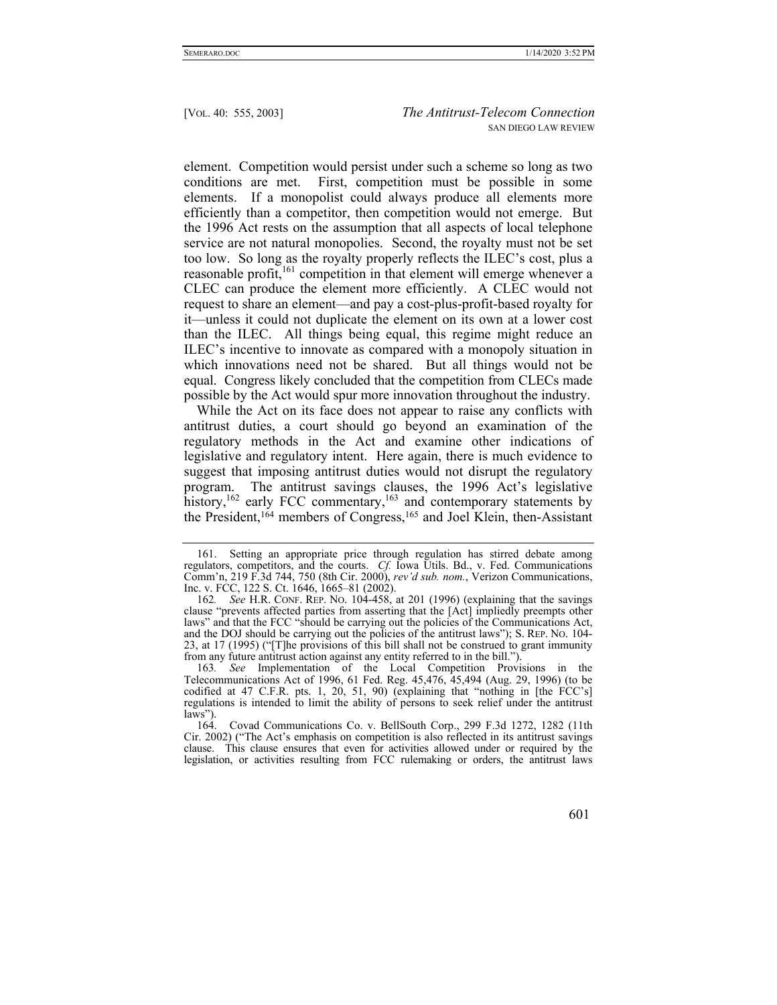element. Competition would persist under such a scheme so long as two conditions are met. First, competition must be possible in some elements. If a monopolist could always produce all elements more efficiently than a competitor, then competition would not emerge. But the 1996 Act rests on the assumption that all aspects of local telephone service are not natural monopolies. Second, the royalty must not be set too low. So long as the royalty properly reflects the ILEC's cost, plus a reasonable profit,<sup>161</sup> competition in that element will emerge whenever a CLEC can produce the element more efficiently. A CLEC would not request to share an element—and pay a cost-plus-profit-based royalty for it—unless it could not duplicate the element on its own at a lower cost than the ILEC. All things being equal, this regime might reduce an ILEC's incentive to innovate as compared with a monopoly situation in which innovations need not be shared. But all things would not be equal. Congress likely concluded that the competition from CLECs made possible by the Act would spur more innovation throughout the industry.

While the Act on its face does not appear to raise any conflicts with antitrust duties, a court should go beyond an examination of the regulatory methods in the Act and examine other indications of legislative and regulatory intent. Here again, there is much evidence to suggest that imposing antitrust duties would not disrupt the regulatory program. The antitrust savings clauses, the 1996 Act's legislative history,<sup>162</sup> early FCC commentary,<sup>163</sup> and contemporary statements by the President,<sup>164</sup> members of Congress,<sup>165</sup> and Joel Klein, then-Assistant

 <sup>161.</sup> Setting an appropriate price through regulation has stirred debate among regulators, competitors, and the courts. *Cf.* Iowa Utils. Bd., v. Fed. Communications Comm'n, 219 F.3d 744, 750 (8th Cir. 2000), *rev'd sub. nom.*, Verizon Communications, Inc. v. FCC, 122 S. Ct. 1646, 1665–81 (2002).

<sup>162</sup>*. See* H.R. CONF. REP. NO. 104-458, at 201 (1996) (explaining that the savings clause "prevents affected parties from asserting that the [Act] impliedly preempts other laws" and that the FCC "should be carrying out the policies of the Communications Act, and the DOJ should be carrying out the policies of the antitrust laws"); S. REP. NO. 104- 23, at 17 (1995) ("[T]he provisions of this bill shall not be construed to grant immunity from any future antitrust action against any entity referred to in the bill.").

<sup>163</sup>*. See* Implementation of the Local Competition Provisions in the Telecommunications Act of 1996, 61 Fed. Reg. 45,476, 45,494 (Aug. 29, 1996) (to be codified at 47 C.F.R. pts. 1, 20, 51, 90) (explaining that "nothing in [the FCC's] regulations is intended to limit the ability of persons to seek relief under the antitrust laws").<br> $164.$ 

Covad Communications Co. v. BellSouth Corp., 299 F.3d 1272, 1282 (11th Cir. 2002) ("The Act's emphasis on competition is also reflected in its antitrust savings clause. This clause ensures that even for activities allowed under or required by the legislation, or activities resulting from FCC rulemaking or orders, the antitrust laws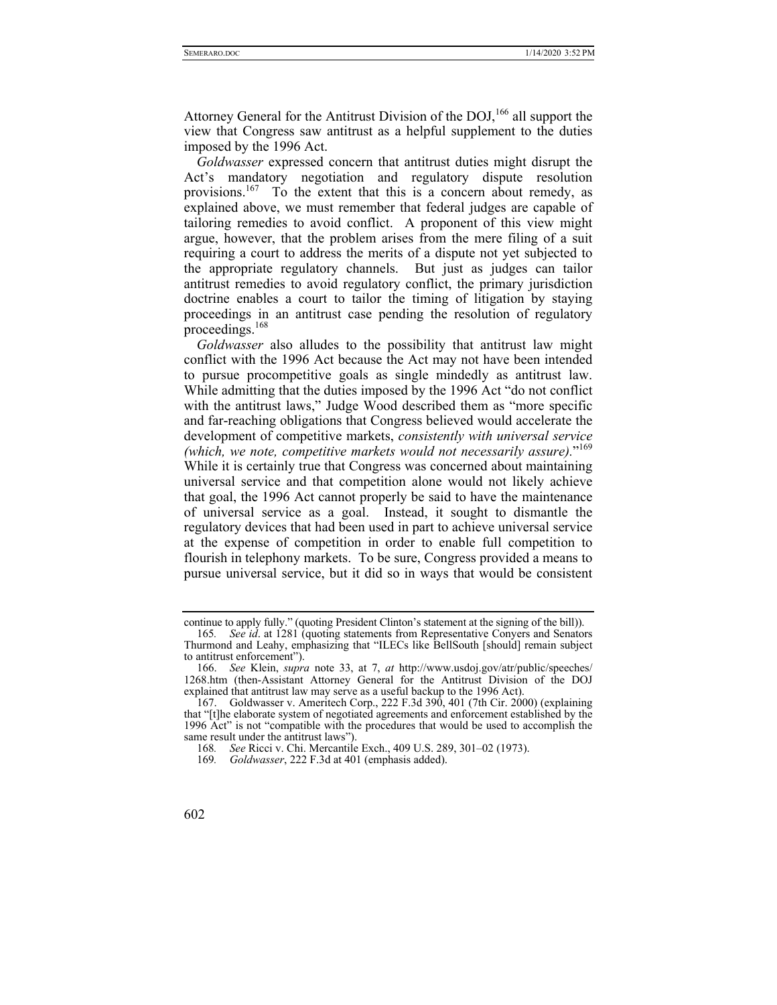Attorney General for the Antitrust Division of the DOJ,<sup>166</sup> all support the view that Congress saw antitrust as a helpful supplement to the duties imposed by the 1996 Act.

*Goldwasser* expressed concern that antitrust duties might disrupt the Act's mandatory negotiation and regulatory dispute resolution provisions.<sup>167</sup> To the extent that this is a concern about remedy, as explained above, we must remember that federal judges are capable of tailoring remedies to avoid conflict. A proponent of this view might argue, however, that the problem arises from the mere filing of a suit requiring a court to address the merits of a dispute not yet subjected to the appropriate regulatory channels. But just as judges can tailor antitrust remedies to avoid regulatory conflict, the primary jurisdiction doctrine enables a court to tailor the timing of litigation by staying proceedings in an antitrust case pending the resolution of regulatory proceedings.<sup>168</sup>

*Goldwasser* also alludes to the possibility that antitrust law might conflict with the 1996 Act because the Act may not have been intended to pursue procompetitive goals as single mindedly as antitrust law. While admitting that the duties imposed by the 1996 Act "do not conflict with the antitrust laws," Judge Wood described them as "more specific and far-reaching obligations that Congress believed would accelerate the development of competitive markets, *consistently with universal service (which, we note, competitive markets would not necessarily assure).*"169 While it is certainly true that Congress was concerned about maintaining universal service and that competition alone would not likely achieve that goal, the 1996 Act cannot properly be said to have the maintenance of universal service as a goal. Instead, it sought to dismantle the regulatory devices that had been used in part to achieve universal service at the expense of competition in order to enable full competition to flourish in telephony markets. To be sure, Congress provided a means to pursue universal service, but it did so in ways that would be consistent

continue to apply fully." (quoting President Clinton's statement at the signing of the bill)).

<sup>165</sup>*. See id*. at 1281 (quoting statements from Representative Conyers and Senators Thurmond and Leahy, emphasizing that "ILECs like BellSouth [should] remain subject to antitrust enforcement").

 <sup>166.</sup> *See* Klein, *supra* note 33, at 7, *at* http://www.usdoj.gov/atr/public/speeches/ 1268.htm (then-Assistant Attorney General for the Antitrust Division of the DOJ explained that antitrust law may serve as a useful backup to the 1996 Act).

<sup>167.</sup> Goldwasser v. Ameritech Corp., 222 F.3d 390, 401 (7th Cir. 2000) (explaining that "[t]he elaborate system of negotiated agreements and enforcement established by the 1996 Act" is not "compatible with the procedures that would be used to accomplish the same result under the antitrust laws").

<sup>168</sup>*. See* Ricci v. Chi. Mercantile Exch., 409 U.S. 289, 301–02 (1973).

<sup>169</sup>*. Goldwasser*, 222 F.3d at 401 (emphasis added).

<sup>602</sup>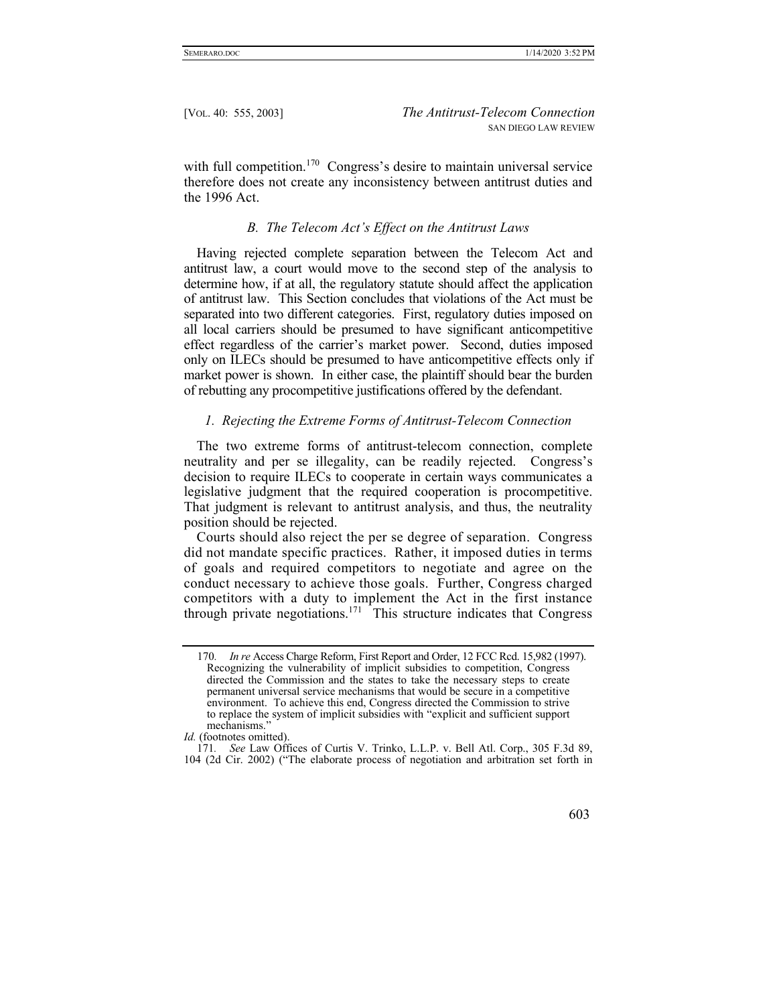with full competition.<sup>170</sup> Congress's desire to maintain universal service therefore does not create any inconsistency between antitrust duties and the 1996 Act.

#### *B. The Telecom Act's Effect on the Antitrust Laws*

Having rejected complete separation between the Telecom Act and antitrust law, a court would move to the second step of the analysis to determine how, if at all, the regulatory statute should affect the application of antitrust law. This Section concludes that violations of the Act must be separated into two different categories. First, regulatory duties imposed on all local carriers should be presumed to have significant anticompetitive effect regardless of the carrier's market power. Second, duties imposed only on ILECs should be presumed to have anticompetitive effects only if market power is shown. In either case, the plaintiff should bear the burden of rebutting any procompetitive justifications offered by the defendant.

#### *1. Rejecting the Extreme Forms of Antitrust-Telecom Connection*

The two extreme forms of antitrust-telecom connection, complete neutrality and per se illegality, can be readily rejected. Congress's decision to require ILECs to cooperate in certain ways communicates a legislative judgment that the required cooperation is procompetitive. That judgment is relevant to antitrust analysis, and thus, the neutrality position should be rejected.

Courts should also reject the per se degree of separation. Congress did not mandate specific practices. Rather, it imposed duties in terms of goals and required competitors to negotiate and agree on the conduct necessary to achieve those goals. Further, Congress charged competitors with a duty to implement the Act in the first instance through private negotiations.<sup>171</sup> This structure indicates that Congress

<sup>171</sup>*. See* Law Offices of Curtis V. Trinko, L.L.P. v. Bell Atl. Corp., 305 F.3d 89, 104 (2d Cir. 2002) ("The elaborate process of negotiation and arbitration set forth in



<sup>170</sup>*. In re* Access Charge Reform, First Report and Order, 12 FCC Rcd. 15,982 (1997). Recognizing the vulnerability of implicit subsidies to competition, Congress directed the Commission and the states to take the necessary steps to create permanent universal service mechanisms that would be secure in a competitive environment. To achieve this end, Congress directed the Commission to strive to replace the system of implicit subsidies with "explicit and sufficient support mechanisms."

*Id.* (footnotes omitted).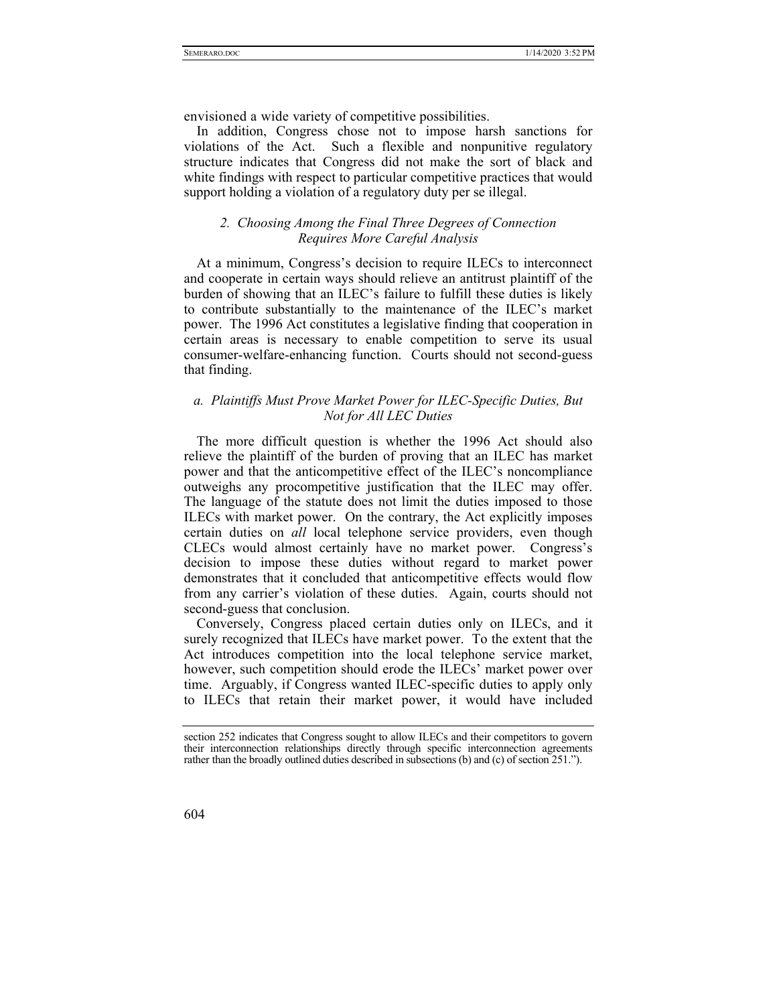envisioned a wide variety of competitive possibilities.

In addition, Congress chose not to impose harsh sanctions for violations of the Act. Such a flexible and nonpunitive regulatory structure indicates that Congress did not make the sort of black and white findings with respect to particular competitive practices that would support holding a violation of a regulatory duty per se illegal.

## *2. Choosing Among the Final Three Degrees of Connection Requires More Careful Analysis*

At a minimum, Congress's decision to require ILECs to interconnect and cooperate in certain ways should relieve an antitrust plaintiff of the burden of showing that an ILEC's failure to fulfill these duties is likely to contribute substantially to the maintenance of the ILEC's market power. The 1996 Act constitutes a legislative finding that cooperation in certain areas is necessary to enable competition to serve its usual consumer-welfare-enhancing function. Courts should not second-guess that finding.

# *a. Plaintiffs Must Prove Market Power for ILEC-Specific Duties, But Not for All LEC Duties*

The more difficult question is whether the 1996 Act should also relieve the plaintiff of the burden of proving that an ILEC has market power and that the anticompetitive effect of the ILEC's noncompliance outweighs any procompetitive justification that the ILEC may offer. The language of the statute does not limit the duties imposed to those ILECs with market power. On the contrary, the Act explicitly imposes certain duties on *all* local telephone service providers, even though CLECs would almost certainly have no market power. Congress's decision to impose these duties without regard to market power demonstrates that it concluded that anticompetitive effects would flow from any carrier's violation of these duties. Again, courts should not second-guess that conclusion.

Conversely, Congress placed certain duties only on ILECs, and it surely recognized that ILECs have market power. To the extent that the Act introduces competition into the local telephone service market, however, such competition should erode the ILECs' market power over time. Arguably, if Congress wanted ILEC-specific duties to apply only to ILECs that retain their market power, it would have included

section 252 indicates that Congress sought to allow ILECs and their competitors to govern their interconnection relationships directly through specific interconnection agreements rather than the broadly outlined duties described in subsections (b) and (c) of section 251.").

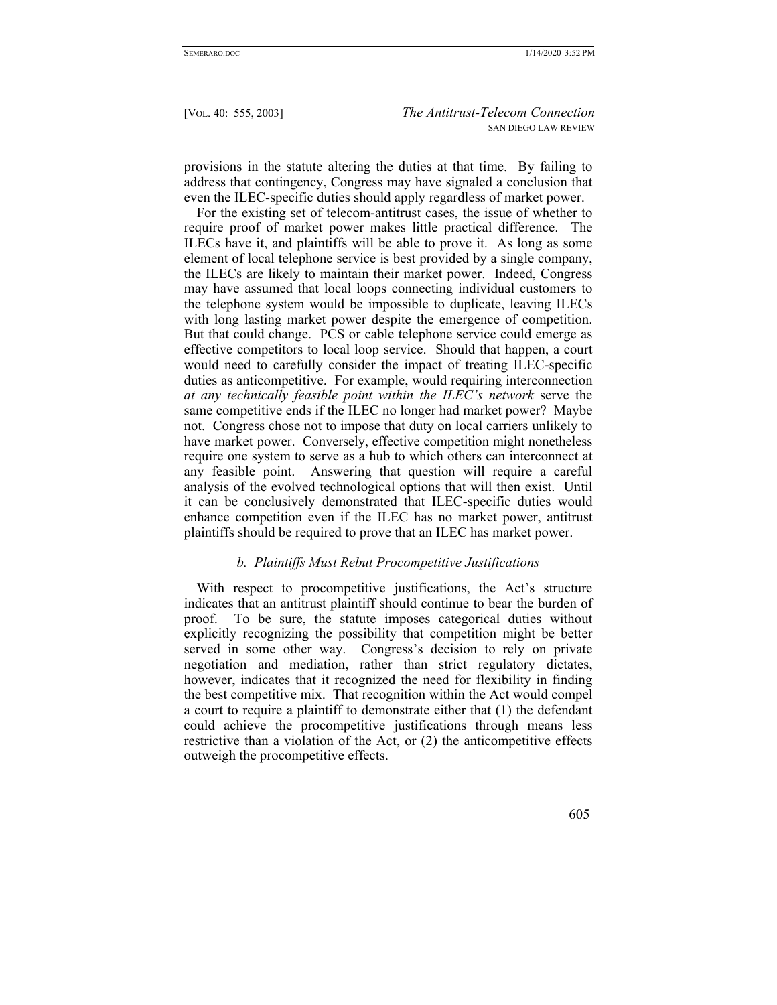provisions in the statute altering the duties at that time. By failing to address that contingency, Congress may have signaled a conclusion that even the ILEC-specific duties should apply regardless of market power.

For the existing set of telecom-antitrust cases, the issue of whether to require proof of market power makes little practical difference. The ILECs have it, and plaintiffs will be able to prove it. As long as some element of local telephone service is best provided by a single company, the ILECs are likely to maintain their market power. Indeed, Congress may have assumed that local loops connecting individual customers to the telephone system would be impossible to duplicate, leaving ILECs with long lasting market power despite the emergence of competition. But that could change. PCS or cable telephone service could emerge as effective competitors to local loop service. Should that happen, a court would need to carefully consider the impact of treating ILEC-specific duties as anticompetitive. For example, would requiring interconnection *at any technically feasible point within the ILEC's network* serve the same competitive ends if the ILEC no longer had market power? Maybe not. Congress chose not to impose that duty on local carriers unlikely to have market power. Conversely, effective competition might nonetheless require one system to serve as a hub to which others can interconnect at any feasible point. Answering that question will require a careful analysis of the evolved technological options that will then exist. Until it can be conclusively demonstrated that ILEC-specific duties would enhance competition even if the ILEC has no market power, antitrust plaintiffs should be required to prove that an ILEC has market power.

#### *b. Plaintiffs Must Rebut Procompetitive Justifications*

With respect to procompetitive justifications, the Act's structure indicates that an antitrust plaintiff should continue to bear the burden of proof. To be sure, the statute imposes categorical duties without explicitly recognizing the possibility that competition might be better served in some other way. Congress's decision to rely on private negotiation and mediation, rather than strict regulatory dictates, however, indicates that it recognized the need for flexibility in finding the best competitive mix. That recognition within the Act would compel a court to require a plaintiff to demonstrate either that (1) the defendant could achieve the procompetitive justifications through means less restrictive than a violation of the Act, or (2) the anticompetitive effects outweigh the procompetitive effects.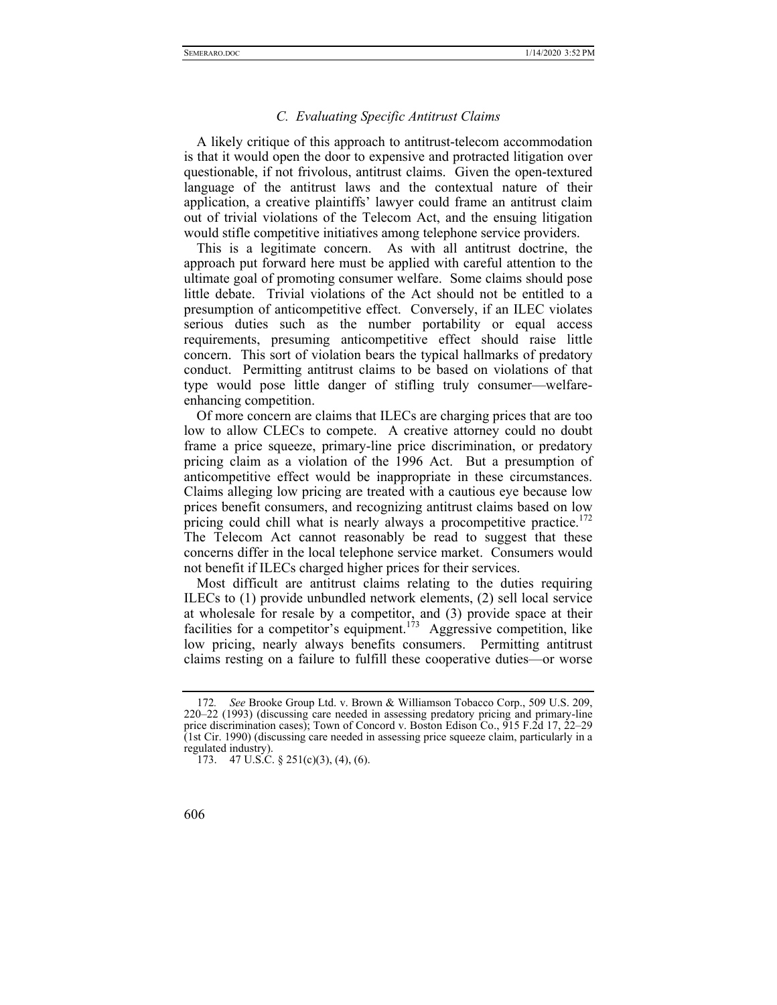#### *C. Evaluating Specific Antitrust Claims*

A likely critique of this approach to antitrust-telecom accommodation is that it would open the door to expensive and protracted litigation over questionable, if not frivolous, antitrust claims. Given the open-textured language of the antitrust laws and the contextual nature of their application, a creative plaintiffs' lawyer could frame an antitrust claim out of trivial violations of the Telecom Act, and the ensuing litigation would stifle competitive initiatives among telephone service providers.

This is a legitimate concern. As with all antitrust doctrine, the approach put forward here must be applied with careful attention to the ultimate goal of promoting consumer welfare. Some claims should pose little debate. Trivial violations of the Act should not be entitled to a presumption of anticompetitive effect. Conversely, if an ILEC violates serious duties such as the number portability or equal access requirements, presuming anticompetitive effect should raise little concern. This sort of violation bears the typical hallmarks of predatory conduct. Permitting antitrust claims to be based on violations of that type would pose little danger of stifling truly consumer—welfareenhancing competition.

Of more concern are claims that ILECs are charging prices that are too low to allow CLECs to compete. A creative attorney could no doubt frame a price squeeze, primary-line price discrimination, or predatory pricing claim as a violation of the 1996 Act. But a presumption of anticompetitive effect would be inappropriate in these circumstances. Claims alleging low pricing are treated with a cautious eye because low prices benefit consumers, and recognizing antitrust claims based on low pricing could chill what is nearly always a procompetitive practice.<sup>172</sup> The Telecom Act cannot reasonably be read to suggest that these concerns differ in the local telephone service market. Consumers would not benefit if ILECs charged higher prices for their services.

Most difficult are antitrust claims relating to the duties requiring ILECs to (1) provide unbundled network elements, (2) sell local service at wholesale for resale by a competitor, and (3) provide space at their facilities for a competitor's equipment.<sup>173</sup> Aggressive competition, like low pricing, nearly always benefits consumers. Permitting antitrust claims resting on a failure to fulfill these cooperative duties—or worse

<sup>173. 47</sup> U.S.C. § 251(c)(3), (4), (6).



<sup>172</sup>*. See* Brooke Group Ltd. v. Brown & Williamson Tobacco Corp., 509 U.S. 209, 220–22 (1993) (discussing care needed in assessing predatory pricing and primary-line price discrimination cases); Town of Concord v. Boston Edison Co., 915 F.2d 17, 22-29 (1st Cir. 1990) (discussing care needed in assessing price squeeze claim, particularly in a regulated industry).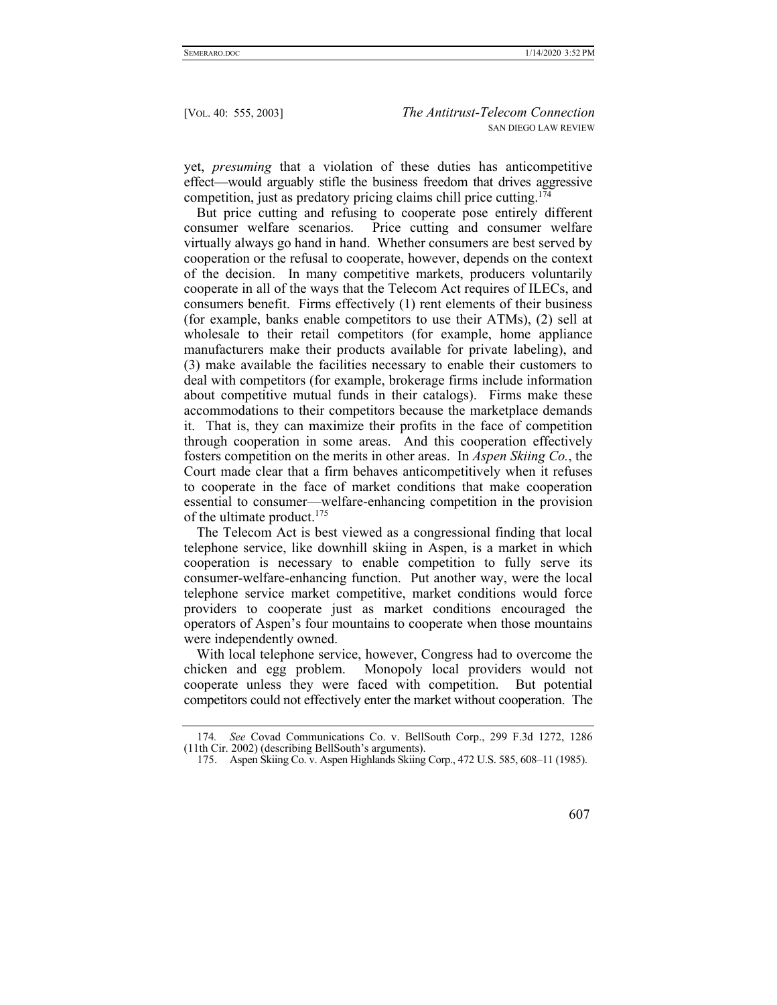yet, *presuming* that a violation of these duties has anticompetitive effect—would arguably stifle the business freedom that drives aggressive competition, just as predatory pricing claims chill price cutting.<sup>174</sup>

But price cutting and refusing to cooperate pose entirely different consumer welfare scenarios. Price cutting and consumer welfare virtually always go hand in hand. Whether consumers are best served by cooperation or the refusal to cooperate, however, depends on the context of the decision. In many competitive markets, producers voluntarily cooperate in all of the ways that the Telecom Act requires of ILECs, and consumers benefit. Firms effectively (1) rent elements of their business (for example, banks enable competitors to use their ATMs), (2) sell at wholesale to their retail competitors (for example, home appliance manufacturers make their products available for private labeling), and (3) make available the facilities necessary to enable their customers to deal with competitors (for example, brokerage firms include information about competitive mutual funds in their catalogs). Firms make these accommodations to their competitors because the marketplace demands it. That is, they can maximize their profits in the face of competition through cooperation in some areas. And this cooperation effectively fosters competition on the merits in other areas. In *Aspen Skiing Co.*, the Court made clear that a firm behaves anticompetitively when it refuses to cooperate in the face of market conditions that make cooperation essential to consumer—welfare-enhancing competition in the provision of the ultimate product.<sup>175</sup>

The Telecom Act is best viewed as a congressional finding that local telephone service, like downhill skiing in Aspen, is a market in which cooperation is necessary to enable competition to fully serve its consumer-welfare-enhancing function. Put another way, were the local telephone service market competitive, market conditions would force providers to cooperate just as market conditions encouraged the operators of Aspen's four mountains to cooperate when those mountains were independently owned.

With local telephone service, however, Congress had to overcome the chicken and egg problem. Monopoly local providers would not cooperate unless they were faced with competition. But potential competitors could not effectively enter the market without cooperation. The

 <sup>175.</sup> Aspen Skiing Co. v. Aspen Highlands Skiing Corp., 472 U.S. 585, 608–11 (1985).



<sup>174</sup>*. See* Covad Communications Co. v. BellSouth Corp., 299 F.3d 1272, 1286 (11th Cir. 2002) (describing BellSouth's arguments).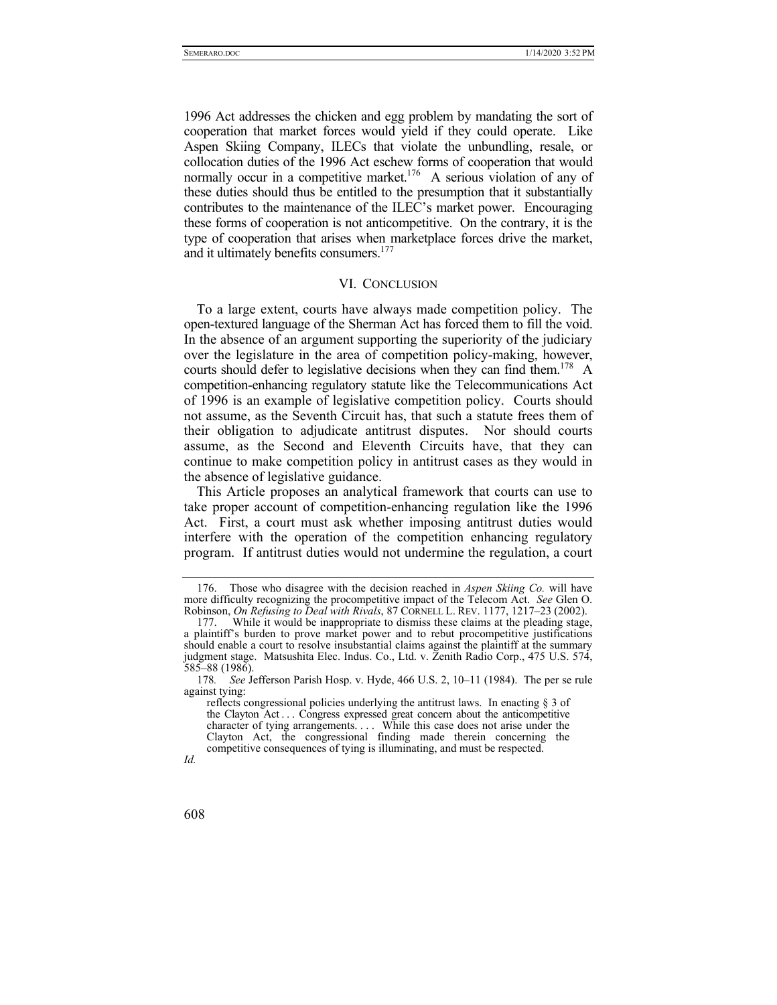1996 Act addresses the chicken and egg problem by mandating the sort of cooperation that market forces would yield if they could operate. Like Aspen Skiing Company, ILECs that violate the unbundling, resale, or collocation duties of the 1996 Act eschew forms of cooperation that would normally occur in a competitive market.<sup>176</sup> A serious violation of any of these duties should thus be entitled to the presumption that it substantially contributes to the maintenance of the ILEC's market power. Encouraging these forms of cooperation is not anticompetitive. On the contrary, it is the type of cooperation that arises when marketplace forces drive the market, and it ultimately benefits consumers.<sup>177</sup>

#### VI. CONCLUSION

To a large extent, courts have always made competition policy. The open-textured language of the Sherman Act has forced them to fill the void. In the absence of an argument supporting the superiority of the judiciary over the legislature in the area of competition policy-making, however, courts should defer to legislative decisions when they can find them.<sup>178</sup> A competition-enhancing regulatory statute like the Telecommunications Act of 1996 is an example of legislative competition policy. Courts should not assume, as the Seventh Circuit has, that such a statute frees them of their obligation to adjudicate antitrust disputes. Nor should courts assume, as the Second and Eleventh Circuits have, that they can continue to make competition policy in antitrust cases as they would in the absence of legislative guidance.

This Article proposes an analytical framework that courts can use to take proper account of competition-enhancing regulation like the 1996 Act. First, a court must ask whether imposing antitrust duties would interfere with the operation of the competition enhancing regulatory program. If antitrust duties would not undermine the regulation, a court

 <sup>176.</sup> Those who disagree with the decision reached in *Aspen Skiing Co.* will have more difficulty recognizing the procompetitive impact of the Telecom Act. *See* Glen O. Robinson, *On Refusing to Deal with Rivals*, 87 CORNELL L. REV. 1177, 1217–23 (2002).

 <sup>177.</sup> While it would be inappropriate to dismiss these claims at the pleading stage, a plaintiff's burden to prove market power and to rebut procompetitive justifications should enable a court to resolve insubstantial claims against the plaintiff at the summary judgment stage. Matsushita Elec. Indus. Co., Ltd. v. Zenith Radio Corp., 475 U.S. 574, 585–88 (1986).

<sup>178</sup>*. See* Jefferson Parish Hosp. v. Hyde, 466 U.S. 2, 10–11 (1984). The per se rule against tying:

reflects congressional policies underlying the antitrust laws. In enacting § 3 of the Clayton Act . . . Congress expressed great concern about the anticompetitive character of tying arrangements. . . . While this case does not arise under the Clayton Act, the congressional finding made therein concerning the competitive consequences of tying is illuminating, and must be respected.

*Id.*

<sup>608</sup>